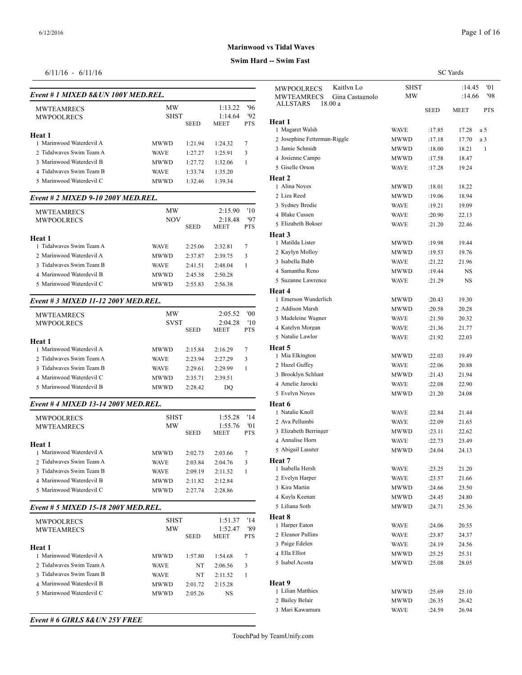#### **Swim Hard -- Swim Fast**

## 6/11/16 - 6/11/16

| Event # 1 MIXED 8& UN 100Y MED.REL. |             |             |             |            | <b>MWPOOLRECS</b><br>MWTEAMREC   |
|-------------------------------------|-------------|-------------|-------------|------------|----------------------------------|
| <b>MWTEAMRECS</b>                   | MW          |             | 1:13.22     | '96        | ALLSTARS                         |
| MWPOOLRECS                          | <b>SHST</b> |             | 1:14.64     | '92        | Heat 1                           |
|                                     |             | <b>SEED</b> | MEET        | <b>PTS</b> | 1 Magaret Walsh                  |
| Heat 1                              |             |             |             |            | 2 Josephine Fetter               |
| 1 Marinwood Waterdevil A            | MWWD        | 1:21.94     | 1:24.32     | 7          | 3 Jamie Schmidt                  |
| 2 Tidalwaves Swim Team A            | <b>WAVE</b> | 1:27.27     | 1:25.91     | 3          | 4 Josienne Campo                 |
| 3 Marinwood Waterdevil B            | MWWD        | 1:27.72     | 1:32.06     | 1          | 5 Giselle Orson                  |
| 4 Tidalwaves Swim Team B            | <b>WAVE</b> | 1:33.74     | 1:35.20     |            | Heat 2                           |
| 5 Marinwood Waterdevil C            | <b>MWWD</b> | 1:32.46     | 1:39.34     |            | 1 Alina Noyes                    |
| Event # 2 MIXED 9-10 200Y MED.REL.  |             |             |             |            | 2 Liza Reed                      |
| <b>MWTEAMRECS</b>                   | MW          |             | 2:15.90     | '10        | 3 Sydney Brodie                  |
| MWPOOLRECS                          | NOV         |             | 2:18.48     | '97        | 4 Blake Cussen                   |
|                                     |             | <b>SEED</b> | MEET        | <b>PTS</b> | 5 Elizabeth Bokse                |
| Heat 1                              |             |             |             |            | Heat 3                           |
| 1 Tidalwaves Swim Team A            | <b>WAVE</b> | 2:25.06     | 2:32.81     | 7          | 1 Matilda Lister                 |
| 2 Marinwood Waterdevil A            | MWWD        | 2:37.87     | 2:39.75     | 3          | 2 Kaylyn Molloy                  |
| 3 Tidalwayes Swim Team B            | <b>WAVE</b> | 2:41.51     | 2:48.04     | 1          | 3 Isabella Babb                  |
| 4 Marinwood Waterdevil B            | <b>MWWD</b> | 2:45.38     | 2:50.28     |            | 4 Samantha Reno                  |
| 5 Marinwood Waterdevil C            | MWWD        | 2:55.83     | 2:56.38     |            | 5 Suzanne Lawrer                 |
|                                     |             |             |             |            | Heat 4<br>1 Emerson Wunde        |
| Event # 3 MIXED 11-12 200Y MED.REL. |             |             |             |            | 2 Addison Marsh                  |
| <b>MWTEAMRECS</b>                   | MW          |             | 2:05.52     | '00        | 3 Madeleine Wagn                 |
| MWPOOLRECS                          | <b>SVST</b> |             | 2:04.28     | '10        | 4 Katelyn Morgan                 |
|                                     |             | <b>SEED</b> | <b>MEET</b> | <b>PTS</b> | 5 Natalie Lawlor                 |
| Heat 1                              |             |             |             |            |                                  |
| 1 Marinwood Waterdevil A            | MWWD        | 2:15.84     | 2:16.29     | 7          | Heat 5<br>1 Mia Elkington        |
| 2 Tidalwaves Swim Team A            | <b>WAVE</b> | 2:23.94     | 2:27.29     | 3          | 2 Hazel Guffey                   |
| 3 Tidalwaves Swim Team B            | WAVE        | 2:29.61     | 2:29.99     | 1          | 3 Brooklyn Schlu                 |
| 4 Marinwood Waterdevil C            | MWWD        | 2:35.71     | 2:39.51     |            | 4 Amelie Jarocki                 |
| 5 Marinwood Waterdevil B            | <b>MWWD</b> | 2:28.42     | DQ          |            | 5 Evelyn Noyes                   |
| Event #4 MIXED 13-14 200Y MED.REL.  |             |             |             |            | Heat 6                           |
| <b>MWPOOLRECS</b>                   | <b>SHST</b> |             | 1:55.28     | '14        | 1 Natalie Knoll                  |
| <b>MWTEAMRECS</b>                   | MW          |             | 1:55.76     | '01        | 2 Ava Pellumbi                   |
|                                     |             | <b>SEED</b> | MEET        | <b>PTS</b> | 3 Elizabeth Berrin               |
| Heat 1                              |             |             |             |            | 4 Annalise Horn                  |
| 1 Marinwood Waterdevil A            | MWWD        | 2:02.73     | 2:03.66     | 7          | 5 Abigail Lauster                |
| 2 Tidalwayes Swim Team A            | <b>WAVE</b> | 2:03.84     | 2:04.76     | 3          | Heat 7<br>1 Isabella Hersh       |
| 3 Tidalwaves Swim Team B            | WAVE        | 2:09.19     | 2:11.52     | 1          |                                  |
| 4 Marinwood Waterdevil B            | MWWD        | 2:11.82     | 2:12.84     |            | 2 Evelyn Harper<br>3 Kira Martin |
| 5 Marinwood Waterdevil C            | MWWD        | 2:27.74     | 2:28.86     |            | 4 Kayla Keenan                   |
| Event # 5 MIXED 15-18 200Y MED.REL. |             |             |             |            | 5 Liliana Soth                   |
|                                     | <b>SHST</b> |             | 1:51.37     | '14        | Heat 8                           |
| MWPOOLRECS<br><b>MWTEAMRECS</b>     | MW          |             | 1:52.47     | '89        | 1 Harper Eaton                   |
|                                     |             | <b>SEED</b> | MEET        | <b>PTS</b> | 2 Eleanor Pullins                |
| Heat 1                              |             |             |             |            | 3 Paige Edelen                   |
| 1 Marinwood Waterdevil A            | MWWD        | 1:57.80     | 1:54.68     | 7          | 4 Ella Elliot                    |
| 2 Tidalwaves Swim Team A            | <b>WAVE</b> | NT          | 2:06.56     | 3          | 5 Isabel Acosta                  |
| 3 Tidalwaves Swim Team B            | <b>WAVE</b> | NT          | 2:11.52     | 1          |                                  |
| 4 Marinwood Waterdevil B            | MWWD        | 2:01.72     | 2:15.28     |            | Heat 9                           |
| 5 Marinwood Waterdevil C            | MWWD        | 2:05.26     | NS          |            | 1 Lilian Matthies                |
|                                     |             |             |             |            | 2 Bailey Belair                  |
|                                     |             |             |             |            | 3 Mari Kawamura                  |

|                                                             |              |                  | <b>SC</b> Yards |            |
|-------------------------------------------------------------|--------------|------------------|-----------------|------------|
| Kaitlyn Lo<br>MWPOOLRECS                                    | <b>SHST</b>  |                  | :14.45          | '01        |
| MWTEAMRECS<br>Gina Castagnolo<br><b>ALLSTARS</b><br>18.00 a | МW           |                  | :14.66          | '98        |
|                                                             |              | <b>SEED</b>      | MEET            | <b>PTS</b> |
| Heat 1<br>1 Magaret Walsh                                   | WAVE         | :17.85           | 17.28           | a 5        |
| 2 Josephine Fetterman-Riggle                                | MWWD         | :17.18           | 17.70           | a 3        |
| 3 Jamie Schmidt                                             | MWWD         | :18.00           | 18.21           | 1          |
| 4 Josienne Campo                                            | MWWD         | :17.58           | 18.47           |            |
| 5 Giselle Orson                                             | WAVE         | :17.28           | 19.24           |            |
| Heat 2                                                      |              |                  |                 |            |
| 1 Alina Noyes                                               | MWWD         | :18.01           | 18.22           |            |
| 2 Liza Reed                                                 | MWWD         | :19.06           | 18.94           |            |
| 3 Sydney Brodie                                             | <b>WAVE</b>  | :19.21           | 19.09           |            |
| 4 Blake Cussen                                              | WAVE         | :20.90           | 22.13           |            |
| 5 Elizabeth Bokser                                          | WAVE         | :21.20           | 22.46           |            |
| Heat 3                                                      |              |                  |                 |            |
| 1 Matilda Lister                                            | MWWD         | :19.98           | 19.44           |            |
| 2 Kaylyn Molloy                                             | MWWD         | :19.53           | 19.76           |            |
| 3 Isabella Babb                                             | <b>WAVE</b>  | :21.22           | 21.96           |            |
| 4 Samantha Reno                                             | MWWD         | :19.44           | NS              |            |
| 5 Suzanne Lawrence                                          | <b>WAVE</b>  | :21.29           | NS              |            |
| Heat 4                                                      |              |                  |                 |            |
| 1 Emerson Wunderlich                                        | MWWD         | :20.43           | 19.30           |            |
| 2 Addison Marsh<br>3 Madeleine Wagner                       | MWWD<br>WAVE | :20.58<br>:21.50 | 20.28<br>20.32  |            |
| 4 Katelyn Morgan                                            | WAVE         | :21.36           | 21.77           |            |
| 5 Natalie Lawlor                                            | WAVE         | :21.92           | 22.03           |            |
| Heat 5                                                      |              |                  |                 |            |
| 1 Mia Elkington                                             | MWWD         | :22.03           | 19.49           |            |
| 2 Hazel Guffey                                              | WAVE         | :22.06           | 20.88           |            |
| 3 Brooklyn Schlunt                                          | MWWD         | :21.43           | 21.94           |            |
| 4 Amelie Jarocki                                            | WAVE         | :22.08           | 22.90           |            |
| 5 Evelyn Noyes                                              | MWWD         | :21.20           | 24.08           |            |
| Heat 6                                                      |              |                  |                 |            |
| 1 Natalie Knoll                                             | WAVE         | :22.84           | 21.44           |            |
| 2 Ava Pellumbi                                              | WAVE         | :22.09           | 21.65           |            |
| 3 Elizabeth Berringer                                       | MWWD         | :23.11           | 22.62           |            |
| 4 Annalise Horn                                             | <b>WAVE</b>  | :22.73           | 23.49           |            |
| 5 Abigail Lauster                                           | MWWD         | :24.04           | 24.13           |            |
| Heat 7                                                      |              |                  |                 |            |
| 1 Isabella Hersh                                            | WAVE         | :23.25           | 21.20           |            |
| 2 Evelyn Harper                                             | WAVE         | :23.57           | 21.66           |            |
| 3 Kira Martin                                               | MWWD         | :24.66           | 23.50           |            |
| 4 Kayla Keenan                                              | MWWD         | :24.45           | 24.80           |            |
| 5 Liliana Soth                                              | MWWD         | :24.71           | 25.36           |            |
| <b>Heat 8</b><br>1 Harper Eaton                             |              | :24.06           |                 |            |
| 2 Eleanor Pullins                                           | WAVE<br>WAVE | :23.87           | 20.55<br>24.37  |            |
| 3 Paige Edelen                                              | WAVE         | :24.19           | 24.56           |            |
| 4 Ella Elliot                                               | MWWD         | :25.25           | 25.31           |            |
| 5 Isabel Acosta                                             | MWWD         | :25.08           | 28.05           |            |
|                                                             |              |                  |                 |            |
| Heat 9                                                      |              |                  |                 |            |
| 1 Lilian Matthies                                           | MWWD         | :25.69           | 25.10           |            |
| 2 Bailey Belair                                             | MWWD         | :26.35           | 26.42           |            |
| 3 Mari Kawamura                                             | <b>WAVE</b>  | :24.59           | 26.94           |            |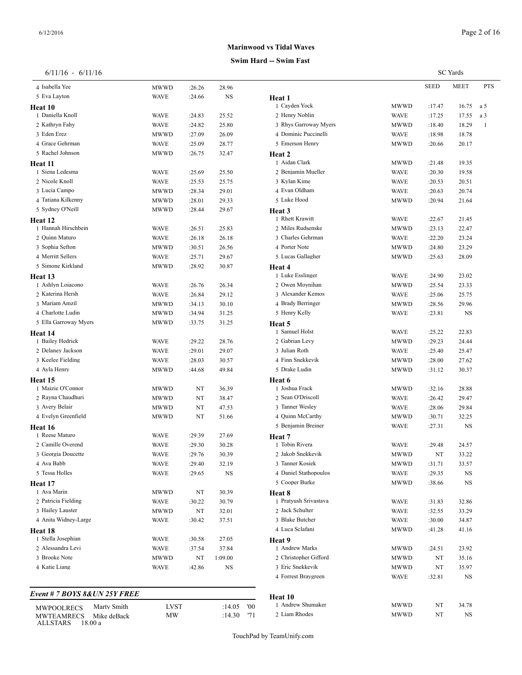**Heat 10**

#### 6/11/16 - 6/11/16

 Isabella Yee MWWD :26.26 28.96 5 Eva Layton WAVE :24.66 NS

 Daniella Knoll WAVE :24.83 25.52 Kathryn Fahy WAVE :24.82 25.80 Eden Erez MWWD :27.09 26.09

# **Marinwood vs Tidal Wa**

#### **Swim Hard**

| -- Swim Fast          |             |             |                 |              |
|-----------------------|-------------|-------------|-----------------|--------------|
|                       |             |             | <b>SC</b> Yards |              |
|                       |             | <b>SEED</b> | MEET            | <b>PTS</b>   |
| Heat 1                |             |             |                 |              |
| 1 Cayden Yock         | MWWD        | :17.47      | 16.75           | a 5          |
| 2 Henry Noblin        | <b>WAVE</b> | :17.25      | 17.55           | a 3          |
| 3 Rhys Garroway Myers | MWWD        | :18.40      | 18.29           | $\mathbf{1}$ |
| 4 Dominic Puccinelli  | WAVE        | :18.98      | 18.78           |              |
| 5 Emerson Henry       | MWWD        | :20.66      | 20.17           |              |
| Heat 2                |             |             |                 |              |
| 1 Aidan Clark         | MWWD        | :21.48      | 19.35           |              |
| 2 Benjamin Mueller    | WAVE        | :20.30      | 19.58           |              |
| 3 Kylan Kime          | <b>WAVE</b> | :20.53      | 20.51           |              |
| 4 Evan Oldham         | <b>WAVE</b> | :20.63      | 20.74           |              |
| 5 Luke Hood           | MWWD        | :20.94      | 21.64           |              |
| <b>Heat 3</b>         |             |             |                 |              |
| 1 Rhett Krawitt       | <b>WAVE</b> | :22.67      | 21.45           |              |
| 2 Miles Rudsenske     | MWWD        | :23.13      | 22.47           |              |
| 3 Charles Gehrman     | WAVE        | :22.20      | 23.24           |              |
| 4 Porter Note         | MWWD        | :24.80      | 23.29           |              |
| 5 Lucas Gallagher     | MWWD        | :25.63      | 28.09           |              |
| <b>Heat 4</b>         |             |             |                 |              |
| 1 Luke Esslinger      | <b>WAVE</b> | :24.90      | 23.02           |              |
| 2 Owen Moynihan       | MWWD        | :25.54      | 23.33           |              |
| 3 Alexander Kemos     | <b>WAVE</b> | :25.06      | 25.75           |              |
| 4 Brady Berringer     | MWWD        | :28.56      | 29.96           |              |
| 5 Henry Kelly         | <b>WAVE</b> | :23.81      | NS              |              |
| Heat 5                |             |             |                 |              |
| 1 Samuel Holst        | <b>WAVE</b> | :25.22      | 22.83           |              |
| 2 Gabrian Levy        | MWWD        | :29.23      | 24.44           |              |
| 3 Julian Roth         | <b>WAVE</b> | :25.40      | 25.47           |              |
| 4 Finn Snekkevik      | MWWD        | :28.00      | 27.62           |              |
| 5 Drake Ludin         | MWWD        | :31.12      | 30.37           |              |
| Heat 6                |             |             |                 |              |
| 1 Joshua Frack        | MWWD        | :32.16      | 28.88           |              |
| 2 Sean O'Driscoll     | WAVE        | :26.42      | 29.47           |              |
| 3 Tanner Wesley       | <b>WAVE</b> | :28.06      | 29.84           |              |
| 4 Quinn McCarthy      | MWWD        | :30.71      | 32.25           |              |
| 5 Benjamin Breiner    | WAVE        | :27.31      | NS              |              |
| Heat 7                |             |             |                 |              |
| 1 Tobin Rivera        | <b>WAVE</b> | :29.48      | 24.57           |              |
| 2 Jakob Snekkevik     | MWWD        | NT          | 33.22           |              |
| 3 Tanner Kosiek       | MWWD        | :31.71      | 33.57           |              |
| 4 Daniel Stathopoulos | <b>WAVE</b> | :29.35      | <b>NS</b>       |              |
| 5 Cooper Burke        | MWWD        | :38.66      | <b>NS</b>       |              |

 Pratyush Srivastava WAVE :31.83 32.86 2 Jack Schulter WAVE :32.55 33.29 Blake Butcher WAVE :30.00 34.87 Luca Sclafani MWWD :41.28 41.16

 Andrew Marks MWWD :24.51 23.92 2 Christopher Gifford MWWD NT 35.16 Eric Snekkevik MWWD NT 35.97 4 Forrest Braygreen WAVE :32.81 NS

| 4 Grace Gehrman            | <b>WAVE</b> | :25.09 | 28.77   | 5 Emers           |
|----------------------------|-------------|--------|---------|-------------------|
| 5 Rachel Johnson           | <b>MWWD</b> | :26.75 | 32.47   | Heat <sub>2</sub> |
| Heat 11                    |             |        |         | 1 Aidan           |
| 1 Siena Ledesma            | <b>WAVE</b> | :25.69 | 25.50   | 2 Benjar          |
| 2 Nicole Knoll             | <b>WAVE</b> | :25.53 | 25.75   | 3 Kylan           |
| 3 Lucia Campo              | MWWD        | :28.34 | 29.01   | 4 Evan 0          |
| 4 Tatiana Kilkenny         | MWWD        | :28.01 | 29.33   | 5 Luke I          |
| 5 Sydney O'Neill           | MWWD        | :28.44 | 29.67   | Heat 3            |
| Heat 12                    |             |        |         | 1 Rhett           |
| 1 Hannah Hirschbein        | <b>WAVE</b> | :26.51 | 25.83   | 2 Miles           |
| 2 Quinn Maturo             | <b>WAVE</b> | :26.18 | 26.18   | 3 Charle          |
| 3 Sophia Sefton            | MWWD        | :30.51 | 26.56   | 4 Porter          |
| 4 Merritt Sellers          | <b>WAVE</b> | :25.71 | 29.67   | 5 Lucas           |
| 5 Simone Kirkland          | MWWD        | :28.92 | 30.87   | <b>Heat 4</b>     |
| Heat 13                    |             |        |         | 1 Luke I          |
| 1 Ashlyn Loiacono          | <b>WAVE</b> | :26.76 | 26.34   | 2 Owen            |
| 2 Katerina Hersh           | <b>WAVE</b> | :26.84 | 29.12   | 3 Alexan          |
| 3 Mariam Amzil             | MWWD        | :34.13 | 30.10   | 4 Brady           |
| 4 Charlotte Ludin          | MWWD        | :34.94 | 31.25   | 5 Henry           |
| 5 Ella Garroway Myers      | MWWD        | :33.75 | 31.25   | Heat 5            |
| Heat 14                    |             |        |         | 1 Samue           |
| 1 Bailey Hedrick           | <b>WAVE</b> | :29.22 | 28.76   | 2 Gabria          |
| 2 Delaney Jackson          | <b>WAVE</b> | :29.01 | 29.07   | 3 Julian          |
| 3 Keelee Fielding          | <b>WAVE</b> | :28.03 | 30.57   | 4 Finn S          |
| 4 Ayla Henry               | MWWD        | :44.68 | 49.84   | 5 Drake           |
| <b>Heat 15</b>             |             |        |         | Heat 6            |
| 1 Maizie O'Connor          | MWWD        | NT     | 36.39   | 1 Joshua          |
| 2 Rayna Chaudhuri          | MWWD        | NT     | 38.47   | 2 Sean (          |
| 3 Avery Belair             | MWWD        | NT     | 47.53   | 3 Tanner          |
| 4 Evelyn Greenfield        | MWWD        | NT     | 51.66   | 4 Quinn           |
| Heat 16                    |             |        |         | 5 Benjar          |
| 1 Reese Maturo             | <b>WAVE</b> | :29.39 | 27.69   | Heat 7            |
| 2 Camille Overend          | <b>WAVE</b> | :29.30 | 30.28   | 1 Tobin           |
| 3 Georgia Doucette         | <b>WAVE</b> | :29.76 | 30.39   | 2 Jakob           |
| 4 Ava Babb                 | <b>WAVE</b> | :29.40 | 32.19   | 3 Tanner          |
| 5 Tessa Holles             | <b>WAVE</b> | :29.65 | NS      | 4 Daniel          |
| Heat 17                    |             |        |         | 5 Coope           |
| 1 Ava Marin                | <b>MWWD</b> | NT     | 30.39   | Heat 8            |
| 2 Patricia Fielding        | <b>WAVE</b> | :30.22 | 30.79   | 1 Pratyu          |
| 3 Hailey Lauster           | <b>MWWD</b> | NT     | 32.01   | 2 Jack S          |
| 4 Anita Widney-Large       | <b>WAVE</b> | :30.42 | 37.51   | 3 Blake           |
| Heat 18                    |             |        |         | 4 Luca S          |
| 1 Stella Josephian         | WAVE        | :30.58 | 27.05   | Heat 9            |
| 2. Alessandra Levi         | <b>WAVE</b> | :37.54 | 37.84   | 1 Andre           |
| 3 Brooke Note              | MWWD        | NT     | 1:09.00 | 2 Christ          |
| 4 Katie Liang              | WAVE        | :42.86 | NS      | 3 Eric S          |
|                            |             |        |         | 4 Forres          |
| $0.0$ <i>time acw coci</i> |             |        |         |                   |

| Event # 7 BOYS 8&UN 25Y FREE     |       |              | <b>Heat 10</b>  |             |    |       |  |
|----------------------------------|-------|--------------|-----------------|-------------|----|-------|--|
| Marty Smith<br><b>MWPOOLRECS</b> | LVS 1 | '00<br>14.05 | Andrew Shumaker | <b>MWWD</b> | NT | 34.78 |  |
| Mike deBack<br><b>MWTEAMRECS</b> | MW    | 17<br>:14.30 | 2 Liam Rhodes   | MWWD        | NI | NS    |  |
| 18.00 a<br><b>ALLSTARS</b>       |       |              |                 |             |    |       |  |

TouchPad by TeamUnify.com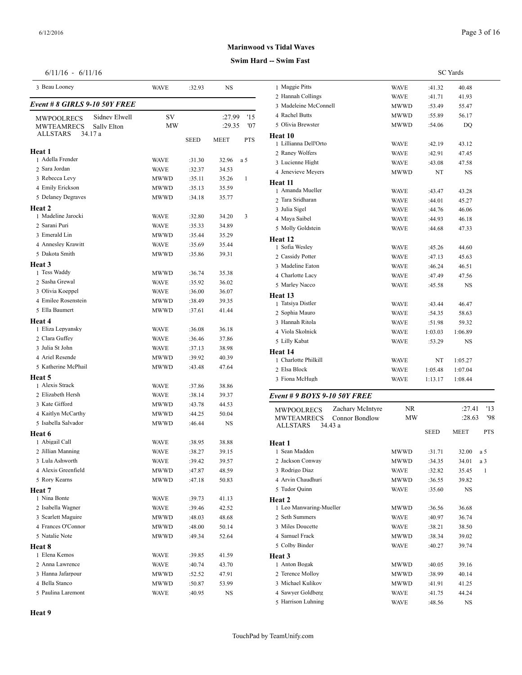SC Yards

## **Marinwood vs Tidal Waves**

## **Swim Hard -- Swim Fast**

| $6/11/16 - 6/11/16$ |  |  |  |  |
|---------------------|--|--|--|--|
|---------------------|--|--|--|--|

| 3 Beau Looney                        | <b>WAVE</b> | :32.93      | NS          |            | 1 Maggie Pitts                       |
|--------------------------------------|-------------|-------------|-------------|------------|--------------------------------------|
| <i>Event # 8 GIRLS 9-10 50Y FREE</i> |             |             |             |            | 2 Hannah Collings<br>3 Madeleine McC |
| Sidney Elwell<br>MWPOOLRECS          | SV          |             | :27.99      | '15        | 4 Rachel Butts                       |
| <b>MWTEAMRECS</b><br>Sally Elton     | MW          |             | :29.35      | '07        | 5 Olivia Brewster                    |
| <b>ALLSTARS</b><br>34.17 a           |             |             |             |            | Heat 10                              |
|                                      |             | <b>SEED</b> | <b>MEET</b> | <b>PTS</b> | 1 Lillianna Dell'O                   |
| Heat 1                               |             |             |             |            | 2 Raney Wolfers                      |
| 1 Adella Frender                     | <b>WAVE</b> | :31.30      | 32.96       | a 5        | 3 Lucienne Hight                     |
| 2 Sara Jordan                        | <b>WAVE</b> | :32.37      | 34.53       |            | 4 Jenevieve Meye                     |
| 3 Rebecca Levy                       | MWWD        | :35.11      | 35.26       | 1          | Heat 11                              |
| 4 Emily Erickson                     | MWWD        | :35.13      | 35.59       |            | 1 Amanda Muelle                      |
| 5 Delaney Degraves                   | <b>MWWD</b> | :34.18      | 35.77       |            | 2 Tara Sridharan                     |
| Heat 2                               |             |             |             |            | 3 Julia Sigel                        |
| 1 Madeline Jarocki                   | <b>WAVE</b> | :32.80      | 34.20       | 3          | 4 Maya Saibel                        |
| 2 Sarani Puri                        | <b>WAVE</b> | :35.33      | 34.89       |            | 5 Molly Goldstein                    |
| 3 Emerald Lin                        | MWWD        | :35.44      | 35.29       |            | Heat 12                              |
| 4 Annesley Krawitt                   | <b>WAVE</b> | :35.69      | 35.44       |            | 1 Sofia Wesley                       |
| 5 Dakota Smith                       | MWWD        | :35.86      | 39.31       |            | 2 Cassidy Potter                     |
| Heat 3                               |             |             |             |            | 3 Madeline Eaton                     |
| 1 Tess Waddy                         | MWWD        | :36.74      | 35.38       |            | 4 Charlotte Lacy                     |
| 2 Sasha Grewal                       | <b>WAVE</b> | :35.92      | 36.02       |            | 5 Marley Nacco                       |
| 3 Olivia Koeppel                     | <b>WAVE</b> | :36.00      | 36.07       |            | Heat 13                              |
| 4 Emilee Rosenstein                  | <b>MWWD</b> | :38.49      | 39.35       |            | 1 Tatsiya Distler                    |
| 5 Ella Baumert                       | MWWD        | :37.61      | 41.44       |            | 2 Sophia Mauro                       |
| Heat 4                               |             |             |             |            | 3 Hannah Ritola                      |
| 1 Eliza Lepyansky                    | <b>WAVE</b> | :36.08      | 36.18       |            | 4 Viola Skolnick                     |
| 2 Clara Guffey                       | <b>WAVE</b> | :36.46      | 37.86       |            | 5 Lilly Kabat                        |
| 3 Julia St John                      | <b>WAVE</b> | :37.13      | 38.98       |            | Heat 14                              |
| 4 Ariel Resende                      | MWWD        | :39.92      | 40.39       |            | 1 Charlotte Philki                   |
| 5 Katherine McPhail                  | MWWD        | :43.48      | 47.64       |            | 2 Elsa Block                         |
| Heat 5                               |             |             |             |            | 3 Fiona McHugh                       |
| 1 Alexis Strack                      | <b>WAVE</b> | :37.86      | 38.86       |            |                                      |
| 2 Elizabeth Hersh                    | <b>WAVE</b> | :38.14      | 39.37       |            | Event # 9 BOYS                       |
| 3 Kate Gifford                       | MWWD        | :43.78      | 44.53       |            | <b>MWPOOLRECS</b>                    |
| 4 Kaitlyn McCarthy                   | MWWD        | :44.25      | 50.04       |            | <b>MWTEAMREC</b>                     |
| 5 Isabella Salvador                  | <b>MWWD</b> | :46.44      | NS          |            | ALLSTARS                             |
| Heat 6                               |             |             |             |            |                                      |
| 1 Abigail Call                       | <b>WAVE</b> | :38.95      | 38.88       |            | Heat 1                               |
| 2 Jillian Manning                    | <b>WAVE</b> | :38.27      | 39.15       |            | 1 Sean Madden                        |
| 3 Lula Ashworth                      | <b>WAVE</b> | :39.42      | 39.57       |            | 2 Jackson Conway                     |
| 4 Alexis Greenfield                  | MWWD        | :47.87      | 48.59       |            | 3 Rodrigo Diaz                       |
| 5 Rory Kearns                        | <b>MWWD</b> | :47.18      | 50.83       |            | 4 Arvin Chaudhur                     |
| Heat 7                               |             |             |             |            | 5 Tudor Quinn                        |
| 1 Nina Bonte                         | WAVE        | :39.73      | 41.13       |            | Heat 2                               |
| 2 Isabella Wagner                    | WAVE        | :39.46      | 42.52       |            | 1 Leo Manwaring                      |
| 3 Scarlett Maguire                   | MWWD        | :48.03      | 48.68       |            | 2 Seth Summers                       |
| 4 Frances O'Connor                   | MWWD        | :48.00      | 50.14       |            | 3 Miles Doucette                     |
| 5 Natalie Note                       | MWWD        | :49.34      | 52.64       |            | 4 Samuel Frack                       |
| Heat 8                               |             |             |             |            | 5 Colby Binder                       |
| 1 Elena Kemos                        | <b>WAVE</b> | :39.85      | 41.59       |            | Heat 3                               |
| 2 Anna Lawrence                      | WAVE        | :40.74      | 43.70       |            | 1 Anton Bogak                        |
| 3 Hanna Jafarpour                    | MWWD        | :52.52      | 47.91       |            | 2 Terence Molloy                     |
| 4 Bella Stanco                       | MWWD        | :50.87      | 53.99       |            | 3 Michael Kulikov                    |
| 5 Paulina Laremont                   | <b>WAVE</b> | :40.95      | NS          |            | 4 Sawyer Goldber                     |

| 2 Hannah Collings                     | WAVE        | :41.71      | 41.93       |            |
|---------------------------------------|-------------|-------------|-------------|------------|
| 3 Madeleine McConnell                 | MWWD        | :53.49      | 55.47       |            |
| 4 Rachel Butts                        | MWWD        | :55.89      | 56.17       |            |
| 5 Olivia Brewster                     | MWWD        | :54.06      | DQ          |            |
| Heat 10                               |             |             |             |            |
| 1 Lillianna Dell'Orto                 | WAVE        | :42.19      | 43.12       |            |
| 2 Raney Wolfers                       | WAVE        | :42.91      | 47.45       |            |
| 3 Lucienne Hight                      | WAVE        | :43.08      | 47.58       |            |
| 4 Jenevieve Meyers                    | MWWD        | NT          | NS          |            |
| Heat 11                               |             |             |             |            |
| 1 Amanda Mueller                      | <b>WAVE</b> | :43.47      | 43.28       |            |
| 2 Tara Sridharan                      | WAVE        | :44.01      | 45.27       |            |
| 3 Julia Sigel                         | WAVE        | :44.76      | 46.06       |            |
| 4 Maya Saibel                         | WAVE        | :44.93      | 46.18       |            |
| 5 Molly Goldstein                     | WAVE        | :44.68      | 47.33       |            |
| Heat 12                               |             |             |             |            |
| 1 Sofia Wesley                        | WAVE        | :45.26      | 44.60       |            |
| 2 Cassidy Potter                      | WAVE        | :47.13      | 45.63       |            |
| 3 Madeline Eaton                      | WAVE        | :46.24      | 46.51       |            |
| 4 Charlotte Lacy                      | WAVE        | :47.49      | 47.56       |            |
| 5 Marley Nacco                        | <b>WAVE</b> | :45.58      | NS          |            |
| Heat 13                               |             |             |             |            |
| 1 Tatsiya Distler                     | <b>WAVE</b> | :43.44      | 46.47       |            |
| 2 Sophia Mauro                        | WAVE        | :54.35      | 58.63       |            |
| 3 Hannah Ritola                       | WAVE        | :51.98      | 59.32       |            |
| 4 Viola Skolnick                      | WAVE        | 1:03.03     | 1:06.89     |            |
| 5 Lilly Kabat                         | WAVE        | :53.29      | NS          |            |
| Heat 14                               |             |             |             |            |
| 1 Charlotte Philkill                  | WAVE        | NT          | 1:05.27     |            |
| 2 Elsa Block                          | WAVE        | 1:05.48     | 1:07.04     |            |
| 3 Fiona McHugh                        | WAVE        | 1:13.17     | 1:08.44     |            |
|                                       |             |             |             |            |
| Event # 9 BOYS 9-10 50Y FREE          |             |             |             |            |
| Zachary McIntyre<br><b>MWPOOLRECS</b> | NR          |             | :27.41      | '13        |
| MWTEAMRECS<br>Connor Bondlow          | МW          |             | :28.63      | '98        |
| <b>ALLSTARS</b><br>34.43 a            |             | <b>SEED</b> | <b>MEET</b> | <b>PTS</b> |
|                                       |             |             |             |            |
| Heat 1<br>1 Sean Madden               |             |             |             |            |
|                                       | MWWD        | :31.71      | 32.00       | a 5        |
| 2 Jackson Conway                      | MWWD        | :34.35      | 34.01       | a 3        |
| 3 Rodrigo Diaz                        | <b>WAVE</b> | :32.82      | 35.45       | 1          |
| 4 Arvin Chaudhuri                     | MWWD        | :36.55      | 39.82       |            |
| 5 Tudor Quinn                         | WAVE        | :35.60      | NS          |            |
| Heat 2                                |             |             |             |            |
| 1 Leo Manwaring-Mueller               | MWWD        | :36.56      | 36.68       |            |
| 2 Seth Summers                        | WAVE        | :40.97      | 36.74       |            |
| 3 Miles Doucette                      | WAVE        | :38.21      | 38.50       |            |
| 4 Samuel Frack                        | MWWD        | :38.34      | 39.02       |            |
| 5 Colby Binder                        | WAVE        | :40.27      | 39.74       |            |
| <b>Heat 3</b>                         |             |             |             |            |
| 1 Anton Bogak                         | MWWD        | :40.05      | 39.16       |            |
| 2 Terence Molloy                      | MWWD        | :38.99      | 40.14       |            |
| 3 Michael Kulikov                     | MWWD        | :41.91      | 41.25       |            |
| 4 Sawyer Goldberg                     | WAVE        | :41.75      | 44.24       |            |

5 Harrison Luhning WAVE :48.56 NS

Maggie Pitts WAVE :41.32 40.48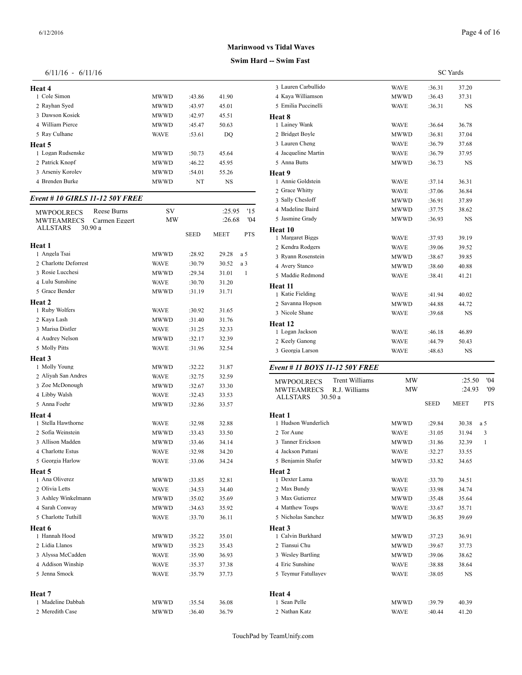| Heat 4            |             |        |       | 3 Lauren Carbul |
|-------------------|-------------|--------|-------|-----------------|
| 1 Cole Simon      | <b>MWWD</b> | :43.86 | 41.90 | 4 Kaya William: |
| 2 Rayhan Syed     | <b>MWWD</b> | :43.97 | 45.01 | 5 Emilia Puccin |
| 3 Dawson Kosiek   | <b>MWWD</b> | :42.97 | 45.51 | Heat 8          |
| 4 William Pierce  | <b>MWWD</b> | :45.47 | 50.63 | 1 Lainey Wank   |
| 5 Rav Culhane     | <b>WAVE</b> | :53.61 | DO.   | 2 Bridget Boyle |
| Heat 5            |             |        |       | 3 Lauren Cheng  |
| 1 Logan Rudsenske | MWWD        | :50.73 | 45.64 | 4 Jacqueline Ma |
| 2. Patrick Knopf  | <b>MWWD</b> | :46.22 | 45.95 | 5 Anna Butts    |
| 3 Arseniy Koroley | <b>MWWD</b> | :54.01 | 55.26 | Heat 9          |
| 4 Brenden Burke   | <b>MWWD</b> | NT     | NS    | 1 Annie Goldste |

## *Event # 10 GIRLS 11-12 50Y FREE*

| Reese Burns<br><b>MWPOOLRECS</b>   | SV          |             | :25.95      | '15          | 4 Madeline Baird                           | <b>MWWD</b> | :37.75      | 38.62       |
|------------------------------------|-------------|-------------|-------------|--------------|--------------------------------------------|-------------|-------------|-------------|
| <b>MWTEAMRECS</b><br>Carmen Eggert | <b>MW</b>   |             | :26.68      | '04          | 5 Jasmine Grady                            | <b>MWWD</b> | :36.93      | <b>NS</b>   |
| <b>ALLSTARS</b><br>30.90 a         |             |             |             |              | Heat 10                                    |             |             |             |
|                                    |             | <b>SEED</b> | <b>MEET</b> | <b>PTS</b>   | 1 Margaret Biggs                           | <b>WAVE</b> | :37.93      | 39.19       |
| Heat 1                             |             |             |             |              | 2 Kendra Rodgers                           | <b>WAVE</b> | :39.06      | 39.52       |
| 1 Angela Tsai                      | <b>MWWD</b> | :28.92      | 29.28       | a 5          | 3 Ryann Rosenstein                         | <b>MWWD</b> | :38.67      | 39.85       |
| 2 Charlotte Deforrest              | <b>WAVE</b> | :30.79      | 30.52       | a 3          | 4 Avery Stanco                             | <b>MWWD</b> | :38.60      | 40.88       |
| 3 Rosie Lucchesi                   | <b>MWWD</b> | :29.34      | 31.01       | $\mathbf{1}$ | 5 Maddie Redmond                           | <b>WAVE</b> | :38.41      | 41.21       |
| 4 Lulu Sunshine                    | <b>WAVE</b> | :30.70      | 31.20       |              | Heat 11                                    |             |             |             |
| 5 Grace Bender                     | <b>MWWD</b> | :31.19      | 31.71       |              | 1 Katie Fielding                           | <b>WAVE</b> | :41.94      | 40.02       |
| Heat 2                             |             |             |             |              | 2 Savanna Hopson                           | <b>MWWD</b> | :44.88      | 44.72       |
| 1 Ruby Wolfers                     | <b>WAVE</b> | :30.92      | 31.65       |              | 3 Nicole Shane                             | <b>WAVE</b> | :39.68      | <b>NS</b>   |
| 2 Kaya Lash                        | <b>MWWD</b> | :31.40      | 31.76       |              | Heat 12                                    |             |             |             |
| 3 Marisa Distler                   | <b>WAVE</b> | :31.25      | 32.33       |              | 1 Logan Jackson                            | <b>WAVE</b> | :46.18      | 46.89       |
| 4 Audrey Nelson                    | <b>MWWD</b> | :32.17      | 32.39       |              | 2 Keely Ganong                             | <b>WAVE</b> | :44.79      | 50.43       |
| 5 Molly Pitts                      | <b>WAVE</b> | :31.96      | 32.54       |              | 3 Georgia Larson                           | <b>WAVE</b> | :48.63      | <b>NS</b>   |
| Heat 3                             |             |             |             |              |                                            |             |             |             |
| 1 Molly Young                      | <b>MWWD</b> | :32.22      | 31.87       |              | Event # 11 BOYS 11-12 50Y FREE             |             |             |             |
| 2 Aliyah San Andres                | <b>WAVE</b> | :32.75      | 32.59       |              | <b>Trent Williams</b><br><b>MWPOOLRECS</b> | MW          |             | :25.3       |
| 3 Zoe McDonough                    | <b>MWWD</b> | :32.67      | 33.30       |              | R.J. Williams<br>MWTEAMRECS                | <b>MW</b>   |             | :24.9       |
| 4 Libby Walsh                      | <b>WAVE</b> | :32.43      | 33.53       |              | <b>ALLSTARS</b><br>30.50a                  |             |             |             |
| 5 Anna Foehr                       | <b>MWWD</b> | :32.86      | 33.57       |              |                                            |             | <b>SEED</b> | <b>MEET</b> |
| Heat 4                             |             |             |             |              | Heat 1                                     |             |             |             |
| 1 Stella Hawthorne                 | <b>WAVE</b> | :32.98      | 32.88       |              | 1 Hudson Wunderlich                        | <b>MWWD</b> | :29.84      | 30.38       |
| 2 Sofia Weinstein                  | <b>MWWD</b> | :33.43      | 33.50       |              | 2 Tor Aune                                 | <b>WAVE</b> | :31.05      | 31.94       |
| 3 Allison Madden                   | <b>MWWD</b> | :33.46      | 34.14       |              | 3 Tanner Erickson                          | <b>MWWD</b> | :31.86      | 32.39       |
| 4 Charlotte Estus                  | <b>WAVE</b> | :32.98      | 34.20       |              | 4 Jackson Pattani                          | <b>WAVE</b> | :32.27      | 33.55       |
| 5 Georgia Harlow                   | <b>WAVE</b> | :33.06      | 34.24       |              | 5 Benjamin Shafer                          | <b>MWWD</b> | :33.82      | 34.65       |
| Heat 5                             |             |             |             |              | Heat 2                                     |             |             |             |
| 1 Ana Oliverez                     | <b>MWWD</b> | :33.85      | 32.81       |              | 1 Dexter Lama                              | <b>WAVE</b> | :33.70      | 34.51       |
| 2 Olivia Letts                     | <b>WAVE</b> | :34.53      | 34.40       |              | 2 Max Bundy                                | <b>WAVE</b> | :33.98      | 34.74       |
| 3 Ashley Winkelmann                | <b>MWWD</b> | :35.02      | 35.69       |              | 3 Max Gutierrez                            | <b>MWWD</b> | :35.48      | 35.64       |
| 4 Sarah Conway                     | <b>MWWD</b> | :34.63      | 35.92       |              | 4 Matthew Toups                            | <b>WAVE</b> | :33.67      | 35.71       |
| 5 Charlotte Tuthill                | <b>WAVE</b> | :33.70      | 36.11       |              | 5 Nicholas Sanchez                         | <b>MWWD</b> | :36.85      | 39.69       |
| Heat 6                             |             |             |             |              | Heat <sub>3</sub>                          |             |             |             |
| 1 Hannah Hood                      | <b>MWWD</b> | :35.22      | 35.01       |              | 1 Calvin Burkhard                          | <b>MWWD</b> | :37.23      | 36.91       |
| 2 Lidia Llanos                     | <b>MWWD</b> | :35.23      | 35.43       |              | 2 Tiansui Chu                              | <b>MWWD</b> | :39.67      | 37.73       |
| 3 Alyssa McCadden                  | <b>WAVE</b> | :35.90      | 36.93       |              | 3 Wesley Bartling                          | <b>MWWD</b> | :39.06      | 38.62       |
| 4 Addison Winship                  | <b>WAVE</b> | :35.37      | 37.38       |              | 4 Eric Sunshine                            | <b>WAVE</b> | :38.88      | 38.64       |
| 5 Jenna Smock                      | <b>WAVE</b> | :35.79      | 37.73       |              | 5 Teymur Fatullayev                        | <b>WAVE</b> | :38.05      | <b>NS</b>   |
| Heat 7                             |             |             |             |              | Heat 4                                     |             |             |             |
| 1 Madeline Dabbah                  | <b>MWWD</b> | :35.54      | 36.08       |              | 1 Sean Pelle                               | <b>MWWD</b> | :39.79      | 40.39       |
| 2 Meredith Case                    | <b>MWWD</b> | :36.40      | 36.79       |              | 2 Nathan Katz                              | <b>WAVE</b> | :40.44      | 41.20       |

| 3 Lauren Carbullido                 | <b>WAVE</b> | :36.31      | 37.20       |            |
|-------------------------------------|-------------|-------------|-------------|------------|
| 4 Kaya Williamson                   | MWWD        | :36.43      | 37.31       |            |
| 5 Emilia Puccinelli                 | <b>WAVE</b> | :36.31      | NS          |            |
| Heat 8                              |             |             |             |            |
| 1 Lainey Wank                       | <b>WAVE</b> | :36.64      | 36.78       |            |
| 2 Bridget Boyle                     | MWWD        | :36.81      | 37.04       |            |
| 3 Lauren Cheng                      | <b>WAVE</b> | :36.79      | 37.68       |            |
| 4 Jacqueline Martin                 | <b>WAVE</b> | :36.79      | 37.95       |            |
| 5 Anna Butts                        | MWWD        | :36.73      | <b>NS</b>   |            |
| Heat 9                              |             |             |             |            |
| 1 Annie Goldstein                   | <b>WAVE</b> | :37.14      | 36.31       |            |
| 2 Grace Whitty                      | <b>WAVE</b> | :37.06      | 36.84       |            |
| 3 Sally Chesloff                    | MWWD        | :36.91      | 37.89       |            |
| 4 Madeline Baird                    | MWWD        | :37.75      | 38.62       |            |
| 5 Jasmine Grady                     | MWWD        | :36.93      | NS          |            |
| Heat 10                             |             |             |             |            |
| 1 Margaret Biggs                    | <b>WAVE</b> | :37.93      | 39.19       |            |
| 2 Kendra Rodgers                    | <b>WAVE</b> | :39.06      | 39.52       |            |
| 3 Ryann Rosenstein                  | MWWD        | :38.67      | 39.85       |            |
| 4 Avery Stanco                      | <b>MWWD</b> | :38.60      | 40.88       |            |
| 5 Maddie Redmond                    | <b>WAVE</b> | :38.41      | 41.21       |            |
| Heat 11                             |             |             |             |            |
| 1 Katie Fielding                    | <b>WAVE</b> | :41.94      | 40.02       |            |
| 2 Savanna Hopson                    | MWWD        | :44.88      | 44.72       |            |
| 3 Nicole Shane                      | <b>WAVE</b> | :39.68      | NS          |            |
| Heat 12                             |             |             |             |            |
| 1 Logan Jackson                     | <b>WAVE</b> | :46.18      | 46.89       |            |
| 2 Keely Ganong                      | <b>WAVE</b> | :44.79      | 50.43       |            |
| 3 Georgia Larson                    | <b>WAVE</b> | :48.63      | <b>NS</b>   |            |
| Event # 11 BOYS 11-12 50Y FREE      |             |             |             |            |
| Trent Williams<br><b>MWPOOLRECS</b> | MW          |             | :25.50      | '04        |
| <b>MWTEAMRECS</b><br>R.J. Williams  | МW          |             | :24.93      | '09        |
| <b>ALLSTARS</b><br>30.50 a          |             |             |             |            |
|                                     |             | <b>SEED</b> | <b>MEET</b> | <b>PTS</b> |
| Heat 1                              |             |             |             |            |
| 1 Hudson Wunderlich                 | MWWD        | :29.84      | 30.38       | a 5        |
| 2 Tor Aune                          | <b>WAVE</b> | :31.05      | 31.94       | 3          |
| 3 Tanner Erickson                   | <b>MWWD</b> | $-31.86$    | 32.39       | -1         |

| 2 Tor Aune          | <b>WAVE</b> | :31.05 | 31.94     | 3 |
|---------------------|-------------|--------|-----------|---|
| 3 Tanner Erickson   | MWWD        | :31.86 | 32.39     | 1 |
| 4 Jackson Pattani   | <b>WAVE</b> | :32.27 | 33.55     |   |
| 5 Benjamin Shafer   | MWWD        | :33.82 | 34.65     |   |
| Heat 2              |             |        |           |   |
| 1 Dexter Lama       | <b>WAVE</b> | :33.70 | 34.51     |   |
| 2 Max Bundy         | <b>WAVE</b> | :33.98 | 34.74     |   |
| 3 Max Gutierrez     | <b>MWWD</b> | :35.48 | 35.64     |   |
| 4 Matthew Toups     | <b>WAVE</b> | :33.67 | 35.71     |   |
| 5 Nicholas Sanchez  | MWWD        | :36.85 | 39.69     |   |
| Heat 3              |             |        |           |   |
| 1 Calvin Burkhard   | <b>MWWD</b> | :37.23 | 36.91     |   |
| 2 Tiansui Chu       | <b>MWWD</b> | :39.67 | 37.73     |   |
| 3 Wesley Bartling   | MWWD        | :39.06 | 38.62     |   |
| 4 Eric Sunshine     | <b>WAVE</b> | :38.88 | 38.64     |   |
| 5 Teymur Fatullayev | <b>WAVE</b> | :38.05 | <b>NS</b> |   |
|                     |             |        |           |   |
| Heat 4              |             |        |           |   |
| 1 Sean Pelle        | <b>MWWD</b> | :39.79 | 40.39     |   |

SC Yards

**Swim Hard -- Swim Fast Marinwood vs Tidal Waves**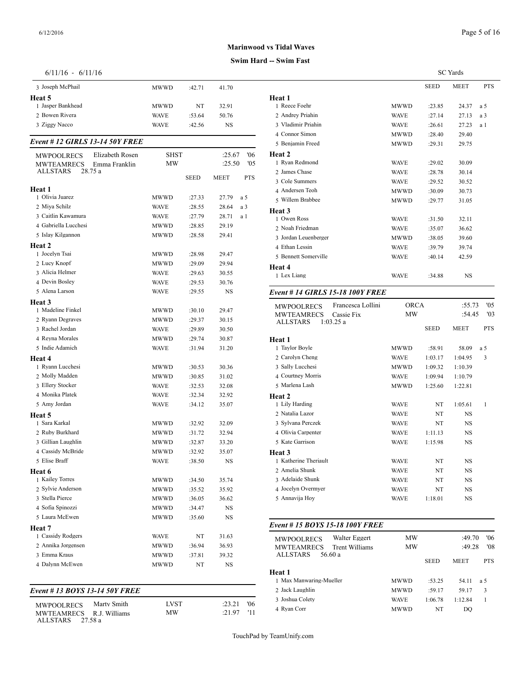## **Swim Hard**

| $6/11/16$ - | 6/11/16 |  |
|-------------|---------|--|
|-------------|---------|--|

| $6/11/16 - 6/11/16$                  |                            |             |             |     |                                         |
|--------------------------------------|----------------------------|-------------|-------------|-----|-----------------------------------------|
| 3 Joseph McPhail                     | MWWD                       | :42.71      | 41.70       |     |                                         |
| Heat 5                               |                            |             |             |     | Heat 1                                  |
| 1 Jasper Bankhead                    | MWWD                       | NT          | 32.91       |     | 1 Reece Foehr                           |
| 2 Bowen Rivera<br>3 Ziggy Nacco      | <b>WAVE</b><br><b>WAVE</b> | :53.64      | 50.76<br>NS |     | 2 Andrey Priahin<br>3 Vladimir Priahir  |
|                                      |                            | :42.56      |             |     | 4 Connor Simon                          |
| Event # 12 GIRLS 13-14 50Y FREE      |                            |             |             |     | 5 Benjamin Freed                        |
| Elizabeth Rosen<br><b>MWPOOLRECS</b> | <b>SHST</b>                |             | :25.67      | '06 | <b>Heat 2</b>                           |
| <b>MWTEAMRECS</b><br>Emma Franklin   | MW                         |             | :25.50      | '05 | 1 Ryan Redmond                          |
| <b>ALLSTARS</b><br>28.75 a           |                            | <b>SEED</b> | MEET        | PTS | 2 James Chase                           |
| Heat 1                               |                            |             |             |     | 3 Cole Summers                          |
| 1 Olivia Juarez                      | MWWD                       | :27.33      | 27.79       | a 5 | 4 Andersen Teoh                         |
| 2 Miya Schilz                        | WAVE                       | :28.55      | 28.64       | a 3 | 5 Willem Brabbee                        |
| 3 Caitlin Kawamura                   | <b>WAVE</b>                | :27.79      | 28.71       | a 1 | Heat 3                                  |
| 4 Gabriella Lucchesi                 | MWWD                       | :28.85      | 29.19       |     | 1 Owen Ross                             |
| 5 Islay Kilgannon                    | MWWD                       | :28.58      | 29.41       |     | 2 Noah Friedman<br>3 Jordan Leuenber    |
| Heat 2                               |                            |             |             |     | 4 Ethan Lessin                          |
| 1 Jocelyn Tsai                       | MWWD                       | :28.98      | 29.47       |     | 5 Bennett Somerv                        |
| 2 Lucy Knopf                         | MWWD                       | :29.09      | 29.94       |     |                                         |
| 3 Alicia Helmer                      | <b>WAVE</b>                | :29.63      | 30.55       |     | Heat 4<br>1 Lex Liang                   |
| 4 Devin Bosley                       | <b>WAVE</b>                | :29.53      | 30.76       |     |                                         |
| 5 Alena Larson                       | <b>WAVE</b>                | :29.55      | NS          |     | Event # 14 GIRI                         |
| Heat 3                               |                            |             |             |     |                                         |
| 1 Madeline Finkel                    | MWWD                       | :30.10      | 29.47       |     | MWPOOLRECS<br>MWTEAMREC                 |
| 2 Ryann Degraves                     | MWWD                       | :29.37      | 30.15       |     | <b>ALLSTARS</b>                         |
| 3 Rachel Jordan                      | <b>WAVE</b>                | :29.89      | 30.50       |     |                                         |
| 4 Reyna Morales                      | MWWD                       | :29.74      | 30.87       |     | Heat 1                                  |
| 5 Indie Adamich                      | <b>WAVE</b>                | :31.94      | 31.20       |     | 1 Taylor Boyle                          |
| Heat 4                               |                            |             |             |     | 2 Carolyn Cheng                         |
| 1 Ryann Lucchesi                     | MWWD                       | :30.53      | 30.36       |     | 3 Sally Lucchesi                        |
| 2 Molly Madden                       | MWWD                       | :30.85      | 31.02       |     | 4 Courtney Morris                       |
| 3 Ellery Stocker                     | <b>WAVE</b>                | :32.53      | 32.08       |     | 5 Marlena Lash                          |
| 4 Monika Platek                      | <b>WAVE</b>                | :32.34      | 32.92       |     | Heat 2                                  |
| 5 Amy Jordan                         | WAVE                       | :34.12      | 35.07       |     | 1 Lily Harding                          |
| Heat 5                               |                            |             |             |     | 2 Natalia Lazor                         |
| 1 Sara Karkal                        | MWWD                       | :32.92      | 32.09       |     | 3 Sylvana Perczek                       |
| 2 Ruby Burkhard                      | MWWD                       | :31.72      | 32.94       |     | 4 Olivia Carpenter                      |
| 3 Gillian Laughlin                   | MWWD                       | :32.87      | 33.20       |     | 5 Kate Garrison                         |
| 4 Cassidy McBride                    | <b>MWWD</b>                | :32.92      | 35.07       |     | Heat 3                                  |
| 5 Elise Braff                        | WAVE                       | :38.50      | NS          |     | 1 Katherine Theria                      |
| Heat 6                               |                            |             |             |     | 2 Amelia Shunk                          |
| 1 Kailey Torres                      | MWWD                       | :34.50      | 35.74       |     | 3 Adelaide Shunk                        |
| 2 Sylvie Anderson                    | MWWD                       | :35.52      | 35.92       |     | 4 Jocelyn Overmy                        |
| 3 Stella Pierce                      | MWWD                       | :36.05      | 36.62       |     | 5 Annavija Hoy                          |
| 4 Sofia Spinozzi                     | <b>MWWD</b>                | :34.47      | NS          |     |                                         |
| 5 Laura McEwen                       | <b>MWWD</b>                | :35.60      | NS          |     |                                         |
| Heat 7                               |                            |             |             |     | Event # 15 <b>BOY</b>                   |
| 1 Cassidy Rodgers                    | <b>WAVE</b>                | NT          | 31.63       |     | <b>MWPOOLRECS</b>                       |
| 2 Annika Jorgensen                   | MWWD                       | :36.94      | 36.93       |     | MWTEAMREC                               |
| 3 Emma Kraus                         | MWWD                       | :37.81      | 39.32       |     | ALLSTARS                                |
| 4 Dalynn McEwen                      | MWWD                       | NT          | NS          |     | Heat 1                                  |
|                                      |                            |             |             |     | 1 Max Manwaring                         |
| Event #13 BOYS 13-14 50Y FREE        |                            |             |             |     | 2 Jack Laughlin                         |
|                                      |                            |             |             |     | 3 Joshua Colety                         |
| Marty Smith<br><b>MWPOOLRECS</b>     | LVST                       |             | :23.21      | '06 | $\triangle$ Drian<br>$\curvearrowright$ |

MWTEAMRECS R.J. Williams MW :21.97 '11 <sup>4</sup> Wan Core

ALLSTARS 27.58 a

| l -- Swim Fast                             |             |             |                 |            |
|--------------------------------------------|-------------|-------------|-----------------|------------|
|                                            |             |             | <b>SC</b> Yards |            |
|                                            |             | <b>SEED</b> | <b>MEET</b>     | <b>PTS</b> |
| Heat 1                                     |             |             |                 |            |
| 1 Reece Foehr                              | MWWD        | :23.85      | 24.37           | a 5        |
| 2 Andrey Priahin                           | <b>WAVE</b> | :27.14      | 27.13           | a 3        |
| 3 Vladimir Priahin                         | <b>WAVE</b> | :26.61      | 27.23           | a 1        |
| 4 Connor Simon                             | MWWD        | :28.40      | 29.40           |            |
| 5 Benjamin Freed                           | MWWD        | :29.31      | 29.75           |            |
| Heat 2                                     |             |             |                 |            |
| 1 Ryan Redmond                             | <b>WAVE</b> | :29.02      | 30.09           |            |
| 2 James Chase                              | <b>WAVE</b> | :28.78      | 30.14           |            |
| 3 Cole Summers                             | <b>WAVE</b> | :29.52      | 30.52           |            |
| 4 Andersen Teoh                            | MWWD        | :30.09      | 30.73           |            |
| 5 Willem Brabbee                           | MWWD        | :29.77      | 31.05           |            |
| Heat 3                                     |             |             |                 |            |
| 1 Owen Ross                                | <b>WAVE</b> | :31.50      | 32.11           |            |
| 2 Noah Friedman                            | <b>WAVE</b> | :35.07      | 36.62           |            |
| 3 Jordan Leuenberger                       | MWWD        | :38.05      | 39.60           |            |
| 4 Ethan Lessin                             | <b>WAVE</b> | :39.79      | 39.74           |            |
| 5 Bennett Somerville                       | <b>WAVE</b> | :40.14      | 42.59           |            |
| Heat 4                                     |             |             |                 |            |
| 1 Lex Liang                                | <b>WAVE</b> | :34.88      | NS              |            |
| <b>Event # 14 GIRLS 15-18 100Y FREE</b>    |             |             |                 |            |
| Francesca Lollini<br>MWPOOLRECS            | <b>ORCA</b> |             | :55.73          | '05        |
| <b>MWTEAMRECS</b><br>Cassie Fix            | МW          |             | :54.45          | '03        |
| <b>ALLSTARS</b><br>1:03.25a                |             |             |                 |            |
|                                            |             | <b>SEED</b> | MEET            | <b>PTS</b> |
| Heat 1                                     |             |             |                 |            |
| 1 Taylor Boyle                             | MWWD        | :58.91      | 58.09           | a 5        |
| 2 Carolyn Cheng                            | <b>WAVE</b> | 1:03.17     | 1:04.95         | 3          |
| 3 Sally Lucchesi                           | <b>MWWD</b> | 1:09.32     | 1:10.39         |            |
| 4 Courtney Morris                          | <b>WAVE</b> | 1:09.94     | 1:10.79         |            |
| 5 Marlena Lash                             | MWWD        | 1:25.60     | 1:22.81         |            |
| Heat 2                                     |             |             |                 |            |
| 1 Lily Harding                             | <b>WAVE</b> | NT          | 1:05.61         | 1          |
| 2 Natalia Lazor                            | <b>WAVE</b> | NT          | NS              |            |
| 3 Sylvana Perczek                          | <b>WAVE</b> | NΤ          | NS              |            |
| 4 Olivia Carpenter                         | <b>WAVE</b> | 1:11.13     | NS              |            |
| 5 Kate Garrison                            | WAVE        | 1:15.98     | NS              |            |
| Heat 3                                     |             |             |                 |            |
| 1 Katherine Theriault                      | <b>WAVE</b> | NT          | NS              |            |
| 2 Amelia Shunk                             | <b>WAVE</b> | NT          | NS              |            |
| 3 Adelaide Shunk                           | <b>WAVE</b> | NT          | NS              |            |
| 4 Jocelyn Overmyer                         | <b>WAVE</b> | NT          | NS              |            |
| 5 Annavija Hoy                             | <b>WAVE</b> | 1:18.01     | NS              |            |
|                                            |             |             |                 |            |
| Event # 15 BOYS 15-18 100Y FREE            |             |             |                 |            |
| Walter Eggert<br><b>MWPOOLRECS</b>         | МW          |             | :49.70          | 06'        |
| <b>Trent Williams</b><br><b>MWTEAMRECS</b> | МW          |             | :49.28          | '08        |
| <b>ALLSTARS</b><br>56.60 a                 |             |             |                 |            |
|                                            |             | <b>SEED</b> | MEET            | <b>PTS</b> |
| Heat 1                                     |             |             |                 |            |
| 1 Max Manwaring-Mueller                    | MWWD        | :53.25      | 54.11           | a 5        |
| 2 Jack Laughlin                            | MWWD        | :59.17      | 59.17           | 3          |

 Joshua Colety WAVE 1:06.78 1:12.84 1 Ryan Corr MWWD NT DQ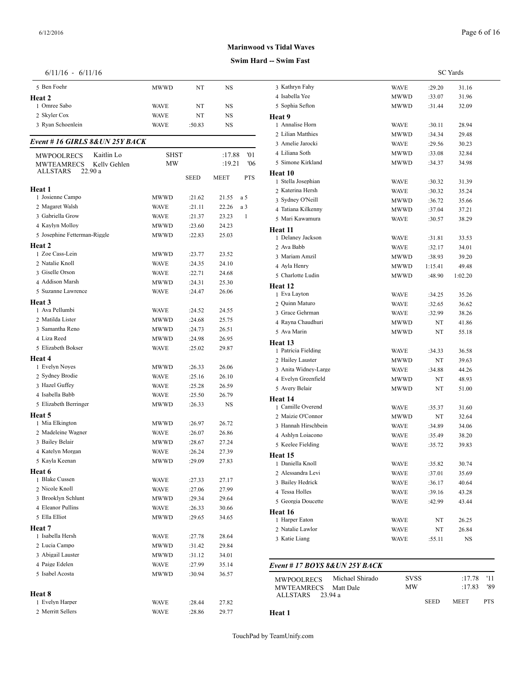## **Swim Hard -- Swim Fast**

|  | $6/11/16$ - |  | 6/11/16 |
|--|-------------|--|---------|
|--|-------------|--|---------|

| $6/11/16 - 6/11/16$               |             |        |             |              |                                        |
|-----------------------------------|-------------|--------|-------------|--------------|----------------------------------------|
| 5 Ben Foehr                       | <b>MWWD</b> | NT     | NS          |              | 3 Kathryn Fahy                         |
| Heat 2                            |             |        |             |              | 4 Isabella Yee                         |
| 1 Omree Sabo                      | WAVE        | NT     | NS          |              | 5 Sophia Sefton                        |
| 2 Skyler Cox                      | WAVE        | NT     | NS          |              | Heat 9                                 |
| 3 Ryan Schoenlein                 | <b>WAVE</b> | :50.83 | NS          |              | 1 Annalise Horn<br>2 Lilian Matthies   |
| Event #16 GIRLS 8& UN 25Y BACK    |             |        |             |              | 3 Amelie Jarocki                       |
| Kaitlin Lo<br><b>MWPOOLRECS</b>   | <b>SHST</b> |        | :17.88      | 01           | 4 Liliana Soth                         |
| <b>MWTEAMRECS</b><br>Kelly Gehlen | <b>MW</b>   |        | :19.21      | '06          | 5 Simone Kirkland                      |
| ALLSTARS<br>22.90 a               |             | SEED   | <b>MEET</b> | <b>PTS</b>   | Heat 10                                |
| Heat 1                            |             |        |             |              | 1 Stella Josephian<br>2 Katerina Hersh |
| 1 Josienne Campo                  | <b>MWWD</b> | :21.62 | 21.55       | a 5          | 3 Sydney O'Neill                       |
| 2 Magaret Walsh                   | WAVE        | :21.11 | 22.26       | a 3          | 4 Tatiana Kilkenn                      |
| 3 Gabriella Grow                  | <b>WAVE</b> | :21.37 | 23.23       | $\mathbf{1}$ | 5 Mari Kawamura                        |
| 4 Kaylyn Molloy                   | MWWD        | :23.60 | 24.23       |              | Heat 11                                |
| 5 Josephine Fetterman-Riggle      | <b>MWWD</b> | :22.83 | 25.03       |              | 1 Delaney Jackson                      |
| Heat 2                            |             |        |             |              | 2 Ava Babb                             |
| 1 Zoe Cass-Lein                   | <b>MWWD</b> | :23.77 | 23.52       |              | 3 Mariam Amzil                         |
| 2 Natalie Knoll                   | <b>WAVE</b> | :24.35 | 24.10       |              | 4 Ayla Henry                           |
| 3 Giselle Orson                   | WAVE        | :22.71 | 24.68       |              | 5 Charlotte Ludin                      |
| 4 Addison Marsh                   | MWWD        | :24.31 | 25.30       |              | Heat 12                                |
| 5 Suzanne Lawrence                | <b>WAVE</b> | :24.47 | 26.06       |              | 1 Eva Layton                           |
| Heat 3                            |             |        |             |              | 2 Quinn Maturo                         |
| 1 Ava Pellumbi                    | <b>WAVE</b> | :24.52 | 24.55       |              | 3 Grace Gehrman                        |
| 2 Matilda Lister                  | <b>MWWD</b> | :24.68 | 25.75       |              | 4 Rayna Chaudhu                        |
| 3 Samantha Reno                   | MWWD        | :24.73 | 26.51       |              | 5 Ava Marin                            |
| 4 Liza Reed                       | MWWD        | :24.98 | 26.95       |              | Heat 13                                |
| 5 Elizabeth Bokser                | <b>WAVE</b> | :25.02 | 29.87       |              | 1 Patricia Fielding                    |
| Heat 4<br>1 Evelyn Noyes          | MWWD        | :26.33 | 26.06       |              | 2 Hailey Lauster                       |
| 2 Sydney Brodie                   | WAVE        | :25.16 | 26.10       |              | 3 Anita Widney-L                       |
| 3 Hazel Guffey                    | WAVE        | :25.28 | 26.59       |              | 4 Evelyn Greenfie                      |
| 4 Isabella Babb                   | WAVE        | :25.50 | 26.79       |              | 5 Avery Belair                         |
| 5 Elizabeth Berringer             | MWWD        | :26.33 | NS          |              | Heat 14                                |
| Heat 5                            |             |        |             |              | 1 Camille Overen<br>2 Maizie O'Conno   |
| 1 Mia Elkington                   | MWWD        | :26.97 | 26.72       |              | 3 Hannah Hirschb                       |
| 2 Madeleine Wagner                | <b>WAVE</b> | :26.07 | 26.86       |              | 4 Ashlyn Loiacon                       |
| 3 Bailey Belair                   | <b>MWWD</b> | :28.67 | 27.24       |              | 5 Keelee Fielding                      |
| 4 Katelyn Morgan                  | <b>WAVE</b> | :26.24 | 27.39       |              | Heat 15                                |
| 5 Kayla Keenan                    | MWWD        | :29.09 | 27.83       |              | 1 Daniella Knoll                       |
| Heat 6                            |             |        |             |              | 2 Alessandra Levi                      |
| 1 Blake Cussen                    | WAVE        | :27.33 | 27.17       |              | 3 Bailey Hedrick                       |
| 2 Nicole Knoll                    | WAVE        | :27.06 | 27.99       |              | 4 Tessa Holles                         |
| 3 Brooklyn Schlunt                | MWWD        | :29.34 | 29.64       |              | 5 Georgia Doucett                      |
| 4 Eleanor Pullins                 | <b>WAVE</b> | :26.33 | 30.66       |              | Heat 16                                |
| 5 Ella Elliot                     | MWWD        | :29.65 | 34.65       |              | 1 Harper Eaton                         |
| Heat 7                            |             |        |             |              | 2 Natalie Lawlor                       |
| 1 Isabella Hersh                  | WAVE        | :27.78 | 28.64       |              | 3 Katie Liang                          |
| 2 Lucia Campo                     | MWWD        | :31.42 | 29.84       |              |                                        |
| 3 Abigail Lauster                 | MWWD        | :31.12 | 34.01       |              |                                        |
| 4 Paige Edelen<br>5 Isabel Acosta | WAVE        | :27.99 | 35.14       |              | Event # $17 BOY$                       |
|                                   | MWWD        | :30.94 | 36.57       |              | MWPOOLRECS                             |
| Heat 8                            |             |        |             |              | MWTEAMREC                              |
| 1 Evelyn Harper                   | WAVE        | :28.44 | 27.82       |              | ALLSTARS                               |
| 2 Merritt Sellers                 | <b>WAVE</b> | :28.86 | 29.77       |              | Heat 1                                 |
|                                   |             |        |             |              |                                        |

|                                      | <b>SC</b> Yards |         |               |
|--------------------------------------|-----------------|---------|---------------|
| 3 Kathryn Fahy                       | WAVE            | :29.20  | 31.16         |
| 4 Isabella Yee                       | MWWD            | :33.07  | 31.96         |
| 5 Sophia Sefton                      | MWWD            | :31.44  | 32.09         |
| Heat 9                               |                 |         |               |
| 1 Annalise Horn                      | WAVE            | :30.11  | 28.94         |
| 2 Lilian Matthies                    | MWWD            | :34.34  | 29.48         |
| 3 Amelie Jarocki                     | WAVE            | :29.56  | 30.23         |
| 4 Liliana Soth                       | MWWD            | :33.08  | 32.84         |
| 5 Simone Kirkland                    | MWWD            | :34.37  | 34.98         |
| Heat 10                              |                 |         |               |
| 1 Stella Josephian                   | WAVE            | :30.32  | 31.39         |
| 2 Katerina Hersh                     | WAVE            | :30.32  | 35.24         |
| 3 Sydney O'Neill                     | MWWD            | :36.72  | 35.66         |
| 4 Tatiana Kilkenny                   | MWWD            | :37.04  | 37.21         |
| 5 Mari Kawamura                      | <b>WAVE</b>     | :30.57  | 38.29         |
| Heat 11                              |                 |         |               |
| 1 Delaney Jackson                    | WAVE            | :31.81  | 33.53         |
| 2 Ava Babb                           | <b>WAVE</b>     | :32.17  | 34.01         |
| 3 Mariam Amzil                       | MWWD            | :38.93  | 39.20         |
| 4 Ayla Henry                         | MWWD            | 1:15.41 | 49.48         |
| 5 Charlotte Ludin                    | MWWD            | :48.90  | 1:02.20       |
| Heat 12                              |                 |         |               |
| 1 Eva Layton                         | WAVE            | :34.25  | 35.26         |
| 2 Quinn Maturo                       | WAVE            | :32.65  | 36.62         |
| 3 Grace Gehrman                      | WAVE            | :32.99  | 38.26         |
| 4 Rayna Chaudhuri                    | MWWD            | NT      | 41.86         |
| 5 Ava Marin                          | MWWD            | NT      | 55.18         |
| Heat 13                              |                 |         |               |
| 1 Patricia Fielding                  | WAVE            | :34.33  | 36.58         |
| 2 Hailey Lauster                     | MWWD            | NT      | 39.63         |
| 3 Anita Widney-Large                 | WAVE            | :34.88  | 44.26         |
| 4 Evelyn Greenfield                  | MWWD            | NT      | 48.93         |
| 5 Avery Belair                       | MWWD            | NT      | 51.00         |
| Heat 14                              |                 |         |               |
| 1 Camille Overend                    | WAVE            | :35.37  | 31.60         |
| 2 Maizie O'Connor                    | MWWD            | NT      | 32.64         |
| 3 Hannah Hirschbein                  | WAVE            | :34.89  | 34.06         |
| 4 Ashlyn Loiacono                    | <b>WAVE</b>     | :35.49  | 38.20         |
| 5 Keelee Fielding                    | <b>WAVE</b>     | :35.72  | 39.83         |
| Heat 15                              |                 |         |               |
| 1 Daniella Knoll                     | WAVE            | :35.82  | 30.74         |
| 2 Alessandra Levi                    | WAVE            | :37.01  | 35.69         |
| 3 Bailey Hedrick                     | WAVE            | :36.17  | 40.64         |
| 4 Tessa Holles                       | WAVE            | :39.16  | 43.28         |
| 5 Georgia Doucette                   | WAVE            | :42.99  | 43.44         |
| Heat 16                              |                 |         |               |
| 1 Harper Eaton                       | WAVE            | NT      | 26.25         |
| 2 Natalie Lawlor                     | WAVE            | NT      | 26.84         |
| 3 Katie Liang                        | WAVE            | :55.11  | NS            |
|                                      |                 |         |               |
| Event # 17 BOYS 8& UN 25Y BACK       |                 |         |               |
| Michael Shirado<br><b>MWPOOLRECS</b> | SVSS            |         | '11<br>:17.78 |
| <b>MWTEAMRECS</b><br>Matt Dale       | ΜW              |         | :17.83<br>'89 |

ALLSTARS 23.94 a

SEED MEET PTS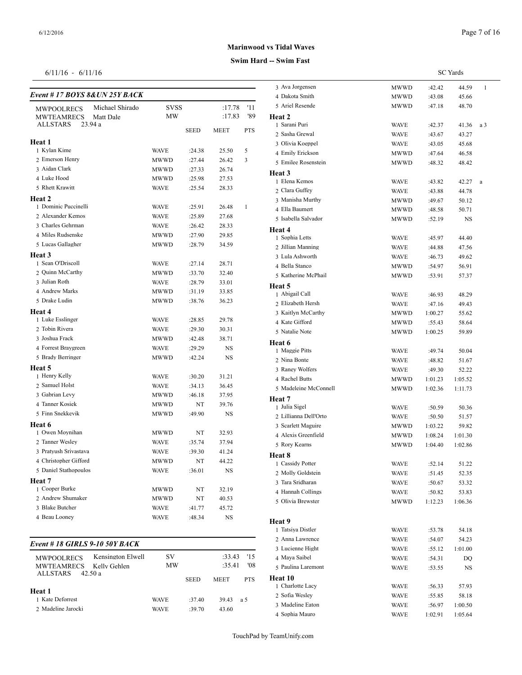## *Event # 17 BOYS 8&UN 25Y BACK*

|                                |             |             |             |               | 4 дакога эшпи      |
|--------------------------------|-------------|-------------|-------------|---------------|--------------------|
| Michael Shirado<br>MWPOOLRECS  | <b>SVSS</b> |             | :17.78      | '11           | 5 Ariel Resende    |
| <b>MWTEAMRECS</b><br>Matt Dale | <b>MW</b>   |             | :17.83      | '89<br>Heat 2 |                    |
| 23.94 a<br><b>ALLSTARS</b>     |             | <b>SEED</b> | <b>MEET</b> | <b>PTS</b>    | 1 Sarani Puri      |
|                                |             |             |             |               | 2 Sasha Grewal     |
| <b>Heat 1</b><br>1 Kylan Kime  |             |             |             | 5             | 3 Olivia Koeppel   |
| 2 Emerson Henry                | <b>WAVE</b> | :24.38      | 25.50       | 3             | 4 Emily Erickson   |
| 3 Aidan Clark                  | <b>MWWD</b> | :27.44      | 26.42       |               | 5 Emilee Rosenste  |
| 4 Luke Hood                    | <b>MWWD</b> | :27.33      | 26.74       | Heat 3        |                    |
| 5 Rhett Krawitt                | MWWD        | :25.98      | 27.53       |               | 1 Elena Kemos      |
|                                | <b>WAVE</b> | :25.54      | 28.33       |               | 2 Clara Guffey     |
| Heat 2                         |             |             |             |               | 3 Manisha Murthy   |
| 1 Dominic Puccinelli           | <b>WAVE</b> | :25.91      | 26.48       | $\mathbf{1}$  | 4 Ella Baumert     |
| 2 Alexander Kemos              | <b>WAVE</b> | :25.89      | 27.68       |               | 5 Isabella Salvado |
| 3 Charles Gehrman              | <b>WAVE</b> | :26.42      | 28.33       | Heat 4        |                    |
| 4 Miles Rudsenske              | <b>MWWD</b> | :27.90      | 29.85       |               | 1 Sophia Letts     |
| 5 Lucas Gallagher              | MWWD        | :28.79      | 34.59       |               | 2 Jillian Manning  |
| Heat 3                         |             |             |             |               | 3 Lula Ashworth    |
| 1 Sean O'Driscoll              | <b>WAVE</b> | :27.14      | 28.71       |               | 4 Bella Stanco     |
| 2 Quinn McCarthy               | MWWD        | :33.70      | 32.40       |               | 5 Katherine McPh   |
| 3 Julian Roth                  | <b>WAVE</b> | :28.79      | 33.01       | Heat 5        |                    |
| 4 Andrew Marks                 | MWWD        | :31.19      | 33.85       |               | 1 Abigail Call     |
| 5 Drake Ludin                  | <b>MWWD</b> | :38.76      | 36.23       |               | 2 Elizabeth Hersh  |
| Heat 4                         |             |             |             |               | 3 Kaitlyn McCartl  |
| 1 Luke Esslinger               | <b>WAVE</b> | :28.85      | 29.78       |               | 4 Kate Gifford     |
| 2 Tobin Rivera                 | <b>WAVE</b> | :29.30      | 30.31       |               | 5 Natalie Note     |
| 3 Joshua Frack                 | MWWD        | :42.48      | 38.71       | Heat 6        |                    |
| 4 Forrest Braygreen            | <b>WAVE</b> | :29.29      | NS          |               | 1 Maggie Pitts     |
| 5 Brady Berringer              | MWWD        | :42.24      | NS          |               | 2 Nina Bonte       |
| Heat 5                         |             |             |             |               | 3 Raney Wolfers    |
| 1 Henry Kelly                  | <b>WAVE</b> | :30.20      | 31.21       |               | 4 Rachel Butts     |
| 2 Samuel Holst                 | <b>WAVE</b> | :34.13      | 36.45       |               | 5 Madeleine McC    |
| 3 Gabrian Levy                 | MWWD        | :46.18      | 37.95       | Heat 7        |                    |
| 4 Tanner Kosiek                | MWWD        | NT          | 39.76       |               | 1 Julia Sigel      |
| 5 Finn Snekkevik               | MWWD        | :49.90      | NS          |               | 2 Lillianna Dell'O |
| Heat 6                         |             |             |             |               | 3 Scarlett Maguire |
| 1 Owen Moynihan                | MWWD        | NT          | 32.93       |               | 4 Alexis Greenfiel |
| 2 Tanner Wesley                | <b>WAVE</b> | :35.74      | 37.94       |               | 5 Rory Kearns      |
| 3 Pratyush Srivastava          | <b>WAVE</b> | :39.30      | 41.24       | Heat 8        |                    |
| 4 Christopher Gifford          | MWWD        | NT          | 44.22       |               | 1 Cassidy Potter   |
| 5 Daniel Stathopoulos          | <b>WAVE</b> | :36.01      | NS          |               | 2 Molly Goldstein  |
| <b>Heat</b> 7                  |             |             |             |               | 3 Tara Sridharan   |
| 1 Cooper Burke                 | <b>MWWD</b> | NT          | 32.19       |               | 4 Hannah Collings  |
| 2 Andrew Shumaker              | <b>MWWD</b> | NT          | 40.53       |               | 5 Olivia Brewster  |
| 3 Blake Butcher                | <b>WAVE</b> | :41.77      | 45.72       |               |                    |
| 4 Beau Looney                  | <b>WAVE</b> | :48.34      | <b>NS</b>   | Heat 9        |                    |
|                                |             |             |             |               |                    |

## *Event # 18 GIRLS 9-10 50Y BACK*

| <b>MWPOOLRECS</b><br><b>MWTEAMRECS</b> | Kensington Elwell<br>Kelly Gehlen | SV<br>MW    |             | :33.43<br>:35.41 | 15<br>'08  | $1 - 1$<br>4 Maya Saibel<br>5 Paulina Laremor |
|----------------------------------------|-----------------------------------|-------------|-------------|------------------|------------|-----------------------------------------------|
| ALLSTARS                               | 42.50 a                           |             | <b>SEED</b> | <b>MEET</b>      | <b>PTS</b> | Heat 10<br>1 Charlotte Lacy                   |
| Heat 1<br>1 Kate Deforrest             |                                   | <b>WAVE</b> | $-37.40$    | 39.43            | a 5        | 2 Sofia Wesley                                |
| 2 Madeline Jarocki                     |                                   | <b>WAVE</b> | $-39.70$    | 43.60            |            | 3 Madeline Eaton<br>4. Sophia Mauro           |

**Swim Hard -- Swim Fast Marinwood vs Tidal Waves**

SC Yards

| 3 Ava Jorgensen       | MWWD        | :42.42  | 44.59   | 1        |  |
|-----------------------|-------------|---------|---------|----------|--|
| 4 Dakota Smith        | MWWD        | :43.08  | 45.66   |          |  |
| 5 Ariel Resende       | MWWD        | :47.18  | 48.70   |          |  |
| Heat 2                |             |         |         |          |  |
| 1 Sarani Puri         | WAVE        | :42.37  | 41.36   | a 3      |  |
| 2 Sasha Grewal        | <b>WAVE</b> | :43.67  | 43.27   |          |  |
| 3 Olivia Koeppel      | WAVE        | :43.05  | 45.68   |          |  |
| 4 Emily Erickson      | MWWD        | :47.64  | 46.58   |          |  |
| 5 Emilee Rosenstein   | MWWD        | :48.32  | 48.42   |          |  |
| Heat 3                |             |         |         |          |  |
| 1 Elena Kemos         | WAVE        | :43.82  | 42.27   | $\rm{a}$ |  |
| 2 Clara Guffey        | <b>WAVE</b> | :43.88  | 44.78   |          |  |
| 3 Manisha Murthy      | MWWD        | :49.67  | 50.12   |          |  |
| 4 Ella Baumert        | MWWD        | :48.58  | 50.71   |          |  |
| 5 Isabella Salvador   | MWWD        | :52.19  | NS      |          |  |
| Heat 4                |             |         |         |          |  |
| 1 Sophia Letts        | WAVE        | :45.97  | 44.40   |          |  |
| 2 Jillian Manning     | WAVE        | :44.88  | 47.56   |          |  |
| 3 Lula Ashworth       | WAVE        | :46.73  | 49.62   |          |  |
| 4 Bella Stanco        | MWWD        | :54.97  | 56.91   |          |  |
| 5 Katherine McPhail   | <b>MWWD</b> | :53.91  | 57.37   |          |  |
| Heat 5                |             |         |         |          |  |
| 1 Abigail Call        | WAVE        | :46.93  | 48.29   |          |  |
| 2 Elizabeth Hersh     | WAVE        | :47.16  | 49.43   |          |  |
| 3 Kaitlyn McCarthy    | <b>MWWD</b> | 1:00.27 | 55.62   |          |  |
| 4 Kate Gifford        | MWWD        | :55.43  | 58.64   |          |  |
| 5 Natalie Note        | MWWD        | 1:00.25 | 59.89   |          |  |
| Heat 6                |             |         |         |          |  |
| 1 Maggie Pitts        | WAVE        | :49.74  | 50.04   |          |  |
| 2 Nina Bonte          | WAVE        | :48.82  | 51.67   |          |  |
| 3 Raney Wolfers       | WAVE        | :49.30  | 52.22   |          |  |
| 4 Rachel Butts        | MWWD        | 1:01.23 | 1:05.52 |          |  |
| 5 Madeleine McConnell | MWWD        | 1:02.36 | 1:11.73 |          |  |
| Heat 7                |             |         |         |          |  |
| 1 Julia Sigel         | WAVE        | :50.59  | 50.36   |          |  |
| 2 Lillianna Dell'Orto | WAVE        | :50.50  | 51.57   |          |  |
| 3 Scarlett Maguire    | MWWD        | 1:03.22 | 59.82   |          |  |
| 4 Alexis Greenfield   | MWWD        | 1:08.24 | 1:01.30 |          |  |
| 5 Rory Kearns         | <b>MWWD</b> | 1:04.40 | 1:02.86 |          |  |
| Heat 8                |             |         |         |          |  |
| 1 Cassidy Potter      | <b>WAVE</b> | :52.14  | 51.22   |          |  |
| 2 Molly Goldstein     | WAVE        | :51.45  | 52.35   |          |  |
| 3 Tara Sridharan      | <b>WAVE</b> | :50.67  | 53.32   |          |  |
| 4 Hannah Collings     | <b>WAVE</b> | :50.82  | 53.83   |          |  |
| 5 Olivia Brewster     | MWWD        | 1:12.23 | 1:06.36 |          |  |
|                       |             |         |         |          |  |
| Heat 9                |             |         |         |          |  |
| 1 Tatsiya Distler     | <b>WAVE</b> | :53.78  | 54.18   |          |  |
| 2 Anna Lawrence       | WAVE        | :54.07  | 54.23   |          |  |
| 3 Lucienne Hight      | WAVE        | :55.12  | 1:01.00 |          |  |
| 4 Maya Saibel         | WAVE        | :54.31  | DQ      |          |  |
| 5 Paulina Laremont    | WAVE        | :53.55  | NS      |          |  |
| Heat 10               |             |         |         |          |  |
| 1 Charlotte Lacy      | WAVE        | :56.33  | 57.93   |          |  |
| 2 Sofia Wesley        | WAVE        | :55.85  | 58.18   |          |  |
| 3 Madeline Eaton      | WAVE        | :56.97  | 1:00.50 |          |  |
| 4 Sophia Mauro        | <b>WAVE</b> | 1:02.91 | 1:05.64 |          |  |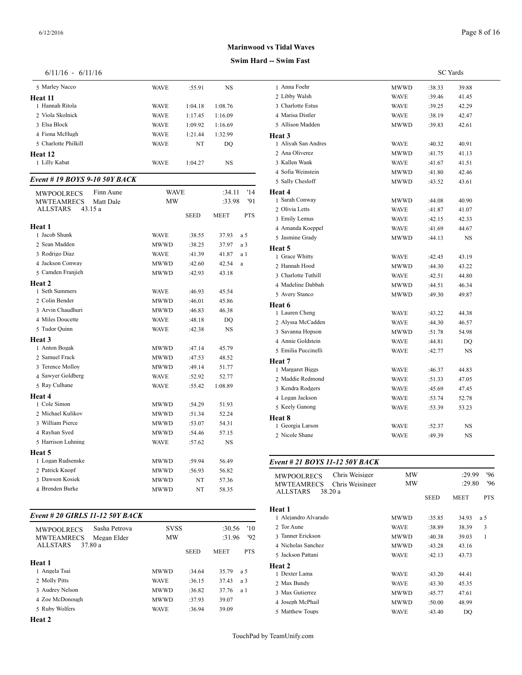| 5 Marley Nacco                 | <b>WAVE</b> | :55.91      | <b>NS</b>      |                | 1 Anna Foehr        |
|--------------------------------|-------------|-------------|----------------|----------------|---------------------|
| Heat 11                        |             |             |                |                | 2 Libby Walsh       |
| 1 Hannah Ritola                | <b>WAVE</b> | 1:04.18     | 1:08.76        |                | 3 Charlotte Estus   |
| 2 Viola Skolnick               | <b>WAVE</b> | 1:17.45     | 1:16.09        |                | 4 Marisa Distler    |
| 3 Elsa Block                   | <b>WAVE</b> | 1:09.92     | 1:16.69        |                | 5 Allison Madden    |
| 4 Fiona McHugh                 | <b>WAVE</b> | 1:21.44     | 1:32.99        |                | Heat 3              |
| 5 Charlotte Philkill           | <b>WAVE</b> | NT          | DO             |                | 1 Aliyah San And    |
| Heat 12                        |             |             |                |                | 2 Ana Oliverez      |
| 1 Lilly Kabat                  | <b>WAVE</b> | 1:04.27     | <b>NS</b>      |                | 3 Kallen Wank       |
|                                |             |             |                |                | 4 Sofia Weinstein   |
| Event # 19 BOYS 9-10 50Y BACK  |             |             |                |                | 5 Sally Chesloff    |
| Finn Aune<br>MWPOOLRECS        | <b>WAVE</b> |             | :34.11         | '14            | Heat 4              |
| <b>MWTEAMRECS</b><br>Matt Dale | <b>MW</b>   |             | :33.98         | '91            | 1 Sarah Conway      |
| <b>ALLSTARS</b><br>43.15 a     |             |             |                |                | 2 Olivia Letts      |
|                                |             | <b>SEED</b> | <b>MEET</b>    | <b>PTS</b>     | 3 Emily Lemus       |
| Heat 1                         |             |             |                |                | 4 Amanda Koeppe     |
| 1 Jacob Shunk                  | <b>WAVE</b> | :38.55      | 37.93          | a 5            | 5 Jasmine Grady     |
| 2 Sean Madden                  | <b>MWWD</b> | :38.25      | 37.97          | a <sub>3</sub> | Heat 5              |
| 3 Rodrigo Diaz                 | <b>WAVE</b> | :41.39      | 41.87          | a 1            | 1 Grace Whitty      |
| 4 Jackson Conway               | <b>MWWD</b> | :42.60      | 42.54          | a              | 2 Hannah Hood       |
| 5 Camden Franjieh              | MWWD        | :42.93      | 43.18          |                | 3 Charlotte Tuthill |
| Heat 2                         |             |             |                |                | 4 Madeline Dabba    |
| 1 Seth Summers                 | <b>WAVE</b> | :46.93      | 45.54          |                | 5 Avery Stanco      |
| 2 Colin Bender                 | <b>MWWD</b> | :46.01      | 45.86          |                | Heat 6              |
| 3 Arvin Chaudhuri              | <b>MWWD</b> | :46.83      | 46.38          |                | 1 Lauren Cheng      |
| 4 Miles Doucette               | <b>WAVE</b> | :48.18      | D <sub>O</sub> |                | 2 Alyssa McCadd     |
| 5 Tudor Quinn                  | <b>WAVE</b> | :42.38      | NS             |                | 3 Savanna Hopson    |
| Heat 3                         |             |             |                |                | 4 Annie Goldstein   |
| 1 Anton Bogak                  | MWWD        | :47.14      | 45.79          |                | 5 Emilia Puccinell  |
| 2 Samuel Frack                 | MWWD        | :47.53      | 48.52          |                | Heat 7              |
| 3 Terence Molloy               | <b>MWWD</b> | :49.14      | 51.77          |                | 1 Margaret Biggs    |
| 4 Sawyer Goldberg              | <b>WAVE</b> | :52.92      | 52.77          |                | 2 Maddie Redmor     |
| 5 Ray Culhane                  | <b>WAVE</b> | :55.42      | 1:08.89        |                | 3 Kendra Rodgers    |
| Heat 4                         |             |             |                |                | 4 Logan Jackson     |
| 1 Cole Simon                   | <b>MWWD</b> | :54.29      | 51.93          |                | 5 Keely Ganong      |
| 2 Michael Kulikov              | MWWD        | :51.34      | 52.24          |                | Heat 8              |
| 3 William Pierce               | MWWD        | :53.07      | 54.31          |                | 1 Georgia Larson    |
| 4 Rayhan Syed                  | <b>MWWD</b> | :54.46      | 57.15          |                | 2 Nicole Shane      |
| 5 Harrison Luhning             | <b>WAVE</b> | :57.62      | <b>NS</b>      |                |                     |
| Heat 5                         |             |             |                |                |                     |
| 1 Logan Rudsenske              | MWWD        | :59.94      | 56.49          |                | Event # 21 BOY      |
| 2 Patrick Knopf                | MWWD        | :56.93      | 56.82          |                | <b>MWPOOLRECS</b>   |
| 3 Dawson Kosiek                | MWWD        | NT          | 57.36          |                | <b>MWTEAMREC</b>    |
| 4 Brenden Burke                | <b>MWWD</b> | NT          | 58.35          |                | ALLSTARS            |

## *Event # 20 GIRLS 11-12 50Y BACK*

| Sasha Petrova<br><b>MWPOOLRECS</b> | <b>SVSS</b> |             | :30.56      | '10          | 2 Tor Aune        |
|------------------------------------|-------------|-------------|-------------|--------------|-------------------|
| <b>MWTEAMRECS</b><br>Megan Elder   | <b>MW</b>   |             | :31.96      | $92^{\circ}$ | 3 Tanner Erickson |
| ALLSTARS<br>37.80 a                |             |             |             |              | 4 Nicholas Sanche |
|                                    |             | <b>SEED</b> | <b>MEET</b> | <b>PTS</b>   | 5 Jackson Pattani |
| Heat 1                             |             |             |             |              | Heat 2            |
| 1 Angela Tsai                      | <b>MWWD</b> | :34.64      | 35.79       | a 5          | 1 Dexter Lama     |
| 2 Molly Pitts                      | <b>WAVE</b> | :36.15      | 37.43       | a 3          | 2 Max Bundy       |
| 3 Audrey Nelson                    | <b>MWWD</b> | :36.82      | 37.76       | a 1          | 3 Max Gutierrez   |
| 4 Zoe McDonough                    | <b>MWWD</b> | :37.93      | 39.07       |              | 4 Joseph McPhail  |
| 5 Ruby Wolfers                     | <b>WAVE</b> | :36.94      | 39.09       |              | 5 Matthew Toups   |
|                                    |             |             |             |              |                   |

**Heat 2**

## **Marinwood vs Tidal Waves**

## **Swim Hard -- Swim Fast**

| 1 Anna Foehr        | MWWD        | :38.33 | 39.88     |
|---------------------|-------------|--------|-----------|
| 2 Libby Walsh       | WAVE        | :39.46 | 41.45     |
| 3 Charlotte Estus   | <b>WAVE</b> | :39.25 | 42.29     |
| 4 Marisa Distler    | <b>WAVE</b> | :38.19 | 42.47     |
| 5 Allison Madden    | MWWD        | :39.83 | 42.61     |
| Heat 3              |             |        |           |
| 1 Aliyah San Andres | <b>WAVE</b> | :40.32 | 40.91     |
| 2 Ana Oliverez      | <b>MWWD</b> | :41.75 | 41.13     |
| 3 Kallen Wank       | <b>WAVE</b> | :41.67 | 41.51     |
| 4 Sofia Weinstein   | MWWD        | :41.80 | 42.46     |
| 5 Sally Chesloff    | MWWD        | :43.52 | 43.61     |
| Heat 4              |             |        |           |
| 1 Sarah Conway      | MWWD        | :44.08 | 40.90     |
| 2 Olivia Letts      | <b>WAVE</b> | :41.87 | 41.07     |
| 3 Emily Lemus       | <b>WAVE</b> | :42.15 | 42.33     |
| 4 Amanda Koeppel    | <b>WAVE</b> | :41.69 | 44.67     |
| 5 Jasmine Grady     | MWWD        | :44.13 | <b>NS</b> |
| Heat 5              |             |        |           |
| 1 Grace Whitty      | <b>WAVE</b> | :42.45 | 43.19     |
| 2 Hannah Hood       | MWWD        | :44.30 | 43.22     |
| 3 Charlotte Tuthill | <b>WAVE</b> | :42.51 | 44.80     |
| 4 Madeline Dabbah   | <b>MWWD</b> | :44.51 | 46.34     |
| 5 Avery Stanco      | MWWD        | :49.30 | 49.87     |
| Heat 6              |             |        |           |
| 1 Lauren Cheng      | <b>WAVE</b> | :43.22 | 44.38     |
| 2 Alyssa McCadden   | <b>WAVE</b> | :44.30 | 46.57     |
| 3 Savanna Hopson    | MWWD        | :51.78 | 54.98     |
| 4 Annie Goldstein   | WAVE        | :44.81 | DQ        |
| 5 Emilia Puccinelli | WAVE        | :42.77 | <b>NS</b> |
| Heat 7              |             |        |           |
| 1 Margaret Biggs    | <b>WAVE</b> | :46.37 | 44.83     |
| 2 Maddie Redmond    | WAVE        | :51.33 | 47.05     |
| 3 Kendra Rodgers    | <b>WAVE</b> | :45.69 | 47.45     |
| 4 Logan Jackson     | <b>WAVE</b> | :53.74 | 52.78     |
| 5 Keely Ganong      | WAVE        | :53.39 | 53.23     |
| Heat 8              |             |        |           |
| 1 Georgia Larson    | <b>WAVE</b> | :52.37 | <b>NS</b> |
| 2 Nicole Shane      | <b>WAVE</b> | :49.39 | <b>NS</b> |

## *Event # 21 BOYS 11-12 50Y BACK*

| Chris Weisiger<br><b>MWPOOLRECS</b>  | MW          |             | :29.99      | '96        |
|--------------------------------------|-------------|-------------|-------------|------------|
| <b>MWTEAMRECS</b><br>Chris Weisinger | MW          |             | :29.80      | 96'        |
| <b>ALLSTARS</b><br>38.20a            |             | <b>SEED</b> | <b>MEET</b> | <b>PTS</b> |
| Heat 1                               |             |             |             |            |
| 1 Alejandro Alvarado                 | MWWD        | :35.85      | 34.93       | a 5        |
| 2 Tor Aune                           | <b>WAVE</b> | :38.89      | 38.39       | 3          |
| 3 Tanner Erickson                    | <b>MWWD</b> | :40.38      | 39.03       | 1          |
| 4 Nicholas Sanchez                   | <b>MWWD</b> | :43.28      | 43.16       |            |
| 5 Jackson Pattani                    | <b>WAVE</b> | :42.13      | 43.73       |            |
| Heat 2                               |             |             |             |            |
| 1 Dexter Lama                        | <b>WAVE</b> | :43.20      | 44.41       |            |
| 2 Max Bundy                          | <b>WAVE</b> | :43.30      | 45.35       |            |
| 3 Max Gutierrez                      | <b>MWWD</b> | :45.77      | 47.61       |            |
| 4 Joseph McPhail                     | <b>MWWD</b> | :50.00      | 48.99       |            |
| 5 Matthew Toups                      | WAVE        | :43.40      | DQ          |            |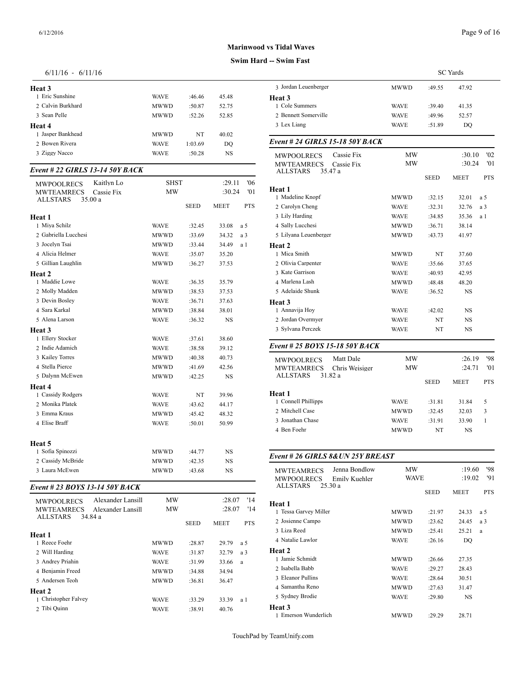| Heat 3             |             |         |       | 3 Jordan Leuenb  |
|--------------------|-------------|---------|-------|------------------|
| 1 Eric Sunshine    | <b>WAVE</b> | :46.46  | 45.48 | Heat 3           |
| 2. Calvin Burkhard | MWWD        | :50.87  | 52.75 | 1 Cole Summers   |
| 3 Sean Pelle       | MWWD        | :52.26  | 52.85 | 2. Bennett Some  |
| Heat 4             |             |         |       | 3 Lex Liang      |
| 1 Jasper Bankhead  | MWWD        | NT      | 40.02 |                  |
| 2. Bowen Rivera    | <b>WAVE</b> | 1:03.69 | DO    | Event # 24 $GII$ |
| 3 Ziggy Nacco      | <b>WAVE</b> | :50.28  | NS    | <b>MWPOOLRE</b>  |

## *Event # 22 GIRLS 13-14 50Y BACK*

| Kaitlyn Lo<br><b>MWPOOLRECS</b><br><b>MWTEAMRECS</b><br>Cassie Fix<br><b>ALLSTARS</b><br>35.00 a | <b>SHST</b><br><b>MW</b> |             | :29.11<br>:30.24 | '06<br>'01     | Heat 1<br>1 Madeline Knopf |
|--------------------------------------------------------------------------------------------------|--------------------------|-------------|------------------|----------------|----------------------------|
|                                                                                                  |                          | <b>SEED</b> | <b>MEET</b>      | <b>PTS</b>     | 2 Carolyn Cheng            |
| Heat 1                                                                                           |                          |             |                  |                | 3 Lily Harding             |
| 1 Miya Schilz                                                                                    | WAVE                     | :32.45      | 33.08            | a 5            | 4 Sally Lucchesi           |
| 2 Gabriella Lucchesi                                                                             | <b>MWWD</b>              | :33.69      | 34.32            | a <sub>3</sub> | 5 Lilyana Leuenbe          |
| 3 Jocelyn Tsai                                                                                   | <b>MWWD</b>              | :33.44      | 34.49            | a 1            | Heat <sub>2</sub>          |
| 4 Alicia Helmer                                                                                  | WAVE                     | :35.07      | 35.20            |                | 1 Mica Smith               |
| 5 Gillian Laughlin                                                                               | <b>MWWD</b>              | :36.27      | 37.53            |                | 2 Olivia Carpenter         |
| Heat 2                                                                                           |                          |             |                  |                | 3 Kate Garrison            |
| 1 Maddie Lowe                                                                                    | WAVE                     | :36.35      | 35.79            |                | 4 Marlena Lash             |
| 2 Molly Madden                                                                                   | <b>MWWD</b>              | :38.53      | 37.53            |                | 5 Adelaide Shunk           |
| 3 Devin Bosley                                                                                   | WAVE                     | :36.71      | 37.63            |                | Heat <sub>3</sub>          |
| 4 Sara Karkal                                                                                    | <b>MWWD</b>              | :38.84      | 38.01            |                | 1 Annavija Hoy             |
| 5 Alena Larson                                                                                   | <b>WAVE</b>              | :36.32      | <b>NS</b>        |                | 2 Jordan Overmye           |
| Heat 3                                                                                           |                          |             |                  |                | 3 Sylvana Perczek          |
| 1 Ellery Stocker                                                                                 | WAVE                     | :37.61      | 38.60            |                |                            |
| 2 Indie Adamich                                                                                  | <b>WAVE</b>              | :38.58      | 39.12            |                | Event # 25 $BOY$           |
| 3 Kailey Torres                                                                                  | <b>MWWD</b>              | :40.38      | 40.73            |                | <b>MWPOOLRECS</b>          |
| 4 Stella Pierce                                                                                  | <b>MWWD</b>              | :41.69      | 42.56            |                | <b>MWTEAMREC</b>           |
| 5 Dalynn McEwen                                                                                  | <b>MWWD</b>              | :42.25      | <b>NS</b>        |                | <b>ALLSTARS</b>            |
| Heat 4                                                                                           |                          |             |                  |                |                            |
| 1 Cassidy Rodgers                                                                                | <b>WAVE</b>              | NT          | 39.96            |                | Heat 1                     |
| 2 Monika Platek                                                                                  | WAVE                     | :43.62      | 44.17            |                | 1 Connell Phillipp         |
| 3 Emma Kraus                                                                                     | <b>MWWD</b>              | :45.42      | 48.32            |                | 2 Mitchell Case            |
| 4 Elise Braff                                                                                    | <b>WAVE</b>              | :50.01      | 50.99            |                | 3 Jonathan Chase           |
|                                                                                                  |                          |             |                  |                | 4 Ben Foehr                |
| Heat 5                                                                                           |                          |             |                  |                |                            |
| 1 Sofia Spinozzi                                                                                 | <b>MWWD</b>              | :44.77      | <b>NS</b>        |                | Event # 26 GIRI            |
| 2 Cassidy McBride                                                                                | <b>MWWD</b>              | :42.35      | <b>NS</b>        |                |                            |
| 3 Laura McEwen                                                                                   | <b>MWWD</b>              | :43.68      | <b>NS</b>        |                | <b>MWTEAMREC</b>           |

## *Event # 23 BOYS 13-14 50Y BACK*

| <b>MWPOOLRECS</b><br><b>MWTEAMRECS</b> | Alexander Lansill<br>Alexander Lansill | <b>MW</b><br><b>MW</b> |             | :28.07<br>:28.07 | '14<br>'14 | Heat 1<br>1 Tessa Garvey M      |
|----------------------------------------|----------------------------------------|------------------------|-------------|------------------|------------|---------------------------------|
| <b>ALLSTARS</b>                        | 34.84 a                                |                        | <b>SEED</b> | <b>MEET</b>      | <b>PTS</b> | 2 Josienne Campo<br>3 Liza Reed |
| Heat 1                                 |                                        |                        |             |                  |            |                                 |
| 1 Reece Foehr                          |                                        | <b>MWWD</b>            | :28.87      | 29.79            | a 5        | 4 Natalie Lawlor                |
| 2 Will Harding                         |                                        | <b>WAVE</b>            | :31.87      | 32.79            | a 3        | Heat 2                          |
| 3 Andrey Priahin                       |                                        | <b>WAVE</b>            | :31.99      | 33.66            | a          | 1 Jamie Schmidt                 |
| 4 Benjamin Freed                       |                                        | <b>MWWD</b>            | :34.88      | 34.94            |            | 2. Isabella Babb                |
| 5 Andersen Teoh                        |                                        | <b>MWWD</b>            | :36.81      | 36.47            |            | 3 Eleanor Pullins               |
|                                        |                                        |                        |             |                  |            | 4 Samantha Reno                 |
| Heat 2                                 |                                        |                        |             |                  |            |                                 |
| 1 Christopher Falvey                   |                                        | <b>WAVE</b>            | :33.29      | 33.39            | a 1        | 5 Sydney Brodie                 |
| 2 Tibi Quinn                           |                                        | <b>WAVE</b>            | :38.91      | 40.76            |            | Heat 3                          |
|                                        |                                        |                        |             |                  |            |                                 |

# **Marinwood vs Tidal Waves**

## **Swim Hard -- Swim Fast**

| 3 Jordan Leuenberger<br>MWWD<br>:49.55<br>47.92<br>1 Cole Summers<br><b>WAVE</b><br>:39.40<br>41.35<br>2 Bennett Somerville<br><b>WAVE</b><br>:49.96<br>52.57<br>3 Lex Liang<br><b>WAVE</b><br>DQ<br>:51.89<br>Cassie Fix<br>MW<br>:30.10<br><b>MWPOOLRECS</b><br>MW<br>:30.24<br>Cassie Fix<br><b>MWTEAMRECS</b><br><b>ALLSTARS</b><br>35.47 a<br><b>SEED</b><br>MEET<br>1 Madeline Knopf<br>MWWD<br>:32.15<br>32.01<br>a 5<br>2 Carolyn Cheng<br>32.76<br><b>WAVE</b><br>:32.31<br>a 3<br>3 Lily Harding<br><b>WAVE</b><br>:34.85<br>35.36<br>a 1<br>4 Sally Lucchesi<br>MWWD<br>:36.71<br>38.14<br>5 Lilyana Leuenberger<br><b>MWWD</b><br>:43.73<br>41.97<br>1 Mica Smith<br>MWWD<br>NT<br>37.60<br>2 Olivia Carpenter<br><b>WAVE</b><br>:35.66<br>37.65<br>3 Kate Garrison<br><b>WAVE</b><br>:40.93<br>42.95<br>4 Marlena Lash<br>MWWD<br>:48.48<br>48.20<br>5 Adelaide Shunk<br><b>WAVE</b><br>:36.52<br>NS<br>1 Annavija Hoy<br><b>WAVE</b><br>:42.02<br>NS<br>2 Jordan Overmyer<br><b>WAVE</b><br>NT<br>NS<br>3 Sylvana Perczek<br><b>WAVE</b><br>NT<br>NS<br>Event # 25 BOYS 15-18 50Y BACK<br><b>Matt Dale</b><br>MW<br>:26.19<br><b>MWPOOLRECS</b><br><b>MWTEAMRECS</b><br>МW<br>:24.71<br>Chris Weisiger<br>31.82 a<br>ALLSTARS<br><b>SEED</b><br>MEET<br>Heat 1<br>1 Connell Phillipps<br><b>WAVE</b><br>:31.81<br>31.84<br>5<br>2 Mitchell Case<br>MWWD<br>:32.45<br>32.03<br>3<br>3 Jonathan Chase<br><b>WAVE</b><br>:31.91<br>33.90<br>1<br>4 Ben Foehr<br>MWWD<br>NT<br>NS<br>Event # 26 GIRLS 8& UN 25Y BREAST<br>Jenna Bondlow<br>МW<br>:19.60<br><b>MWTEAMRECS</b><br>:19.02<br>WAVE<br><b>MWPOOLRECS</b><br>Emily Kuehler<br><b>ALLSTARS</b><br>25.30 a<br>SEED<br>MEET<br>Heat 1<br>1 Tessa Garvey Miller<br>24.33<br>MWWD<br>:21.97<br>a 5<br>2 Josienne Campo<br>MWWD<br>:23.62<br>24.45<br>a 3<br>3 Liza Reed<br>:25.41<br>25.21<br>MWWD<br>a<br>4 Natalie Lawlor<br>WAVE<br>:26.16<br>DQ<br>1 Jamie Schmidt<br>MWWD<br>27.35<br>:26.66<br>2 Isabella Babb<br>WAVE<br>:29.27<br>28.43<br>3 Eleanor Pullins<br>WAVE<br>:28.64<br>30.51<br>4 Samantha Reno<br>MWWD<br>:27.63<br>31.47<br>5 Sydney Brodie<br>:29.80<br>NS<br>WAVE<br>1 Emerson Wunderlich<br>MWWD<br>28.71<br>:29.29 |                                 |  | <b>SC</b> Yards |  |
|------------------------------------------------------------------------------------------------------------------------------------------------------------------------------------------------------------------------------------------------------------------------------------------------------------------------------------------------------------------------------------------------------------------------------------------------------------------------------------------------------------------------------------------------------------------------------------------------------------------------------------------------------------------------------------------------------------------------------------------------------------------------------------------------------------------------------------------------------------------------------------------------------------------------------------------------------------------------------------------------------------------------------------------------------------------------------------------------------------------------------------------------------------------------------------------------------------------------------------------------------------------------------------------------------------------------------------------------------------------------------------------------------------------------------------------------------------------------------------------------------------------------------------------------------------------------------------------------------------------------------------------------------------------------------------------------------------------------------------------------------------------------------------------------------------------------------------------------------------------------------------------------------------------------------------------------------------------------------------------------------------------------------------------------------------------------------------------------------------------------------------------------------------------------------------------------------------|---------------------------------|--|-----------------|--|
|                                                                                                                                                                                                                                                                                                                                                                                                                                                                                                                                                                                                                                                                                                                                                                                                                                                                                                                                                                                                                                                                                                                                                                                                                                                                                                                                                                                                                                                                                                                                                                                                                                                                                                                                                                                                                                                                                                                                                                                                                                                                                                                                                                                                            |                                 |  |                 |  |
| '02<br>'01<br><b>PTS</b>                                                                                                                                                                                                                                                                                                                                                                                                                                                                                                                                                                                                                                                                                                                                                                                                                                                                                                                                                                                                                                                                                                                                                                                                                                                                                                                                                                                                                                                                                                                                                                                                                                                                                                                                                                                                                                                                                                                                                                                                                                                                                                                                                                                   | Heat 3                          |  |                 |  |
|                                                                                                                                                                                                                                                                                                                                                                                                                                                                                                                                                                                                                                                                                                                                                                                                                                                                                                                                                                                                                                                                                                                                                                                                                                                                                                                                                                                                                                                                                                                                                                                                                                                                                                                                                                                                                                                                                                                                                                                                                                                                                                                                                                                                            |                                 |  |                 |  |
|                                                                                                                                                                                                                                                                                                                                                                                                                                                                                                                                                                                                                                                                                                                                                                                                                                                                                                                                                                                                                                                                                                                                                                                                                                                                                                                                                                                                                                                                                                                                                                                                                                                                                                                                                                                                                                                                                                                                                                                                                                                                                                                                                                                                            |                                 |  |                 |  |
|                                                                                                                                                                                                                                                                                                                                                                                                                                                                                                                                                                                                                                                                                                                                                                                                                                                                                                                                                                                                                                                                                                                                                                                                                                                                                                                                                                                                                                                                                                                                                                                                                                                                                                                                                                                                                                                                                                                                                                                                                                                                                                                                                                                                            |                                 |  |                 |  |
|                                                                                                                                                                                                                                                                                                                                                                                                                                                                                                                                                                                                                                                                                                                                                                                                                                                                                                                                                                                                                                                                                                                                                                                                                                                                                                                                                                                                                                                                                                                                                                                                                                                                                                                                                                                                                                                                                                                                                                                                                                                                                                                                                                                                            | Event # 24 GIRLS 15-18 50Y BACK |  |                 |  |
|                                                                                                                                                                                                                                                                                                                                                                                                                                                                                                                                                                                                                                                                                                                                                                                                                                                                                                                                                                                                                                                                                                                                                                                                                                                                                                                                                                                                                                                                                                                                                                                                                                                                                                                                                                                                                                                                                                                                                                                                                                                                                                                                                                                                            |                                 |  |                 |  |
|                                                                                                                                                                                                                                                                                                                                                                                                                                                                                                                                                                                                                                                                                                                                                                                                                                                                                                                                                                                                                                                                                                                                                                                                                                                                                                                                                                                                                                                                                                                                                                                                                                                                                                                                                                                                                                                                                                                                                                                                                                                                                                                                                                                                            |                                 |  |                 |  |
|                                                                                                                                                                                                                                                                                                                                                                                                                                                                                                                                                                                                                                                                                                                                                                                                                                                                                                                                                                                                                                                                                                                                                                                                                                                                                                                                                                                                                                                                                                                                                                                                                                                                                                                                                                                                                                                                                                                                                                                                                                                                                                                                                                                                            |                                 |  |                 |  |
|                                                                                                                                                                                                                                                                                                                                                                                                                                                                                                                                                                                                                                                                                                                                                                                                                                                                                                                                                                                                                                                                                                                                                                                                                                                                                                                                                                                                                                                                                                                                                                                                                                                                                                                                                                                                                                                                                                                                                                                                                                                                                                                                                                                                            | Heat 1                          |  |                 |  |
|                                                                                                                                                                                                                                                                                                                                                                                                                                                                                                                                                                                                                                                                                                                                                                                                                                                                                                                                                                                                                                                                                                                                                                                                                                                                                                                                                                                                                                                                                                                                                                                                                                                                                                                                                                                                                                                                                                                                                                                                                                                                                                                                                                                                            |                                 |  |                 |  |
| '98<br>'01<br><b>PTS</b><br>'98<br>'91<br><b>PTS</b>                                                                                                                                                                                                                                                                                                                                                                                                                                                                                                                                                                                                                                                                                                                                                                                                                                                                                                                                                                                                                                                                                                                                                                                                                                                                                                                                                                                                                                                                                                                                                                                                                                                                                                                                                                                                                                                                                                                                                                                                                                                                                                                                                       |                                 |  |                 |  |
|                                                                                                                                                                                                                                                                                                                                                                                                                                                                                                                                                                                                                                                                                                                                                                                                                                                                                                                                                                                                                                                                                                                                                                                                                                                                                                                                                                                                                                                                                                                                                                                                                                                                                                                                                                                                                                                                                                                                                                                                                                                                                                                                                                                                            |                                 |  |                 |  |
|                                                                                                                                                                                                                                                                                                                                                                                                                                                                                                                                                                                                                                                                                                                                                                                                                                                                                                                                                                                                                                                                                                                                                                                                                                                                                                                                                                                                                                                                                                                                                                                                                                                                                                                                                                                                                                                                                                                                                                                                                                                                                                                                                                                                            |                                 |  |                 |  |
|                                                                                                                                                                                                                                                                                                                                                                                                                                                                                                                                                                                                                                                                                                                                                                                                                                                                                                                                                                                                                                                                                                                                                                                                                                                                                                                                                                                                                                                                                                                                                                                                                                                                                                                                                                                                                                                                                                                                                                                                                                                                                                                                                                                                            |                                 |  |                 |  |
|                                                                                                                                                                                                                                                                                                                                                                                                                                                                                                                                                                                                                                                                                                                                                                                                                                                                                                                                                                                                                                                                                                                                                                                                                                                                                                                                                                                                                                                                                                                                                                                                                                                                                                                                                                                                                                                                                                                                                                                                                                                                                                                                                                                                            | Heat 2                          |  |                 |  |
|                                                                                                                                                                                                                                                                                                                                                                                                                                                                                                                                                                                                                                                                                                                                                                                                                                                                                                                                                                                                                                                                                                                                                                                                                                                                                                                                                                                                                                                                                                                                                                                                                                                                                                                                                                                                                                                                                                                                                                                                                                                                                                                                                                                                            |                                 |  |                 |  |
|                                                                                                                                                                                                                                                                                                                                                                                                                                                                                                                                                                                                                                                                                                                                                                                                                                                                                                                                                                                                                                                                                                                                                                                                                                                                                                                                                                                                                                                                                                                                                                                                                                                                                                                                                                                                                                                                                                                                                                                                                                                                                                                                                                                                            |                                 |  |                 |  |
|                                                                                                                                                                                                                                                                                                                                                                                                                                                                                                                                                                                                                                                                                                                                                                                                                                                                                                                                                                                                                                                                                                                                                                                                                                                                                                                                                                                                                                                                                                                                                                                                                                                                                                                                                                                                                                                                                                                                                                                                                                                                                                                                                                                                            |                                 |  |                 |  |
|                                                                                                                                                                                                                                                                                                                                                                                                                                                                                                                                                                                                                                                                                                                                                                                                                                                                                                                                                                                                                                                                                                                                                                                                                                                                                                                                                                                                                                                                                                                                                                                                                                                                                                                                                                                                                                                                                                                                                                                                                                                                                                                                                                                                            |                                 |  |                 |  |
|                                                                                                                                                                                                                                                                                                                                                                                                                                                                                                                                                                                                                                                                                                                                                                                                                                                                                                                                                                                                                                                                                                                                                                                                                                                                                                                                                                                                                                                                                                                                                                                                                                                                                                                                                                                                                                                                                                                                                                                                                                                                                                                                                                                                            |                                 |  |                 |  |
|                                                                                                                                                                                                                                                                                                                                                                                                                                                                                                                                                                                                                                                                                                                                                                                                                                                                                                                                                                                                                                                                                                                                                                                                                                                                                                                                                                                                                                                                                                                                                                                                                                                                                                                                                                                                                                                                                                                                                                                                                                                                                                                                                                                                            | Heat 3                          |  |                 |  |
|                                                                                                                                                                                                                                                                                                                                                                                                                                                                                                                                                                                                                                                                                                                                                                                                                                                                                                                                                                                                                                                                                                                                                                                                                                                                                                                                                                                                                                                                                                                                                                                                                                                                                                                                                                                                                                                                                                                                                                                                                                                                                                                                                                                                            |                                 |  |                 |  |
|                                                                                                                                                                                                                                                                                                                                                                                                                                                                                                                                                                                                                                                                                                                                                                                                                                                                                                                                                                                                                                                                                                                                                                                                                                                                                                                                                                                                                                                                                                                                                                                                                                                                                                                                                                                                                                                                                                                                                                                                                                                                                                                                                                                                            |                                 |  |                 |  |
|                                                                                                                                                                                                                                                                                                                                                                                                                                                                                                                                                                                                                                                                                                                                                                                                                                                                                                                                                                                                                                                                                                                                                                                                                                                                                                                                                                                                                                                                                                                                                                                                                                                                                                                                                                                                                                                                                                                                                                                                                                                                                                                                                                                                            |                                 |  |                 |  |
|                                                                                                                                                                                                                                                                                                                                                                                                                                                                                                                                                                                                                                                                                                                                                                                                                                                                                                                                                                                                                                                                                                                                                                                                                                                                                                                                                                                                                                                                                                                                                                                                                                                                                                                                                                                                                                                                                                                                                                                                                                                                                                                                                                                                            |                                 |  |                 |  |
|                                                                                                                                                                                                                                                                                                                                                                                                                                                                                                                                                                                                                                                                                                                                                                                                                                                                                                                                                                                                                                                                                                                                                                                                                                                                                                                                                                                                                                                                                                                                                                                                                                                                                                                                                                                                                                                                                                                                                                                                                                                                                                                                                                                                            |                                 |  |                 |  |
|                                                                                                                                                                                                                                                                                                                                                                                                                                                                                                                                                                                                                                                                                                                                                                                                                                                                                                                                                                                                                                                                                                                                                                                                                                                                                                                                                                                                                                                                                                                                                                                                                                                                                                                                                                                                                                                                                                                                                                                                                                                                                                                                                                                                            |                                 |  |                 |  |
|                                                                                                                                                                                                                                                                                                                                                                                                                                                                                                                                                                                                                                                                                                                                                                                                                                                                                                                                                                                                                                                                                                                                                                                                                                                                                                                                                                                                                                                                                                                                                                                                                                                                                                                                                                                                                                                                                                                                                                                                                                                                                                                                                                                                            |                                 |  |                 |  |
|                                                                                                                                                                                                                                                                                                                                                                                                                                                                                                                                                                                                                                                                                                                                                                                                                                                                                                                                                                                                                                                                                                                                                                                                                                                                                                                                                                                                                                                                                                                                                                                                                                                                                                                                                                                                                                                                                                                                                                                                                                                                                                                                                                                                            |                                 |  |                 |  |
|                                                                                                                                                                                                                                                                                                                                                                                                                                                                                                                                                                                                                                                                                                                                                                                                                                                                                                                                                                                                                                                                                                                                                                                                                                                                                                                                                                                                                                                                                                                                                                                                                                                                                                                                                                                                                                                                                                                                                                                                                                                                                                                                                                                                            |                                 |  |                 |  |
|                                                                                                                                                                                                                                                                                                                                                                                                                                                                                                                                                                                                                                                                                                                                                                                                                                                                                                                                                                                                                                                                                                                                                                                                                                                                                                                                                                                                                                                                                                                                                                                                                                                                                                                                                                                                                                                                                                                                                                                                                                                                                                                                                                                                            |                                 |  |                 |  |
|                                                                                                                                                                                                                                                                                                                                                                                                                                                                                                                                                                                                                                                                                                                                                                                                                                                                                                                                                                                                                                                                                                                                                                                                                                                                                                                                                                                                                                                                                                                                                                                                                                                                                                                                                                                                                                                                                                                                                                                                                                                                                                                                                                                                            |                                 |  |                 |  |
|                                                                                                                                                                                                                                                                                                                                                                                                                                                                                                                                                                                                                                                                                                                                                                                                                                                                                                                                                                                                                                                                                                                                                                                                                                                                                                                                                                                                                                                                                                                                                                                                                                                                                                                                                                                                                                                                                                                                                                                                                                                                                                                                                                                                            |                                 |  |                 |  |
|                                                                                                                                                                                                                                                                                                                                                                                                                                                                                                                                                                                                                                                                                                                                                                                                                                                                                                                                                                                                                                                                                                                                                                                                                                                                                                                                                                                                                                                                                                                                                                                                                                                                                                                                                                                                                                                                                                                                                                                                                                                                                                                                                                                                            |                                 |  |                 |  |
|                                                                                                                                                                                                                                                                                                                                                                                                                                                                                                                                                                                                                                                                                                                                                                                                                                                                                                                                                                                                                                                                                                                                                                                                                                                                                                                                                                                                                                                                                                                                                                                                                                                                                                                                                                                                                                                                                                                                                                                                                                                                                                                                                                                                            |                                 |  |                 |  |
|                                                                                                                                                                                                                                                                                                                                                                                                                                                                                                                                                                                                                                                                                                                                                                                                                                                                                                                                                                                                                                                                                                                                                                                                                                                                                                                                                                                                                                                                                                                                                                                                                                                                                                                                                                                                                                                                                                                                                                                                                                                                                                                                                                                                            |                                 |  |                 |  |
|                                                                                                                                                                                                                                                                                                                                                                                                                                                                                                                                                                                                                                                                                                                                                                                                                                                                                                                                                                                                                                                                                                                                                                                                                                                                                                                                                                                                                                                                                                                                                                                                                                                                                                                                                                                                                                                                                                                                                                                                                                                                                                                                                                                                            |                                 |  |                 |  |
|                                                                                                                                                                                                                                                                                                                                                                                                                                                                                                                                                                                                                                                                                                                                                                                                                                                                                                                                                                                                                                                                                                                                                                                                                                                                                                                                                                                                                                                                                                                                                                                                                                                                                                                                                                                                                                                                                                                                                                                                                                                                                                                                                                                                            |                                 |  |                 |  |
|                                                                                                                                                                                                                                                                                                                                                                                                                                                                                                                                                                                                                                                                                                                                                                                                                                                                                                                                                                                                                                                                                                                                                                                                                                                                                                                                                                                                                                                                                                                                                                                                                                                                                                                                                                                                                                                                                                                                                                                                                                                                                                                                                                                                            |                                 |  |                 |  |
|                                                                                                                                                                                                                                                                                                                                                                                                                                                                                                                                                                                                                                                                                                                                                                                                                                                                                                                                                                                                                                                                                                                                                                                                                                                                                                                                                                                                                                                                                                                                                                                                                                                                                                                                                                                                                                                                                                                                                                                                                                                                                                                                                                                                            |                                 |  |                 |  |
|                                                                                                                                                                                                                                                                                                                                                                                                                                                                                                                                                                                                                                                                                                                                                                                                                                                                                                                                                                                                                                                                                                                                                                                                                                                                                                                                                                                                                                                                                                                                                                                                                                                                                                                                                                                                                                                                                                                                                                                                                                                                                                                                                                                                            |                                 |  |                 |  |
|                                                                                                                                                                                                                                                                                                                                                                                                                                                                                                                                                                                                                                                                                                                                                                                                                                                                                                                                                                                                                                                                                                                                                                                                                                                                                                                                                                                                                                                                                                                                                                                                                                                                                                                                                                                                                                                                                                                                                                                                                                                                                                                                                                                                            |                                 |  |                 |  |
|                                                                                                                                                                                                                                                                                                                                                                                                                                                                                                                                                                                                                                                                                                                                                                                                                                                                                                                                                                                                                                                                                                                                                                                                                                                                                                                                                                                                                                                                                                                                                                                                                                                                                                                                                                                                                                                                                                                                                                                                                                                                                                                                                                                                            |                                 |  |                 |  |
|                                                                                                                                                                                                                                                                                                                                                                                                                                                                                                                                                                                                                                                                                                                                                                                                                                                                                                                                                                                                                                                                                                                                                                                                                                                                                                                                                                                                                                                                                                                                                                                                                                                                                                                                                                                                                                                                                                                                                                                                                                                                                                                                                                                                            |                                 |  |                 |  |
|                                                                                                                                                                                                                                                                                                                                                                                                                                                                                                                                                                                                                                                                                                                                                                                                                                                                                                                                                                                                                                                                                                                                                                                                                                                                                                                                                                                                                                                                                                                                                                                                                                                                                                                                                                                                                                                                                                                                                                                                                                                                                                                                                                                                            |                                 |  |                 |  |
|                                                                                                                                                                                                                                                                                                                                                                                                                                                                                                                                                                                                                                                                                                                                                                                                                                                                                                                                                                                                                                                                                                                                                                                                                                                                                                                                                                                                                                                                                                                                                                                                                                                                                                                                                                                                                                                                                                                                                                                                                                                                                                                                                                                                            | Heat 2                          |  |                 |  |
|                                                                                                                                                                                                                                                                                                                                                                                                                                                                                                                                                                                                                                                                                                                                                                                                                                                                                                                                                                                                                                                                                                                                                                                                                                                                                                                                                                                                                                                                                                                                                                                                                                                                                                                                                                                                                                                                                                                                                                                                                                                                                                                                                                                                            |                                 |  |                 |  |
|                                                                                                                                                                                                                                                                                                                                                                                                                                                                                                                                                                                                                                                                                                                                                                                                                                                                                                                                                                                                                                                                                                                                                                                                                                                                                                                                                                                                                                                                                                                                                                                                                                                                                                                                                                                                                                                                                                                                                                                                                                                                                                                                                                                                            |                                 |  |                 |  |
|                                                                                                                                                                                                                                                                                                                                                                                                                                                                                                                                                                                                                                                                                                                                                                                                                                                                                                                                                                                                                                                                                                                                                                                                                                                                                                                                                                                                                                                                                                                                                                                                                                                                                                                                                                                                                                                                                                                                                                                                                                                                                                                                                                                                            |                                 |  |                 |  |
|                                                                                                                                                                                                                                                                                                                                                                                                                                                                                                                                                                                                                                                                                                                                                                                                                                                                                                                                                                                                                                                                                                                                                                                                                                                                                                                                                                                                                                                                                                                                                                                                                                                                                                                                                                                                                                                                                                                                                                                                                                                                                                                                                                                                            |                                 |  |                 |  |
|                                                                                                                                                                                                                                                                                                                                                                                                                                                                                                                                                                                                                                                                                                                                                                                                                                                                                                                                                                                                                                                                                                                                                                                                                                                                                                                                                                                                                                                                                                                                                                                                                                                                                                                                                                                                                                                                                                                                                                                                                                                                                                                                                                                                            |                                 |  |                 |  |
|                                                                                                                                                                                                                                                                                                                                                                                                                                                                                                                                                                                                                                                                                                                                                                                                                                                                                                                                                                                                                                                                                                                                                                                                                                                                                                                                                                                                                                                                                                                                                                                                                                                                                                                                                                                                                                                                                                                                                                                                                                                                                                                                                                                                            | Heat 3                          |  |                 |  |
|                                                                                                                                                                                                                                                                                                                                                                                                                                                                                                                                                                                                                                                                                                                                                                                                                                                                                                                                                                                                                                                                                                                                                                                                                                                                                                                                                                                                                                                                                                                                                                                                                                                                                                                                                                                                                                                                                                                                                                                                                                                                                                                                                                                                            |                                 |  |                 |  |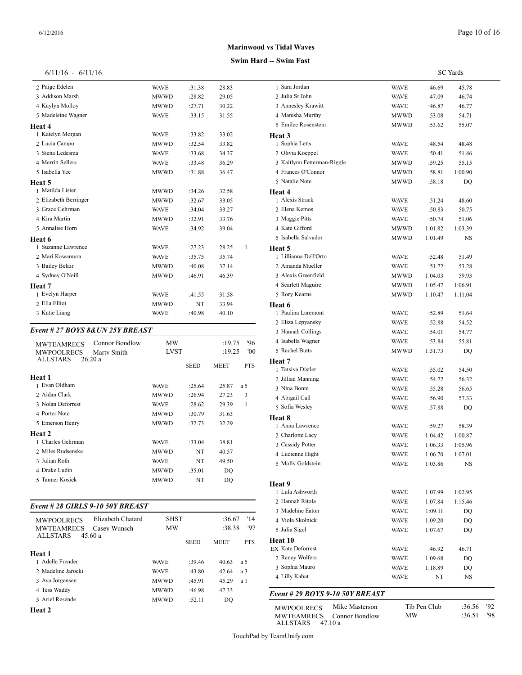| 6/11/16 | 6/11/16 |  |
|---------|---------|--|

| 2 Paige Edelen        | <b>WAVE</b> | :31.38 | 28.83 |   | 1 Sara Jorda  |
|-----------------------|-------------|--------|-------|---|---------------|
| 3 Addison Marsh       | <b>MWWD</b> | :28.82 | 29.05 |   | 2 Julia St Jo |
| 4 Kaylyn Molloy       | <b>MWWD</b> | :27.71 | 30.22 |   | 3 Annesley    |
| 5 Madeleine Wagner    | <b>WAVE</b> | :33.15 | 31.55 |   | 4 Manisha l   |
| Heat 4                |             |        |       |   | 5 Emilee Ro   |
| 1 Katelyn Morgan      | <b>WAVE</b> | :33.82 | 33.02 |   | Heat 3        |
| 2 Lucia Campo         | <b>MWWD</b> | :32.54 | 33.82 |   | 1 Sophia Le   |
| 3 Siena Ledesma       | <b>WAVE</b> | :33.68 | 34.37 |   | 2 Olivia Ko   |
| 4 Merritt Sellers     | <b>WAVE</b> | :33.48 | 36.29 |   | 3 Kaitlynn    |
| 5 Isabella Yee        | <b>MWWD</b> | :31.88 | 36.47 |   | 4 Frances C   |
| Heat 5                |             |        |       |   | 5 Natalie N   |
| 1 Matilda Lister      | <b>MWWD</b> | :34.26 | 32.58 |   | Heat 4        |
| 2 Elizabeth Berringer | <b>MWWD</b> | :32.67 | 33.05 |   | 1 Alexis Str  |
| 3 Grace Gehrman       | <b>WAVE</b> | :34.04 | 33.27 |   | 2 Elena Ker   |
| 4 Kira Martin         | <b>MWWD</b> | :32.91 | 33.76 |   | 3 Maggie P    |
| 5 Annalise Horn       | <b>WAVE</b> | :34.92 | 39.04 |   | 4 Kate Giff   |
| Heat 6                |             |        |       |   | 5 Isabella S  |
| 1 Suzanne Lawrence    | <b>WAVE</b> | :27.23 | 28.25 | 1 | Heat 5        |
| 2 Mari Kawamura       | <b>WAVE</b> | :35.75 | 35.74 |   | 1 Lillianna   |
| 3 Bailey Belair       | <b>MWWD</b> | :40.08 | 37.14 |   | 2 Amanda l    |
| 4 Sydney O'Neill      | <b>MWWD</b> | :46.91 | 46.39 |   | 3 Alexis Gr   |
| Heat 7                |             |        |       |   | 4 Scarlett M  |
| 1 Evelyn Harper       | <b>WAVE</b> | :41.55 | 31.58 |   | 5 Rory Kea    |
| 2 Ella Elliot         | <b>MWWD</b> | NT     | 33.94 |   | Heat 6        |
| 3 Katie Liang         | <b>WAVE</b> | :40.98 | 40.10 |   | 1 Paulina L   |

#### *Event # 27 BOYS 8&UN 25Y BREAST*

| <b>Connor Bondlow</b><br><b>MWTEAMRECS</b> | MW          |             | :19.75      | 96'        | 4 Isabella Wagner           |
|--------------------------------------------|-------------|-------------|-------------|------------|-----------------------------|
| <b>MWPOOLRECS</b><br>Marty Smith           | <b>LVST</b> |             | :19.25      | '00        | 5 Rachel Butts              |
| <b>ALLSTARS</b><br>26.20a                  |             | <b>SEED</b> | <b>MEET</b> | <b>PTS</b> | Heat 7<br>1 Tatsiya Distler |
| Heat 1                                     |             |             |             |            | 2 Jillian Manning           |
| 1 Evan Oldham                              | <b>WAVE</b> | :25.64      | 25.87       | a 5        | 3 Nina Bonte                |
| 2 Aidan Clark                              | <b>MWWD</b> | :26.94      | 27.23       | 3          | 4 Abigail Call              |
| 3 Nolan Deforrest                          | <b>WAVE</b> | :28.62      | 29.39       | 1          | 5 Sofia Wesley              |
| 4 Porter Note                              | <b>MWWD</b> | :30.79      | 31.63       |            | Heat 8                      |
| 5 Emerson Henry                            | <b>MWWD</b> | :32.73      | 32.29       |            | 1 Anna Lawrence             |
| Heat 2                                     |             |             |             |            | 2 Charlotte Lacy            |
| 1 Charles Gehrman                          | <b>WAVE</b> | :33.04      | 38.81       |            | 3 Cassidy Potter            |
| 2 Miles Rudsenske                          | <b>MWWD</b> | NT          | 40.57       |            | 4 Lucienne Hight            |
| 3 Julian Roth                              | <b>WAVE</b> | NT          | 49.50       |            | 5 Molly Goldstein           |
| 4 Drake Ludin                              | <b>MWWD</b> | :35.01      | DQ          |            |                             |
| 5 Tanner Kosiek                            | <b>MWWD</b> | NT          | DQ          |            | Heat 9                      |

#### *Event # 28 GIRLS 9-10 50Y BREAST*

| Elizabeth Chatard<br><b>MWPOOLRECS</b><br><b>MWTEAMRECS</b><br>Casey Wunsch | <b>SHST</b><br>MW |             | :36.67<br>:38.38 | '14<br>'97  | 4 Viola Skolnick<br>5 Julia Sigel |                                     |
|-----------------------------------------------------------------------------|-------------------|-------------|------------------|-------------|-----------------------------------|-------------------------------------|
| ALLSTARS                                                                    | 45.60a            |             | <b>SEED</b>      | <b>MEET</b> | <b>PTS</b>                        | Heat 10<br><b>EX Kate Deforrest</b> |
| Heat 1                                                                      |                   |             |                  |             |                                   | 2 Raney Wolfers                     |
| 1 Adella Frender                                                            |                   | <b>WAVE</b> | $-39.46$         | 40.63       | a 5                               |                                     |
| 2. Madeline Jarocki                                                         |                   | <b>WAVE</b> | :43.80           | 42.64       | a 3                               | 3 Sophia Mauro                      |
| 3 Ava Jorgensen                                                             |                   | <b>MWWD</b> | :45.91           | 45.29       | a 1                               | 4 Lilly Kabat                       |
| 4 Tess Waddy                                                                |                   | <b>MWWD</b> | :46.98           | 47.33       |                                   | Event # 29 $BOY$                    |
| 5 Ariel Resende                                                             |                   | <b>MWWD</b> | :52.11           | DO          |                                   |                                     |
|                                                                             |                   |             |                  |             |                                   | MUDOOL BECK                         |

**Heat 2**

## **Marinwood vs Tidal Waves**

## **Swim Hard -- Swim Fast**

|                                 |                |              |                    | <b>SC</b> Yards  |     |  |  |
|---------------------------------|----------------|--------------|--------------------|------------------|-----|--|--|
| 1 Sara Jordan                   |                | WAVE         | :46.69             | 45.78            |     |  |  |
| 2 Julia St John                 |                | WAVE         | :47.09             | 46.74            |     |  |  |
| 3 Annesley Krawitt              |                | WAVE         | :46.87             | 46.77            |     |  |  |
| 4 Manisha Murthy                |                | MWWD         | :53.08             | 54.71            |     |  |  |
| 5 Emilee Rosenstein             |                | MWWD         | :53.62             | 55.07            |     |  |  |
| Heat 3                          |                |              |                    |                  |     |  |  |
| 1 Sophia Letts                  |                | WAVE         | :48.54             | 48.48            |     |  |  |
| 2 Olivia Koeppel                |                | WAVE         | :50.41             | 51.46            |     |  |  |
| 3 Kaitlynn Fetterman-Riggle     |                | <b>MWWD</b>  | :59.25             | 55.15            |     |  |  |
| 4 Frances O'Connor              |                | MWWD         | :58.81             | 1:00.90          |     |  |  |
| 5 Natalie Note                  |                | MWWD         | :58.18             | DQ               |     |  |  |
| Heat 4                          |                |              |                    |                  |     |  |  |
| 1 Alexis Strack                 |                | WAVE         | :51.24             | 48.60            |     |  |  |
| 2 Elena Kemos                   |                | WAVE         | :50.83             | 50.75            |     |  |  |
| 3 Maggie Pitts                  |                | WAVE         | :50.74             | 51.06            |     |  |  |
| 4 Kate Gifford                  |                | MWWD         | 1:01.82            | 1:03.39          |     |  |  |
| 5 Isabella Salvador             |                | MWWD         | 1:01.49            | NS               |     |  |  |
| Heat 5<br>1 Lillianna Dell'Orto |                |              |                    |                  |     |  |  |
| 2 Amanda Mueller                |                | WAVE         | :52.48             | 51.49            |     |  |  |
| 3 Alexis Greenfield             |                | WAVE         | :51.72             | 53.28            |     |  |  |
| 4 Scarlett Maguire              |                | MWWD<br>MWWD | 1:04.03            | 59.93<br>1:06.91 |     |  |  |
| 5 Rory Kearns                   |                | MWWD         | 1:05.47<br>1:10.47 | 1:11.04          |     |  |  |
| Heat 6                          |                |              |                    |                  |     |  |  |
| 1 Paulina Laremont              |                | WAVE         | :52.89             | 51.64            |     |  |  |
| 2 Eliza Lepyansky               |                | WAVE         | :52.88             | 54.52            |     |  |  |
| 3 Hannah Collings               |                | WAVE         | :54.01             | 54.77            |     |  |  |
| 4 Isabella Wagner               |                | WAVE         | :53.84             | 55.81            |     |  |  |
| 5 Rachel Butts                  |                | MWWD         | 1:31.73            | DQ               |     |  |  |
| Heat 7                          |                |              |                    |                  |     |  |  |
| 1 Tatsiya Distler               |                | WAVE         | :55.02             | 54.50            |     |  |  |
| 2 Jillian Manning               |                | WAVE         | :54.72             | 56.32            |     |  |  |
| 3 Nina Bonte                    |                | WAVE         | :55.28             | 56.65            |     |  |  |
| 4 Abigail Call                  |                | WAVE         | :56.90             | 57.33            |     |  |  |
| 5 Sofia Wesley                  |                | WAVE         | :57.88             | DQ               |     |  |  |
| <b>Heat 8</b>                   |                |              |                    |                  |     |  |  |
| 1 Anna Lawrence                 |                | WAVE         | :59.27             | 58.39            |     |  |  |
| 2 Charlotte Lacy                |                | <b>WAVE</b>  | 1:04.42            | 1:00.87          |     |  |  |
| 3 Cassidy Potter                |                | <b>WAVE</b>  | 1:06.33            | 1:05.96          |     |  |  |
| 4 Lucienne Hight                |                | WAVE         | 1:06.70            | 1:07.01          |     |  |  |
| 5 Molly Goldstein               |                | WAVE         | 1:03.86            | NS               |     |  |  |
|                                 |                |              |                    |                  |     |  |  |
| Heat 9<br>1 Lula Ashworth       |                |              |                    |                  |     |  |  |
| 2 Hannah Ritola                 |                | WAVE         | 1:07.99            | 1:02.95          |     |  |  |
| 3 Madeline Eaton                |                | WAVE         | 1:07.84            | 1:15.46          |     |  |  |
| 4 Viola Skolnick                |                | WAVE<br>WAVE | 1:09.11<br>1:09.20 | DQ               |     |  |  |
| 5 Julia Sigel                   |                | WAVE         | 1:07.67            | DQ<br>DQ         |     |  |  |
| Heat 10                         |                |              |                    |                  |     |  |  |
| <b>EX Kate Deforrest</b>        |                | WAVE         | :46.92             | 46.71            |     |  |  |
| 2 Raney Wolfers                 |                | WAVE         | 1:09.68            | DQ               |     |  |  |
| 3 Sophia Mauro                  |                | WAVE         | 1:18.89            | DQ               |     |  |  |
| 4 Lilly Kabat                   |                | WAVE         | NΤ                 | NS               |     |  |  |
|                                 |                |              |                    |                  |     |  |  |
| Event # 29 BOYS 9-10 50Y BREAST |                |              |                    |                  |     |  |  |
| MWPOOLRECS                      | Mike Masterson |              | Tib Pen Club       | :36.56           | '92 |  |  |
| <b>MWTEAMRECS</b>               | Connor Bondlow | МW           |                    | :36.51           | '98 |  |  |

TouchPad by TeamUnify.com

MWTEAMRECS Connor Bondlow

ALLSTARS 47.10 a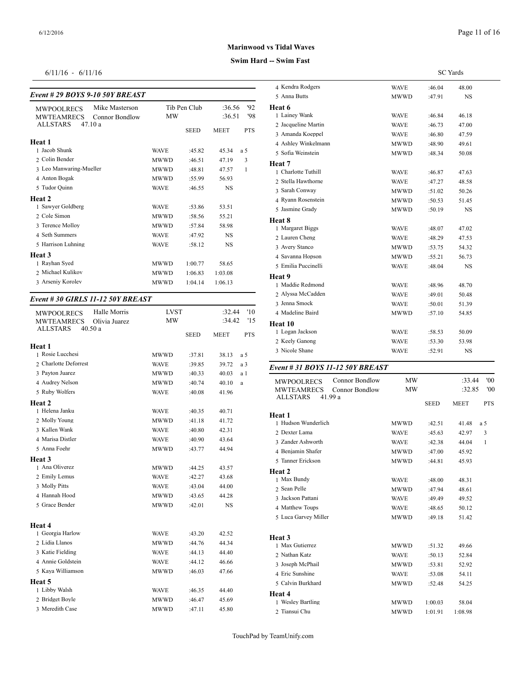#### *Event # 29 BOYS 9-10 50Y BREAST*

| Mike Masterson<br><b>MWPOOLRECS</b><br><b>MWTEAMRECS</b><br>Connor Bondlow | MW          | Tib Pen Club | :36.56<br>:36.51 | 92<br>'98  | Heat 6<br>1 Lainey Wank              |
|----------------------------------------------------------------------------|-------------|--------------|------------------|------------|--------------------------------------|
| <b>ALLSTARS</b><br>47.10a                                                  |             | <b>SEED</b>  | <b>MEET</b>      | <b>PTS</b> | 2 Jacqueline Mart<br>3 Amanda Koeppe |
| Heat 1                                                                     |             |              |                  |            | 4 Ashley Winkeln                     |
| 1 Jacob Shunk                                                              | <b>WAVE</b> | :45.82       | 45.34            | a 5        | 5 Sofia Weinstein                    |
| 2 Colin Bender                                                             | <b>MWWD</b> | :46.51       | 47.19            | 3          | Heat 7                               |
| 3 Leo Manwaring-Mueller                                                    | <b>MWWD</b> | :48.81       | 47.57            | 1          | 1 Charlotte Tuthill                  |
| 4 Anton Bogak                                                              | <b>MWWD</b> | :55.99       | 56.93            |            | 2 Stella Hawthorn                    |
| 5 Tudor Quinn                                                              | <b>WAVE</b> | :46.55       | <b>NS</b>        |            | 3 Sarah Conway                       |
| Heat 2                                                                     |             |              |                  |            | 4 Ryann Rosenste                     |
| 1 Sawyer Goldberg                                                          | <b>WAVE</b> | :53.86       | 53.51            |            | 5 Jasmine Grady                      |
| 2 Cole Simon                                                               | <b>MWWD</b> | :58.56       | 55.21            |            | Heat 8                               |
| 3 Terence Molloy                                                           | <b>MWWD</b> | :57.84       | 58.98            |            | 1 Margaret Biggs                     |
| 4 Seth Summers                                                             | <b>WAVE</b> | :47.92       | <b>NS</b>        |            | 2 Lauren Cheng                       |
| 5 Harrison Luhning                                                         | <b>WAVE</b> | :58.12       | <b>NS</b>        |            | 3 Avery Stanco                       |
| Heat 3                                                                     |             |              |                  |            | 4 Savanna Hopson                     |
| 1 Rayhan Syed                                                              | <b>MWWD</b> | 1:00.77      | 58.65            |            | 5 Emilia Puccinell                   |
| 2 Michael Kulikov                                                          | <b>MWWD</b> | 1:06.83      | 1:03.08          |            |                                      |
| 3 Arseniy Korolev                                                          | <b>MWWD</b> | 1:04.14      | 1:06.13          |            | Heat 9<br>1 Maddie Redmor            |
|                                                                            |             |              |                  |            |                                      |

#### *Event # 30 GIRLS 11-12 50Y BREAST*

| <b>MWPOOLRECS</b>          | Halle Morris  | <b>LVST</b> |             | :32.44      | '10        | 4 Madeline Baird  |
|----------------------------|---------------|-------------|-------------|-------------|------------|-------------------|
| <b>MWTEAMRECS</b>          | Olivia Juarez | MW          |             | :34.42      | '15        | Heat 10           |
| <b>ALLSTARS</b>            | 40.50a        |             | <b>SEED</b> | <b>MEET</b> | <b>PTS</b> | 1 Logan Jackson   |
|                            |               |             |             |             |            | 2 Keely Ganong    |
| Heat 1<br>1 Rosie Lucchesi |               | <b>MWWD</b> | :37.81      | 38.13       | a 5        | 3 Nicole Shane    |
| 2 Charlotte Deforrest      |               | <b>WAVE</b> | :39.85      | 39.72       | a 3        |                   |
| 3 Payton Juarez            |               | MWWD        | :40.33      | 40.03       | a 1        | Event # 31 BOY    |
| 4 Audrey Nelson            |               | <b>MWWD</b> | :40.74      | 40.10       | a          | <b>MWPOOLRECS</b> |
| 5 Ruby Wolfers             |               | <b>WAVE</b> | :40.08      | 41.96       |            | <b>MWTEAMREC</b>  |
| Heat 2                     |               |             |             |             |            | <b>ALLSTARS</b>   |
| 1 Helena Janku             |               | <b>WAVE</b> | :40.35      | 40.71       |            | Heat 1            |
| 2 Molly Young              |               | <b>MWWD</b> | :41.18      | 41.72       |            | 1 Hudson Wunder   |
| 3 Kallen Wank              |               | <b>WAVE</b> | :40.80      | 42.31       |            | 2 Dexter Lama     |
| 4 Marisa Distler           |               | <b>WAVE</b> | :40.90      | 43.64       |            | 3 Zander Ashwort  |
| 5 Anna Foehr               |               | <b>MWWD</b> | :43.77      | 44.94       |            | 4 Benjamin Shafe  |
| Heat 3                     |               |             |             |             |            | 5 Tanner Erickson |
| 1 Ana Oliverez             |               | <b>MWWD</b> | :44.25      | 43.57       |            | Heat 2            |
| 2 Emily Lemus              |               | <b>WAVE</b> | :42.27      | 43.68       |            | 1 Max Bundy       |
| 3 Molly Pitts              |               | <b>WAVE</b> | :43.04      | 44.00       |            | 2 Sean Pelle      |
| 4 Hannah Hood              |               | <b>MWWD</b> | :43.65      | 44.28       |            | 3 Jackson Pattani |
| 5 Grace Bender             |               | <b>MWWD</b> | :42.01      | <b>NS</b>   |            | 4 Matthew Toups   |
|                            |               |             |             |             |            | 5 Luca Garvey Mi  |
| Heat 4                     |               |             |             |             |            |                   |
| 1 Georgia Harlow           |               | <b>WAVE</b> | :43.20      | 42.52       |            | Heat 3            |
| 2 Lidia Llanos             |               | <b>MWWD</b> | :44.76      | 44.34       |            | 1 Max Gutierrez   |
| 3 Katie Fielding           |               | <b>WAVE</b> | :44.13      | 44.40       |            | 2 Nathan Katz     |
| 4 Annie Goldstein          |               | <b>WAVE</b> | :44.12      | 46.66       |            | 3 Joseph McPhail  |
| 5 Kaya Williamson          |               | <b>MWWD</b> | :46.03      | 47.66       |            | 4 Eric Sunshine   |
| Heat 5                     |               |             |             |             |            | 5 Calvin Burkhard |
| 1 Libby Walsh              |               | <b>WAVE</b> | :46.35      | 44.40       |            | Heat 4            |
| 2 Bridget Boyle            |               | <b>MWWD</b> | :46.47      | 45.69       |            | 1 Wesley Bartling |
| 3 Meredith Case            |               | <b>MWWD</b> | :47.11      | 45.80       |            | 2 Tiansui Chu     |

## **Marinwood vs Tidal Waves**

## **Swim Hard -- Swim Fast**

|                                                                   |             |             | <b>SC</b> Yards  |            |
|-------------------------------------------------------------------|-------------|-------------|------------------|------------|
| 4 Kendra Rodgers                                                  | <b>WAVE</b> | :46.04      | 48.00            |            |
| 5 Anna Butts                                                      | MWWD        | :47.91      | NS               |            |
| Heat 6                                                            |             |             |                  |            |
| 1 Lainey Wank                                                     | WAVE        | :46.84      | 46.18            |            |
| 2 Jacqueline Martin                                               | <b>WAVE</b> | :46.73      | 47.00            |            |
| 3 Amanda Koeppel                                                  | <b>WAVE</b> | :46.80      | 47.59            |            |
| 4 Ashley Winkelmann                                               | MWWD        | :48.90      | 49.61            |            |
| 5 Sofia Weinstein                                                 | MWWD        | :48.34      | 50.08            |            |
| Heat 7                                                            |             |             |                  |            |
| 1 Charlotte Tuthill                                               | WAVE        | :46.87      | 47.63            |            |
| 2 Stella Hawthorne                                                | <b>WAVE</b> | :47.27      | 48.58            |            |
| 3 Sarah Conway                                                    | MWWD        | :51.02      | 50.26            |            |
| 4 Ryann Rosenstein                                                | MWWD        | :50.53      | 51.45            |            |
| 5 Jasmine Grady                                                   | MWWD        | :50.19      | NS               |            |
| Heat 8                                                            |             |             |                  |            |
| 1 Margaret Biggs                                                  | WAVE        | :48.07      | 47.02            |            |
| 2 Lauren Cheng                                                    | <b>WAVE</b> | :48.29      | 47.53            |            |
| 3 Avery Stanco                                                    | MWWD        | :53.75      | 54.32            |            |
| 4 Savanna Hopson                                                  | MWWD        | :55.21      | 56.73            |            |
| 5 Emilia Puccinelli                                               | <b>WAVE</b> | :48.04      | NS               |            |
| Heat 9                                                            |             |             |                  |            |
| 1 Maddie Redmond                                                  | <b>WAVE</b> | :48.96      | 48.70            |            |
| 2 Alyssa McCadden                                                 | <b>WAVE</b> | :49.01      | 50.48            |            |
| 3 Jenna Smock                                                     | WAVE        | :50.01      | 51.39            |            |
| 4 Madeline Baird                                                  | MWWD        | :57.10      | 54.85            |            |
| Heat 10                                                           |             |             |                  |            |
| 1 Logan Jackson                                                   | WAVE        | :58.53      | 50.09            |            |
| 2 Keely Ganong                                                    | WAVE        | :53.30      | 53.98            |            |
| 3 Nicole Shane                                                    | WAVE        | :52.91      | NS               |            |
| Event # 31 BOYS 11-12 50Y BREAST                                  |             |             |                  |            |
|                                                                   |             |             |                  | '00        |
| Connor Bondlow<br><b>MWPOOLRECS</b>                               | MW<br>МW    |             | :33.44<br>:32.85 | '00        |
| <b>MWTEAMRECS</b><br>Connor Bondlow<br><b>ALLSTARS</b><br>41.99 a |             |             |                  |            |
|                                                                   |             | <b>SEED</b> | MEET             | <b>PTS</b> |
| Heat 1                                                            |             |             |                  |            |
| 1 Hudson Wunderlich                                               | MWWD        | :42.51      | 41.48            | a 5        |
| 2 Dexter Lama                                                     | WAVE        | :45.63      | 42.97            | 3          |
| 3 Zander Ashworth                                                 | <b>WAVE</b> | :42.38      | 44.04            | 1          |
| 4 Benjamin Shafer                                                 | MWWD        | :47.00      | 45.92            |            |
| 5 Tanner Erickson                                                 | MWWD        | :44.81      | 45.93            |            |
| Heat 2                                                            |             |             |                  |            |
| 1 Max Bundy                                                       | WAVE        | :48.00      | 48.31            |            |
| 2 Sean Pelle                                                      | MWWD        | :47.94      | 48.61            |            |
| 3 Jackson Pattani                                                 | WAVE        | :49.49      | 49.52            |            |
| 4 Matthew Toups                                                   | WAVE        | :48.65      | 50.12            |            |
| 5 Luca Garvey Miller                                              | MWWD        | :49.18      | 51.42            |            |
|                                                                   |             |             |                  |            |
| Heat 3<br>1 Max Gutierrez                                         |             |             |                  |            |
|                                                                   | MWWD        | :51.32      | 49.66            |            |
| 2 Nathan Katz                                                     | WAVE        | :50.13      | 52.84            |            |
| 3 Joseph McPhail                                                  | MWWD        | :53.81      | 52.92            |            |
| 4 Eric Sunshine                                                   | <b>WAVE</b> | :53.08      | 54.11            |            |

Calvin Burkhard MWWD :52.48 54.25

 Wesley Bartling MWWD 1:00.03 58.04 Tiansui Chu MWWD 1:01.91 1:08.98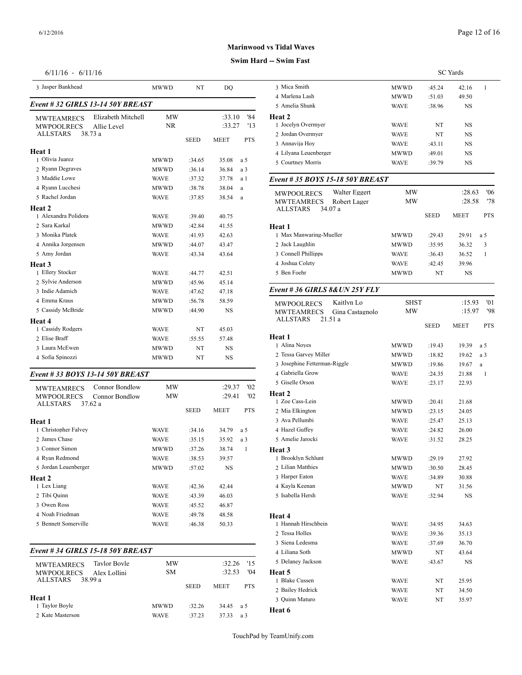## **Swim Hard -- Swim Fast**

## 6/11/16 - 6/11/16

| 3 Jasper Bankhead                      |                                   | <b>MWWD</b>            | NT          | DQ               |            | 3 Mica Smith                                             |
|----------------------------------------|-----------------------------------|------------------------|-------------|------------------|------------|----------------------------------------------------------|
| Event #32 GIRLS 13-14 50Y BREAST       | 4 Marlena Lash<br>5 Amelia Shunk  |                        |             |                  |            |                                                          |
| <b>MWTEAMRECS</b><br><b>MWPOOLRECS</b> | Elizabeth Mitchell<br>Allie Level | <b>MW</b><br><b>NR</b> |             | :33.10<br>:33.27 | '84<br>'13 | Heat 2<br>1 Jocelyn Overmy                               |
| <b>ALLSTARS</b>                        | 38.73 a                           |                        | <b>SEED</b> | <b>MEET</b>      | <b>PTS</b> | 2 Jordan Overmye<br>3 Annavija Hoy                       |
| Heat 1                                 |                                   |                        |             |                  |            | 4 Lilyana Leuenbe                                        |
| 1 Olivia Juarez                        |                                   | <b>MWWD</b>            | :34.65      | 35.08            | a 5        | 5 Courtney Morris                                        |
| 2 Ryann Degraves                       |                                   | <b>MWWD</b>            | :36.14      | 36.84            | a 3        |                                                          |
| 3 Maddie Lowe                          |                                   | <b>WAVE</b>            | :37.32      | 37.78            | a 1        | Event # 35 $BOY$                                         |
| 4 Ryann Lucchesi                       |                                   | <b>MWWD</b>            | :38.78      | 38.04            | a          |                                                          |
| 5 Rachel Jordan<br>Heat 2              |                                   | <b>WAVE</b>            | :37.85      | 38.54            | a          | <b>MWPOOLRECS</b><br><b>MWTEAMREC</b><br><b>ALLSTARS</b> |
| 1 Alexandra Polidora                   |                                   | <b>WAVE</b>            | :39.40      | 40.75            |            |                                                          |
| 2. Sara Karkal                         |                                   | <b>MWWD</b>            | :42.84      | 41.55            |            | Heat 1                                                   |
| 3 Monika Platek                        |                                   | <b>WAVE</b>            | :41.93      | 42.63            |            | 1 Max Manwaring                                          |
| 4 Annika Jorgensen                     |                                   | <b>MWWD</b>            | :44.07      | 43.47            |            | 2 Jack Laughlin                                          |
| 5 Amy Jordan                           |                                   | <b>WAVE</b>            | :43.34      | 43.64            |            | 3 Connell Phillipp                                       |
| Heat 3                                 |                                   |                        |             |                  |            | 4 Joshua Colety                                          |
| 1 Ellery Stocker                       |                                   | <b>WAVE</b>            | :44.77      | 42.51            |            | 5 Ben Foehr                                              |
| 2 Sylvie Anderson                      |                                   | <b>MWWD</b>            | :45.96      | 45.14            |            |                                                          |
| 3 Indie Adamich                        |                                   | <b>WAVE</b>            | :47.62      | 47.18            |            | Event #36 GIRI                                           |
| 4 Emma Kraus                           |                                   | <b>MWWD</b>            | :56.78      | 58.59            |            | <b>MWPOOLRECS</b>                                        |
| 5 Cassidy McBride                      |                                   | <b>MWWD</b>            | :44.90      | <b>NS</b>        |            | <b>MWTEAMREC</b>                                         |
| Heat 4                                 |                                   |                        |             |                  |            | <b>ALLSTARS</b>                                          |
| 1 Cassidy Rodgers                      |                                   | <b>WAVE</b>            | NT          | 45.03            |            |                                                          |
| 2 Elise Braff                          |                                   | <b>WAVE</b>            | :55.55      | 57.48            |            | Heat 1                                                   |
| 3 Laura McEwen                         |                                   | <b>MWWD</b>            | NT          | <b>NS</b>        |            | 1 Alina Noves                                            |
| 4 Sofia Spinozzi                       |                                   | <b>MWWD</b>            | NT          | <b>NS</b>        |            | 2 Tessa Garvey M<br>3 Josephine Fetter                   |

## *Event # 33 BOYS 13-14 50Y BREAST*

|                                                                                                                        | MW          |             | :29.37      | '02        | 5 Giselle Orson                  |
|------------------------------------------------------------------------------------------------------------------------|-------------|-------------|-------------|------------|----------------------------------|
| <b>Connor Bondlow</b><br><b>MWTEAMRECS</b><br><b>MWPOOLRECS</b><br><b>Connor Bondlow</b><br><b>ALLSTARS</b><br>37.62 a | MW          |             | :29.41      | '02        | <b>Heat 2</b><br>1 Zoe Cass-Lein |
|                                                                                                                        |             | <b>SEED</b> | <b>MEET</b> | <b>PTS</b> | 2 Mia Elkington                  |
| <b>Heat 1</b>                                                                                                          |             |             |             |            | 3 Ava Pellumbi                   |
| 1 Christopher Falvey                                                                                                   | WAVE        | :34.16      | 34.79       | a 5        | 4 Hazel Guffev                   |
| 2. James Chase                                                                                                         | WAVE        | :35.15      | 35.92       | a 3        | 5 Amelie Jarocki                 |
| 3 Connor Simon                                                                                                         | MWWD        | :37.26      | 38.74       | 1          | Heat 3                           |
| 4 Ryan Redmond                                                                                                         | WAVE        | :38.53      | 39.57       |            | 1 Brooklyn Schlui                |
| 5 Jordan Leuenberger                                                                                                   | <b>MWWD</b> | :57.02      | NS.         |            | 2 Lilian Matthies                |
| Heat 2                                                                                                                 |             |             |             |            | 3 Harper Eaton                   |
| 1 Lex Liang                                                                                                            | WAVE        | :42.36      | 42.44       |            | 4 Kayla Keenan                   |
| 2 Tibi Quinn                                                                                                           | WAVE        | :43.39      | 46.03       |            | 5 Isabella Hersh                 |
| 3 Owen Ross                                                                                                            | WAVE        | :45.52      | 46.87       |            |                                  |
| 4 Noah Friedman                                                                                                        | WAVE        | :49.78      | 48.58       |            | Heat 4                           |
| 5 Bennett Somerville                                                                                                   | WAVE        | :46.38      | 50.33       |            | 1 Hannah Hirschb                 |
|                                                                                                                        |             |             |             |            |                                  |

## *Event # 34 GIRLS 15-18 50Y BREAST*

| Tavlor Bovle<br><b>MWTEAMRECS</b> | MW          |          | :32.26      | 15         | 5 Delanev Jackson |
|-----------------------------------|-------------|----------|-------------|------------|-------------------|
| <b>MWPOOLRECS</b><br>Alex Lollini | SМ          |          | :32.53      | '04        | Heat 5            |
| ALLSTARS<br>38.99 a               |             |          |             |            | 1 Blake Cussen    |
|                                   | <b>SEED</b> |          | <b>MEET</b> | <b>PTS</b> | 2 Bailey Hedrick  |
| Heat 1                            |             |          |             |            | 3 Ouinn Maturo    |
| 1 Taylor Boyle                    | <b>MWWD</b> | $-32.26$ | 34.45       | - a 5      | Heat 6            |
| 2. Kate Masterson                 | <b>WAVE</b> | :37.23   | 3733        | a 3        |                   |

|                                        |                 |                     |             | <b>SC</b> Yards |              |
|----------------------------------------|-----------------|---------------------|-------------|-----------------|--------------|
| 3 Mica Smith                           |                 | MWWD                | :45.24      | 42.16           | 1            |
| 4 Marlena Lash                         |                 | MWWD                | :51.03      | 49.50           |              |
| 5 Amelia Shunk                         |                 | WAVE                | :38.96      | NS              |              |
| Heat 2                                 |                 |                     |             |                 |              |
| 1 Jocelyn Overmyer                     |                 | WAVE                | NT          | NS              |              |
| 2 Jordan Overmyer                      |                 | <b>WAVE</b>         | NT          | NS              |              |
| 3 Annavija Hoy                         |                 | <b>WAVE</b>         | :43.11      | NS              |              |
| 4 Lilyana Leuenberger                  |                 | MWWD                | :49.01      | NS              |              |
| 5 Courtney Morris                      |                 | WAVE                | :39.79      | NS              |              |
| Event # 35 BOYS 15-18 50Y BREAST       |                 |                     |             |                 |              |
| <b>MWPOOLRECS</b>                      | Walter Eggert   | MW                  |             | :28.63          | 06'          |
| <b>MWTEAMRECS</b>                      | Robert Lager    | МW                  |             | :28.58          | '78          |
| ALLSTARS                               | 34.07 a         |                     |             |                 |              |
|                                        |                 |                     | <b>SEED</b> | MEET            | <b>PTS</b>   |
| <b>Heat 1</b>                          |                 |                     |             |                 |              |
| 1 Max Manwaring-Mueller                |                 | MWWD                | :29.43      | 29.91           | a 5          |
| 2 Jack Laughlin                        |                 | MWWD                | :35.95      | 36.32           | 3            |
| 3 Connell Phillipps<br>4 Joshua Colety |                 | WAVE<br><b>WAVE</b> | :36.43      | 36.52           | $\mathbf{1}$ |
| 5 Ben Foehr                            |                 |                     | :42.45      | 39.96           |              |
|                                        |                 | MWWD                | NT          | NS              |              |
| Event # 36 GIRLS $8&UN 25Y FLY$        |                 |                     |             |                 |              |
| <b>MWPOOLRECS</b>                      | Kaitlyn Lo      | <b>SHST</b>         |             | :15.93          | '01          |
| <b>MWTEAMRECS</b>                      | Gina Castagnolo | МW                  |             | :15.97          | '98          |
| <b>ALLSTARS</b>                        | 21.51a          |                     | <b>SEED</b> | MEET            | <b>PTS</b>   |
| <b>Heat 1</b>                          |                 |                     |             |                 |              |
| 1 Alina Noyes                          |                 | MWWD                | :19.43      | 19.39           | a 5          |
| 2 Tessa Garvey Miller                  |                 | MWWD                | :18.82      | 19.62           | a 3          |
| 3 Josephine Fetterman-Riggle           |                 | <b>MWWD</b>         | :19.86      | 19.67           | a            |
| 4 Gabriella Grow                       |                 | <b>WAVE</b>         | :24.35      | 21.88           | 1            |
| 5 Giselle Orson                        |                 | WAVE                | :23.17      | 22.93           |              |
| Heat 2                                 |                 |                     |             |                 |              |
| 1 Zoe Cass-Lein                        |                 | MWWD                | :20.41      | 21.68           |              |
| 2 Mia Elkington                        |                 | MWWD                | :23.15      | 24.05           |              |
| 3 Ava Pellumbi                         |                 | <b>WAVE</b>         | :25.47      | 25.13           |              |
| 4 Hazel Guffev                         |                 | WAVE                | :24.82      | 26.00           |              |
| 5 Amelie Jarocki                       |                 | <b>WAVE</b>         | :31.52      | 28.25           |              |
| Heat 3                                 |                 |                     |             |                 |              |
| 1 Brooklyn Schlunt                     |                 | MWWD                | :29.19      | 27.92           |              |
| 2 Lilian Matthies                      |                 | MWWD                | :30.50      | 28.45           |              |
| 3 Harper Eaton                         |                 | WAVE                | :34.89      | 30.88           |              |
| 4 Kayla Keenan                         |                 | MWWD                | NT          | 31.56           |              |
| 5 Isabella Hersh                       |                 | WAVE                | :32.94      | NS              |              |
|                                        |                 |                     |             |                 |              |
| Heat 4<br>1 Hannah Hirschbein          |                 |                     |             |                 |              |
| 2 Tessa Holles                         |                 | WAVE                | :34.95      | 34.63           |              |
| 3 Siena Ledesma                        |                 | WAVE                | :39.36      | 35.13           |              |
|                                        |                 | WAVE                | :37.69      | 36.70           |              |
| 4 Liliana Soth                         |                 | MWWD                | NT          | 43.64           |              |
| 5 Delaney Jackson                      |                 | WAVE                | :43.67      | NS              |              |
| Heat 5<br>1 Blake Cussen               |                 |                     |             |                 |              |
|                                        |                 | WAVE                | NT          | 25.95           |              |
| 2 Bailey Hedrick                       |                 | WAVE                | NΤ          | 34.50           |              |
| 3 Quinn Maturo                         |                 | WAVE                | NT          | 35.97           |              |
| Heat 6                                 |                 |                     |             |                 |              |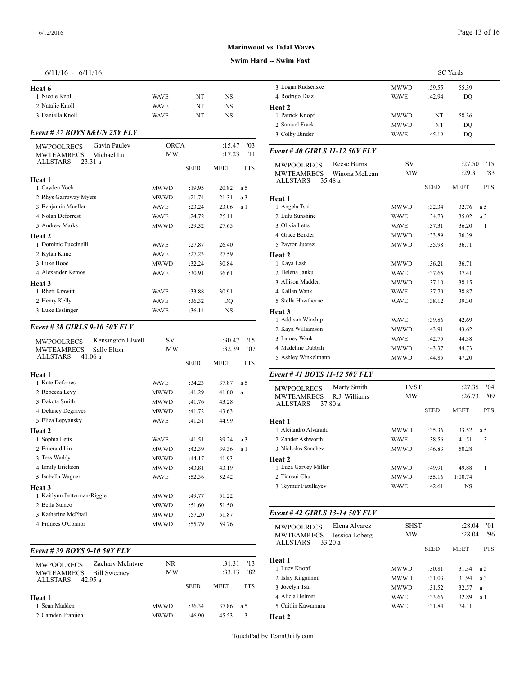#### **Swim Hard -- Swim Fast**

#### 6/11/16 - 6/11/16

| Heat 6                                                        |                          |             |             |            | 3 Logan Rudsenske                                                | <b>MWWD</b>       | :59.55      | 55         |
|---------------------------------------------------------------|--------------------------|-------------|-------------|------------|------------------------------------------------------------------|-------------------|-------------|------------|
| 1 Nicole Knoll                                                | <b>WAVE</b>              | NT          | <b>NS</b>   |            | 4 Rodrigo Diaz                                                   | <b>WAVE</b>       | :42.94      |            |
| 2 Natalie Knoll                                               | <b>WAVE</b>              | NT          | <b>NS</b>   |            | Heat 2                                                           |                   |             |            |
| 3 Daniella Knoll                                              | <b>WAVE</b>              | NT          | <b>NS</b>   |            | 1 Patrick Knopf                                                  | MWWD              | NT          | 58         |
|                                                               |                          |             |             |            | 2 Samuel Frack                                                   | <b>MWWD</b>       | NT          |            |
| Event # 37 BOYS 8& UN 25Y FLY                                 |                          |             |             |            | 3 Colby Binder                                                   | <b>WAVE</b>       | :45.19      |            |
| Gavin Pauley<br><b>MWPOOLRECS</b>                             | <b>ORCA</b><br><b>MW</b> |             | :15.47      | '03        | Event #40 GIRLS 11-12 50Y FLY                                    |                   |             |            |
| <b>MWTEAMRECS</b><br>Michael Lu<br><b>ALLSTARS</b><br>23.31 a |                          |             | :17.23      | '11        |                                                                  |                   |             |            |
|                                                               |                          | <b>SEED</b> | <b>MEET</b> | <b>PTS</b> | Reese Burns<br><b>MWPOOLRECS</b>                                 | SV<br><b>MW</b>   |             |            |
| Heat 1                                                        |                          |             |             |            | Winona McLean<br><b>MWTEAMRECS</b><br><b>ALLSTARS</b><br>35.48 a |                   |             |            |
| 1 Cayden Yock                                                 | <b>MWWD</b>              | :19.95      | 20.82       | a 5        |                                                                  |                   | <b>SEED</b> | <b>MEI</b> |
| 2 Rhys Garroway Myers                                         | <b>MWWD</b>              | :21.74      | 21.31       | a 3        | Heat 1                                                           |                   |             |            |
| 3 Benjamin Mueller                                            | <b>WAVE</b>              | :23.24      | 23.06       | a 1        | 1 Angela Tsai                                                    | <b>MWWD</b>       | :32.34      | 32         |
| 4 Nolan Deforrest                                             | <b>WAVE</b>              | :24.72      | 25.11       |            | 2 Lulu Sunshine                                                  | <b>WAVE</b>       | :34.73      | 35         |
| 5 Andrew Marks                                                | <b>MWWD</b>              | :29.32      | 27.65       |            | 3 Olivia Letts                                                   | <b>WAVE</b>       | :37.31      | 36         |
| Heat 2                                                        |                          |             |             |            | 4 Grace Bender                                                   | <b>MWWD</b>       | :33.89      | 36         |
| 1 Dominic Puccinelli                                          | <b>WAVE</b>              | :27.87      | 26.40       |            | 5 Payton Juarez                                                  | <b>MWWD</b>       | :35.98      | 36         |
| 2 Kylan Kime                                                  | <b>WAVE</b>              | :27.23      | 27.59       |            | Heat 2                                                           |                   |             |            |
| 3 Luke Hood                                                   | <b>MWWD</b>              | :32.24      | 30.84       |            | 1 Kaya Lash                                                      | <b>MWWD</b>       | :36.21      | 36         |
| 4 Alexander Kemos                                             | <b>WAVE</b>              | :30.91      | 36.61       |            | 2 Helena Janku                                                   | <b>WAVE</b>       | :37.65      | 37         |
| Heat 3                                                        |                          |             |             |            | 3 Allison Madden                                                 | <b>MWWD</b>       | :37.10      | 38         |
| 1 Rhett Krawitt                                               | <b>WAVE</b>              | :33.88      | 30.91       |            | 4 Kallen Wank                                                    | <b>WAVE</b>       | :37.79      | 38         |
| 2 Henry Kelly                                                 | <b>WAVE</b>              | :36.32      | <b>DO</b>   |            | 5 Stella Hawthorne                                               | <b>WAVE</b>       | :38.12      | 39         |
| 3 Luke Esslinger                                              | <b>WAVE</b>              | :36.14      | <b>NS</b>   |            | Heat 3                                                           |                   |             |            |
|                                                               |                          |             |             |            | 1 Addison Winship                                                | <b>WAVE</b>       | :39.86      | 42         |
| Event #38 GIRLS 9-10 50Y FLY                                  |                          |             |             |            | 2 Kaya Williamson                                                | <b>MWWD</b>       | :43.91      | 43         |
| Kensington Elwell<br><b>MWPOOLRECS</b>                        | SV                       |             | :30.47      | '15        | 3 Lainey Wank                                                    | <b>WAVE</b>       | :42.75      | 44         |
| Sally Elton<br><b>MWTEAMRECS</b>                              | MW                       |             | :32.39      | '07        | 4 Madeline Dabbah                                                | <b>MWWD</b>       | :43.37      | 44         |
| <b>ALLSTARS</b><br>41.06 a                                    |                          | <b>SEED</b> | <b>MEET</b> | <b>PTS</b> | 5 Ashley Winkelmann                                              | <b>MWWD</b>       | :44.85      | 47         |
| Heat 1                                                        |                          |             |             |            | Event #41 BOYS 11-12 50Y FLY                                     |                   |             |            |
| 1 Kate Deforrest                                              | <b>WAVE</b>              | :34.23      | 37.87       | a 5        |                                                                  |                   |             |            |
| 2 Rebecca Levy                                                | <b>MWWD</b>              | :41.29      | 41.00       | $\rm{a}$   | Marty Smith<br><b>MWPOOLRECS</b>                                 | <b>LVST</b><br>MW |             |            |
| 3 Dakota Smith                                                | <b>MWWD</b>              | :41.76      | 43.28       |            | <b>MWTEAMRECS</b><br>R.J. Williams<br><b>ALLSTARS</b><br>37.80 a |                   |             |            |
| 4 Delaney Degraves                                            | <b>MWWD</b>              | :41.72      | 43.63       |            |                                                                  |                   | <b>SEED</b> | <b>MEI</b> |
| 5 Eliza Lepyansky                                             | <b>WAVE</b>              | :41.51      | 44.99       |            | Heat 1                                                           |                   |             |            |
| Heat 2                                                        |                          |             |             |            | 1 Alejandro Alvarado                                             | <b>MWWD</b>       | :35.36      | 33         |
| 1 Sophia Letts                                                | <b>WAVE</b>              | :41.51      | 39.24       | a 3        | 2 Zander Ashworth                                                | <b>WAVE</b>       | :38.56      | 41         |
| 2 Emerald Lin                                                 | <b>MWWD</b>              | :42.39      | 39.36       | a 1        | 3 Nicholas Sanchez                                               | <b>MWWD</b>       | :46.83      | 50         |
| 3 Tess Waddy                                                  | <b>MWWD</b>              | :44.17      | 41.93       |            | Heat 2                                                           |                   |             |            |
| 4 Emily Erickson                                              | <b>MWWD</b>              | :43.81      | 43.19       |            | 1 Luca Garvey Miller                                             | <b>MWWD</b>       | :49.91      | 49         |
| 5 Isabella Wagner                                             | <b>WAVE</b>              | :52.36      | 52.42       |            | 2 Tiansui Chu                                                    | <b>MWWD</b>       | :55.16      | 1:00       |
| Heat 3                                                        |                          |             |             |            | 3 Teymur Fatullayev                                              | <b>WAVE</b>       | :42.61      |            |
| 1 Kaitlynn Fetterman-Riggle                                   | <b>MWWD</b>              | :49.77      | 51.22       |            |                                                                  |                   |             |            |
| 2 Bella Stanco                                                | <b>MWWD</b>              | :51.60      | 51.50       |            |                                                                  |                   |             |            |

## *Event # 39 BOYS 9-10 50Y FLY*

| Zachary McIntyre<br><b>MWPOOLRECS</b><br><b>MWTEAMRECS</b><br><b>Bill Sweeney</b> | NR.<br>MW   |             | :31.31<br>:33.13 | '13<br>'82 | Heat 1<br>1 Lucy Knopf                                 |
|-----------------------------------------------------------------------------------|-------------|-------------|------------------|------------|--------------------------------------------------------|
| ALLSTARS<br>42.95 a<br>Heat 1                                                     |             | <b>SEED</b> | <b>MEET</b>      | <b>PTS</b> | 2 Islay Kilgannon<br>3 Jocelyn Tsai<br>4 Alicia Helmer |
| 1 Sean Madden<br>2 Camden Franjieh                                                | <b>MWWD</b> | $-36.34$    | 37.86            | -a 5       | 5 Caitlin Kawamu                                       |
|                                                                                   | <b>MWWD</b> | :46.90      | 45.53            | 3          | <b>Heat 2</b>                                          |

3 Katherine McPhail MWWD :57.20 51.87 4 Frances O'Connor MWWD :55.79 59.76

|                   |             |        | <b>SC</b> Yards |
|-------------------|-------------|--------|-----------------|
| 3 Logan Rudsenske | MWWD        | :59.55 | 55.39           |
| 4 Rodrigo Diaz    | <b>WAVE</b> | :42.94 | DO              |
| <b>Heat 2</b>     |             |        |                 |
| 1 Patrick Knopf   | <b>MWWD</b> | NT     | 58.36           |
| 2 Samuel Frack    | <b>MWWD</b> | NT     | DO              |
| 3 Colby Binder    | <b>WAVE</b> | :45.19 | DO              |
|                   |             |        |                 |

| <b>MWPOOLRECS</b>   | Reese Burns   | SV.         |             | :27.50      | '15          |
|---------------------|---------------|-------------|-------------|-------------|--------------|
| <b>MWTEAMRECS</b>   | Winona McLean | MW          |             | :29.31      | '83          |
| 35.48 a<br>ALLSTARS |               |             | <b>SEED</b> | <b>MEET</b> | <b>PTS</b>   |
| Heat 1              |               |             |             |             |              |
| 1 Angela Tsai       |               | <b>MWWD</b> | :32.34      | 32.76       | a 5          |
| 2 Lulu Sunshine     |               | <b>WAVE</b> | :34.73      | 35.02       | a 3          |
| 3 Olivia Letts      |               | <b>WAVE</b> | :37.31      | 36.20       | $\mathbf{1}$ |
| 4 Grace Bender      |               | <b>MWWD</b> | :33.89      | 36.39       |              |
| 5 Payton Juarez     |               | <b>MWWD</b> | :35.98      | 36.71       |              |
| Heat 2              |               |             |             |             |              |
| 1 Kaya Lash         |               | <b>MWWD</b> | :36.21      | 36.71       |              |
| 2 Helena Janku      |               | <b>WAVE</b> | :37.65      | 37.41       |              |
| 3 Allison Madden    |               | <b>MWWD</b> | :37.10      | 38.15       |              |
| 4 Kallen Wank       |               | <b>WAVE</b> | :37.79      | 38.87       |              |
| 5 Stella Hawthorne  |               | <b>WAVE</b> | :38.12      | 39.30       |              |
| <b>Heat 3</b>       |               |             |             |             |              |
| 1 Addison Winship   |               | <b>WAVE</b> | :39.86      | 42.69       |              |
| 2 Kaya Williamson   |               | <b>MWWD</b> | :43.91      | 43.62       |              |
| 3 Lainey Wank       |               | <b>WAVE</b> | :42.75      | 44.38       |              |
| 4 Madeline Dabbah   |               | <b>MWWD</b> | :43.37      | 44.73       |              |
| 5 Ashley Winkelmann |               | <b>MWWD</b> | :44.85      | 47.20       |              |

## *Event # 41 BOYS 11-12 50Y FLY*

| Marty Smith<br><b>MWPOOLRECS</b>   | <b>LVST</b> |             | :27.35      | 04'        |
|------------------------------------|-------------|-------------|-------------|------------|
| R.J. Williams<br><b>MWTEAMRECS</b> | <b>MW</b>   |             | :26.73      | '09        |
| <b>ALLSTARS</b><br>37.80 a         |             | <b>SEED</b> | <b>MEET</b> | <b>PTS</b> |
| Heat 1                             |             |             |             |            |
| 1 Aleiandro Alvarado               | <b>MWWD</b> | :35.36      | 33.52       | a 5        |
| 2. Zander Ashworth                 | <b>WAVE</b> | :38.56      | 41.51       | 3          |
| 3 Nicholas Sanchez                 | <b>MWWD</b> | :46.83      | 50.28       |            |
| <b>Heat 2</b>                      |             |             |             |            |
| 1 Luca Garvey Miller               | <b>MWWD</b> | :49.91      | 49.88       | 1          |
| 2 Tiansui Chu                      | <b>MWWD</b> | :55.16      | 1:00.74     |            |
| 3 Teymur Fatullayev                | <b>WAVE</b> | :42.61      | NS.         |            |
|                                    |             |             |             |            |

#### *Event # 42 GIRLS 13-14 50Y FLY*

| Elena Alvarez<br><b>MWPOOLRECS</b><br><b>MWTEAMRECS</b><br>Jessica Loberg | <b>SHST</b><br>MW |             | $^{\prime}$ 01<br>:28.04<br>96'<br>:28.04 |            |
|---------------------------------------------------------------------------|-------------------|-------------|-------------------------------------------|------------|
| <b>ALLSTARS</b><br>33.20 a                                                |                   | <b>SEED</b> | <b>MEET</b>                               | <b>PTS</b> |
| Heat 1                                                                    |                   |             |                                           |            |
| 1 Lucy Knopf                                                              | <b>MWWD</b>       | :30.81      | 31.34                                     | a 5        |
| 2 Islay Kilgannon                                                         | <b>MWWD</b>       | :31.03      | 31.94                                     | a 3        |
| 3 Jocelyn Tsai                                                            | <b>MWWD</b>       | :31.52      | 32.57                                     | a          |
| 4 Alicia Helmer                                                           | <b>WAVE</b>       | :33.66      | 32.89                                     | a 1        |
| 5 Caitlin Kawamura                                                        | <b>WAVE</b>       | :31.84      | 34.11                                     |            |
| <b>Heat 2</b>                                                             |                   |             |                                           |            |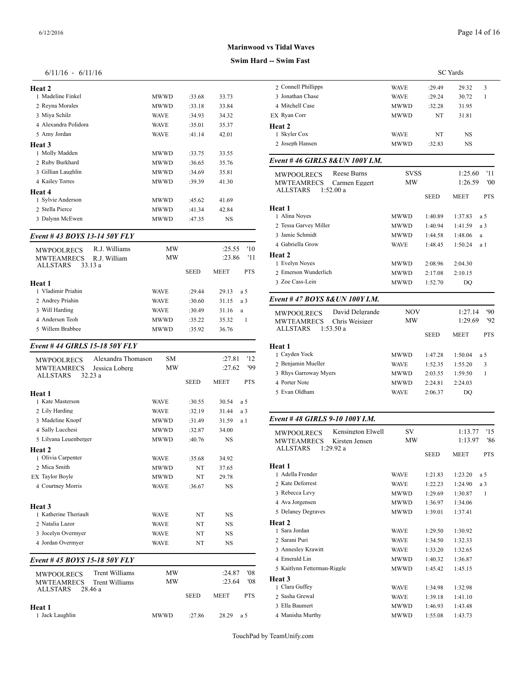| Heat 2               |             |        |       | 2 Conne      |
|----------------------|-------------|--------|-------|--------------|
| 1 Madeline Finkel    | <b>MWWD</b> | :33.68 | 33.73 | 3 Jonath     |
| 2 Reyna Morales      | <b>MWWD</b> | :33.18 | 33.84 | 4 Mitche     |
| 3 Miya Schilz        | <b>WAVE</b> | :34.93 | 34.32 | EX Ryan      |
| 4 Alexandra Polidora | <b>WAVE</b> | :35.01 | 35.37 | Heat 2       |
| 5 Amy Jordan         | <b>WAVE</b> | :41.14 | 42.01 | 1 Skyler     |
| Heat 3               |             |        |       | 2 Joseph     |
| 1 Molly Madden       | MWWD        | :33.75 | 33.55 |              |
| 2 Ruby Burkhard      | <b>MWWD</b> | :36.65 | 35.76 | Event#4      |
| 3 Gillian Laughlin   | <b>MWWD</b> | :34.69 | 35.81 | <b>MWPO</b>  |
| 4 Kailey Torres      | <b>MWWD</b> | :39.39 | 41.30 | <b>MWTE</b>  |
| Heat 4               |             |        |       | <b>ALLST</b> |
| 1 Sylvie Anderson    | MWWD        | :45.62 | 41.69 |              |
| 2 Stella Pierce      | <b>MWWD</b> | :41.34 | 42.84 | Heat 1       |
| 3 Dalynn McEwen      | MWWD        | :47.35 | NS    | 1 Alina      |
|                      |             |        |       |              |

#### *Event # 43 BOYS 13-14 50Y FLY*

| R.J. Williams<br><b>MWPOOLRECS</b>                              | MW          |             | :25.55      | '10        | 4 Gabriella Grow         |
|-----------------------------------------------------------------|-------------|-------------|-------------|------------|--------------------------|
| <b>MWTEAMRECS</b><br>R.J. William<br><b>ALLSTARS</b><br>33.13 a | MW          |             | :23.86      | '11        | Heat 2<br>1 Evelyn Noves |
|                                                                 |             | <b>SEED</b> | <b>MEET</b> | <b>PTS</b> | 2. Emerson Wunde         |
| Heat 1                                                          |             |             |             |            | 3 Zoe Cass-Lein          |
| 1 Vladimir Priahin                                              | <b>WAVE</b> | :29.44      | 29.13       | a 5        |                          |
| 2 Andrey Priahin                                                | <b>WAVE</b> | :30.60      | 31.15       | a 3        | Event #47 $BOY$          |
| 3 Will Harding                                                  | <b>WAVE</b> | :30.49      | 31.16       | a          | <b>MWPOOLRECS</b>        |
| 4 Andersen Teoh                                                 | <b>MWWD</b> | :35.22      | 35.32       |            | <b>MWTEAMREC</b>         |
| 5 Willem Brabbee                                                | <b>MWWD</b> | $-35.92$    | 36.76       |            | <b>ALLSTARS</b>          |

#### *Event # 44 GIRLS 15-18 50Y FLY*

| Alexandra Thomason<br><b>MWPOOLRECS</b><br><b>MWTEAMRECS</b><br>Jessica Loberg<br><b>ALLSTARS</b><br>32.23 a | <b>SM</b><br><b>MW</b> |             | :27.81<br>:27.62 | '12<br>'99 | 1 Cayden Yock<br>2 Beniamin Muell<br>3 Rhys Garroway |
|--------------------------------------------------------------------------------------------------------------|------------------------|-------------|------------------|------------|------------------------------------------------------|
|                                                                                                              |                        | <b>SEED</b> | <b>MEET</b>      | <b>PTS</b> | 4 Porter Note                                        |
| Heat 1                                                                                                       |                        |             |                  |            | 5 Evan Oldham                                        |
| 1 Kate Masterson                                                                                             | <b>WAVE</b>            | :30.55      | 30.54            | a 5        |                                                      |
| 2 Lily Harding                                                                                               | <b>WAVE</b>            | :32.19      | 31.44            | a 3        |                                                      |
| 3 Madeline Knopf                                                                                             | <b>MWWD</b>            | :31.49      | 31.59            | a 1        | Event #48 GIRI                                       |
| 4 Sally Lucchesi                                                                                             | <b>MWWD</b>            | :32.87      | 34.00            |            | <b>MWPOOLRECS</b>                                    |
| 5 Lilyana Leuenberger                                                                                        | <b>MWWD</b>            | :40.76      | <b>NS</b>        |            | <b>MWTEAMREC</b><br><b>ALLSTARS</b>                  |
| Heat 2<br>1 Olivia Carpenter                                                                                 | <b>WAVE</b>            | :35.68      | 34.92            |            |                                                      |
| 2 Mica Smith                                                                                                 | <b>MWWD</b>            | NT          | 37.65            |            | Heat 1                                               |
| <b>EX Taylor Boyle</b>                                                                                       | <b>MWWD</b>            | NT          | 29.78            |            | 1 Adella Frender                                     |
| 4 Courtney Morris                                                                                            | <b>WAVE</b>            | :36.67      | <b>NS</b>        |            | 2 Kate Deforrest                                     |
|                                                                                                              |                        |             |                  |            | 3 Rebecca Levy                                       |
| Heat <sub>3</sub>                                                                                            |                        |             |                  |            | 4 Ava Jorgensen                                      |
| 1 Katherine Theriault                                                                                        | <b>WAVE</b>            | NT          | <b>NS</b>        |            | 5 Delaney Degray                                     |
| 2 Natalia Lazor                                                                                              | <b>WAVE</b>            | NT          | <b>NS</b>        |            | Heat 2                                               |
| 3 Jocelyn Overmyer                                                                                           | <b>WAVE</b>            | NT          | <b>NS</b>        |            | 1 Sara Jordan                                        |
| 4 Jordan Overmyer                                                                                            | <b>WAVE</b>            | NT          | <b>NS</b>        |            | 2 Sarani Puri                                        |
|                                                                                                              |                        |             |                  |            | 3 Annesley Krawi                                     |
| Event #45 BOYS 15-18 50Y FLY                                                                                 |                        |             |                  |            | 4 Emerald Lin                                        |

| Trent Williams<br><b>MWPOOLRECS</b><br><b>MWTEAMRECS</b><br>Trent Williams | <b>MW</b><br><b>MW</b> |             | :24.87<br>: 23.64 | '08<br>'08 | 5 Kaitlynn Fettern<br>Heat 3<br>1 Clara Guffey |  |
|----------------------------------------------------------------------------|------------------------|-------------|-------------------|------------|------------------------------------------------|--|
| <b>ALLSTARS</b><br>28 46 a                                                 |                        | <b>SEED</b> | <b>MEET</b>       | <b>PTS</b> | 2 Sasha Grewal                                 |  |
| Heat 1                                                                     |                        |             |                   |            | 3 Ella Baumert                                 |  |
| 1 Jack Laughlin                                                            | <b>MWWD</b>            | $-27.86$    | 28.29             | a 5        | 4 Manisha Murthy                               |  |

## **Marinwood vs Tidal Waves**

# **Swim Hard -- Swim Fath**

| -- Swim Fast                                        |             |             |                 |              |  |
|-----------------------------------------------------|-------------|-------------|-----------------|--------------|--|
|                                                     |             |             | <b>SC</b> Yards |              |  |
| 2 Connell Phillipps                                 | <b>WAVE</b> | :29.49      | 29.32           | 3            |  |
| 3 Jonathan Chase                                    | WAVE        | :29.24      | 30.72           | 1            |  |
| 4 Mitchell Case                                     | MWWD        | :32.28      | 31.95           |              |  |
| EX Ryan Corr                                        | MWWD        | NT          | 31.81           |              |  |
| <b>Heat 2</b>                                       |             |             |                 |              |  |
| 1 Skyler Cox                                        | <b>WAVE</b> | NΤ          | NS              |              |  |
| 2 Joseph Hansen                                     | MWWD        | :32.83      | <b>NS</b>       |              |  |
| Event #46 GIRLS 8& UN 100Y I.M.                     |             |             |                 |              |  |
| Reese Burns<br><b>MWPOOLRECS</b>                    | <b>SVSS</b> |             | 1:25.60         | '11          |  |
| MWTEAMRECS<br>Carmen Eggert                         | МW          |             | 1:26.59         | '00          |  |
| 1:52.00a<br>ALLSTARS                                |             |             |                 |              |  |
| Heat 1                                              |             | <b>SEED</b> | <b>MEET</b>     | <b>PTS</b>   |  |
| 1 Alina Noyes                                       | MWWD        | 1:40.89     | 1:37.83         | a 5          |  |
| 2 Tessa Garvey Miller                               | MWWD        | 1:40.94     | 1:41.59         | a 3          |  |
| 3 Jamie Schmidt                                     | MWWD        | 1:44.58     | 1:48.06         | a            |  |
| 4 Gabriella Grow                                    | WAVE        | 1:48.45     | 1:50.24         | a 1          |  |
| <b>Heat 2</b>                                       |             |             |                 |              |  |
| 1 Evelyn Noyes                                      | MWWD        | 2:08.96     | 2:04.30         |              |  |
| 2 Emerson Wunderlich                                | MWWD        | 2:17.08     | 2:10.15         |              |  |
| 3 Zoe Cass-Lein                                     | MWWD        | 1:52.70     | DQ              |              |  |
| Event # 47 BOYS 8&UN 100Y I.M.                      |             |             |                 |              |  |
| David Delgrande<br><b>MWPOOLRECS</b>                | NOV         |             | 1:27.14         | '90          |  |
| <b>MWTEAMRECS</b><br>Chris Weisiger                 | МW          |             | 1:29.69         | '92          |  |
| 1:53.50a<br><b>ALLSTARS</b>                         |             | SEED        | MEET            | <b>PTS</b>   |  |
| Heat 1                                              |             |             |                 |              |  |
| 1 Cayden Yock                                       | MWWD        | 1:47.28     | 1:50.04         | a 5          |  |
| 2 Benjamin Mueller                                  | WAVE        | 1:52.35     | 1:55.20         | 3            |  |
| 3 Rhys Garroway Myers                               | MWWD        | 2:03.55     | 1:59.50         | 1            |  |
| 4 Porter Note                                       | MWWD        | 2:24.81     | 2:24.03         |              |  |
| 5 Evan Oldham                                       | <b>WAVE</b> | 2:06.37     | DO              |              |  |
|                                                     |             |             |                 |              |  |
| Event #48 GIRLS 9-10 100Y I.M.<br>Kensington Elwell | SV          |             | 1:13.77         | '15          |  |
| MWPOOLRECS<br>Kirsten Jensen                        | МW          |             | 1:13.97         | '86          |  |
| MWTEAMRECS<br>ALLSTARS<br>1:29.92a                  |             |             |                 |              |  |
|                                                     |             | SEED        | MEET            | <b>PTS</b>   |  |
| Heat 1<br>1 Adella Frender                          |             |             |                 |              |  |
| 2 Kate Deforrest                                    | WAVE        | 1:21.83     | 1:23.20         | a 5          |  |
|                                                     | WAVE        | 1:22.23     | 1:24.90         | a 3          |  |
| 3 Rebecca Levy                                      | MWWD        | 1:29.69     | 1:30.87         | $\mathbf{1}$ |  |
| 4 Ava Jorgensen                                     | MWWD        | 1:36.97     | 1:34.06         |              |  |
| 5 Delaney Degraves                                  | MWWD        | 1:39.01     | 1:37.41         |              |  |
| <b>Heat 2</b><br>1 Sara Jordan                      |             |             |                 |              |  |
|                                                     | WAVE        | 1:29.50     | 1:30.92         |              |  |
| 2 Sarani Puri                                       | WAVE        | 1:34.50     | 1:32.33         |              |  |
| 3 Annesley Krawitt                                  | <b>WAVE</b> | 1:33.20     | 1:32.65         |              |  |
| 4 Emerald Lin                                       | MWWD        | 1:40.32     | 1:36.87         |              |  |
| 5 Kaitlynn Fetterman-Riggle                         | MWWD        | 1:45.42     | 1:45.15         |              |  |

| 4 Emerald Lin               | <b>MWWD</b> | 1:40.32 | 1:36.87 |
|-----------------------------|-------------|---------|---------|
| 5 Kaitlynn Fetterman-Riggle | <b>MWWD</b> | 1:45.42 | 1:45.15 |
| <b>Heat 3</b>               |             |         |         |
| 1 Clara Guffey              | <b>WAVE</b> | 1:34.98 | 1:32.98 |
| 2 Sasha Grewal              | <b>WAVE</b> | 1:39.18 | 1:41.10 |
| 3 Ella Baumert              | <b>MWWD</b> | 1:46.93 | 1:43.48 |
| 4 Manisha Murthy            | <b>MWWD</b> | 1:55.08 | 1:43.73 |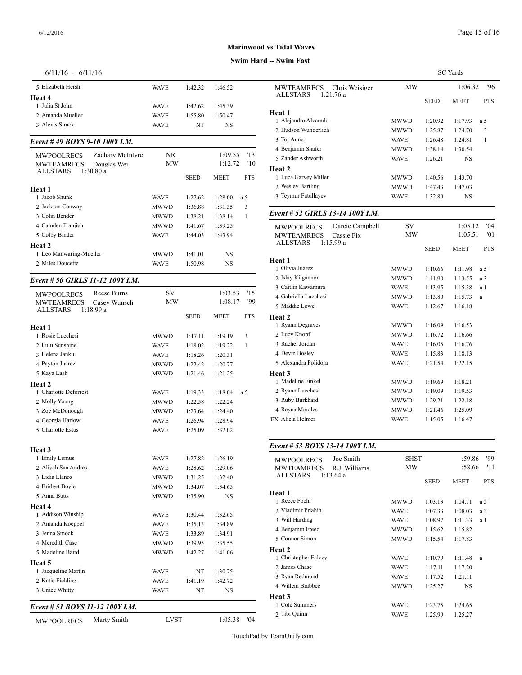## **Swim Hard -- Swim Fast**

| $6/11/16 - 6/11/16$ |
|---------------------|
|---------------------|

| 5 Elizabeth Hersh                                                         | <b>WAVE</b> | 1:42.32     | 1:46.52            |            | MWTEAMREC                             |
|---------------------------------------------------------------------------|-------------|-------------|--------------------|------------|---------------------------------------|
| Heat 4                                                                    |             |             |                    |            | ALLSTARS                              |
| 1 Julia St John                                                           | <b>WAVE</b> | 1:42.62     | 1:45.39            |            | <b>Heat 1</b>                         |
| 2 Amanda Mueller                                                          | <b>WAVE</b> | 1:55.80     | 1:50.47            |            | 1 Alejandro Alvar                     |
| 3 Alexis Strack                                                           | <b>WAVE</b> | NT          | NS                 |            | 2 Hudson Wunder                       |
| Event #49 BOYS 9-10 100Y I.M.                                             |             |             |                    |            | 3 Tor Aune                            |
|                                                                           |             |             |                    | '13        | 4 Benjamin Shafe                      |
| Zachary McIntyre<br><b>MWPOOLRECS</b><br><b>MWTEAMRECS</b><br>Douglas Wei | NR.<br>MW   |             | 1:09.55<br>1:12.72 | '10        | 5 Zander Ashwort                      |
| 1:30.80a<br>ALLSTARS                                                      |             |             |                    |            | Heat 2                                |
|                                                                           |             | <b>SEED</b> | MEET               | <b>PTS</b> | 1 Luca Garvey Mi                      |
| Heat 1                                                                    |             |             |                    |            | 2 Wesley Bartling                     |
| 1 Jacob Shunk                                                             | <b>WAVE</b> | 1:27.62     | 1:28.00            | a 5        | 3 Teymur Fatullay                     |
| 2 Jackson Conway                                                          | <b>MWWD</b> | 1:36.88     | 1:31.35            | 3          |                                       |
| 3 Colin Bender                                                            | MWWD        | 1:38.21     | 1:38.14            | 1          | Event # 52 GIRI                       |
| 4 Camden Franjieh                                                         | MWWD        | 1:41.67     | 1:39.25            |            | MWPOOLRECS                            |
| 5 Colby Binder                                                            | <b>WAVE</b> | 1:44.03     | 1:43.94            |            | MWTEAMREC                             |
| Heat 2                                                                    |             |             |                    |            | <b>ALLSTARS</b>                       |
| 1 Leo Manwaring-Mueller                                                   | MWWD        | 1:41.01     | NS                 |            |                                       |
| 2 Miles Doucette                                                          | <b>WAVE</b> | 1:50.98     | NS                 |            | Heat 1                                |
|                                                                           |             |             |                    |            | 1 Olivia Juarez                       |
| Event # 50 GIRLS 11-12 100Y I.M.                                          |             |             |                    |            | 2 Islay Kilgannon<br>3 Caitlin Kawamu |
| Reese Burns<br><b>MWPOOLRECS</b>                                          | SV          |             | 1:03.53            | '15        | 4 Gabriella Lucch                     |
| <b>MWTEAMRECS</b><br>Casey Wunsch                                         | MW          |             | 1:08.17            | '99        | 5 Maddie Lowe                         |
| ALLSTARS<br>1:18.99a                                                      |             | <b>SEED</b> | MEET               | <b>PTS</b> |                                       |
|                                                                           |             |             |                    |            | Heat 2<br>1 Ryann Degraves            |
| Heat 1<br>1 Rosie Lucchesi                                                |             |             |                    |            | 2 Lucy Knopf                          |
|                                                                           | MWWD        | 1:17.11     | 1:19.19            | 3          | 3 Rachel Jordan                       |
| 2 Lulu Sunshine                                                           | <b>WAVE</b> | 1:18.02     | 1:19.22            | 1          | 4 Devin Bosley                        |
| 3 Helena Janku                                                            | <b>WAVE</b> | 1:18.26     | 1:20.31            |            | 5 Alexandra Polid                     |
| 4 Payton Juarez                                                           | <b>MWWD</b> | 1:22.42     | 1:20.77            |            |                                       |
| 5 Kaya Lash                                                               | MWWD        | 1:21.46     | 1:21.25            |            | Heat 3<br>1 Madeline Finkel           |
| Heat 2                                                                    |             |             |                    |            | 2 Ryann Lucchesi                      |
| 1 Charlotte Deforrest                                                     | <b>WAVE</b> | 1:19.33     | 1:18.04            | a 5        | 3 Ruby Burkhard                       |
| 2 Molly Young                                                             | MWWD        | 1:22.58     | 1:22.24            |            | 4 Reyna Morales                       |
| 3 Zoe McDonough                                                           | MWWD        | 1:23.64     | 1:24.40            |            | EX Alicia Helmer                      |
| 4 Georgia Harlow                                                          | <b>WAVE</b> | 1:26.94     | 1:28.94            |            |                                       |
| 5 Charlotte Estus                                                         | <b>WAVE</b> | 1:25.09     | 1:32.02            |            |                                       |
| Heat 3                                                                    |             |             |                    |            | Event # 53 BOY                        |
| 1 Emily Lemus                                                             | WAVE        | 1:27.82     | 1:26.19            |            |                                       |
| 2 Aliyah San Andres                                                       | <b>WAVE</b> | 1:28.62     | 1:29.06            |            | MWPOOLRECS<br>MWTEAMREC               |
| 3 Lidia Llanos                                                            | MWWD        | 1:31.25     | 1:32.40            |            | ALLSTARS                              |
| 4 Bridget Boyle                                                           | MWWD        | 1:34.07     | 1:34.65            |            |                                       |
| 5 Anna Butts                                                              | MWWD        | 1:35.90     | NS                 |            | Heat 1                                |
| Heat 4                                                                    |             |             |                    |            | 1 Reece Foehr                         |
| 1 Addison Winship                                                         | WAVE        | 1:30.44     | 1:32.65            |            | 2 Vladimir Priahir                    |
| 2 Amanda Koeppel                                                          | <b>WAVE</b> | 1:35.13     | 1:34.89            |            | 3 Will Harding                        |
| 3 Jenna Smock                                                             | <b>WAVE</b> | 1:33.89     | 1:34.91            |            | 4 Benjamin Freed                      |
| 4 Meredith Case                                                           | MWWD        | 1:39.95     | 1:35.55            |            | 5 Connor Simon                        |
| 5 Madeline Baird                                                          | <b>MWWD</b> | 1:42.27     | 1:41.06            |            | Heat 2                                |
| Heat 5                                                                    |             |             |                    |            | 1 Christopher Falv                    |
| 1 Jacqueline Martin                                                       | WAVE        | NT          | 1:30.75            |            | 2 James Chase                         |
| 2 Katie Fielding                                                          | WAVE        | 1:41.19     | 1:42.72            |            | 3 Ryan Redmond                        |
| 3 Grace Whitty                                                            | <b>WAVE</b> | NT          | NS                 |            | 4 Willem Brabbee                      |
|                                                                           |             |             |                    |            | Heat 3                                |
| Event # 51 BOYS 11-12 100Y I.M.                                           |             |             |                    |            | 1 Cole Summers                        |
| Marty Smith<br><b>MWPOOLRECS</b>                                          | LVST        |             | 1:05.38            | '04        | 2 Tibi Quinn                          |
|                                                                           |             |             |                    |            |                                       |

|                                                                  | <b>SC</b> Yards |             |                    |              |  |
|------------------------------------------------------------------|-----------------|-------------|--------------------|--------------|--|
| <b>MWTEAMRECS</b><br>Chris Weisiger<br>1:21.76a<br>ALLSTARS      | <b>MW</b>       |             | 1:06.32            | 96'          |  |
|                                                                  |                 | <b>SEED</b> | <b>MEET</b>        | <b>PTS</b>   |  |
| Heat 1                                                           |                 |             |                    |              |  |
| 1 Aleiandro Alvarado                                             | MWWD            | 1:20.92     | 1:17.93            | a 5          |  |
| 2 Hudson Wunderlich                                              | <b>MWWD</b>     | 1:25.87     | 1:24.70            | 3            |  |
| 3 Tor Aune                                                       | <b>WAVE</b>     | 1:26.48     | 1:24.81            | $\mathbf{1}$ |  |
| 4 Benjamin Shafer                                                | <b>MWWD</b>     | 1:38.14     | 1:30.54            |              |  |
| 5 Zander Ashworth                                                | <b>WAVE</b>     | 1:26.21     | NS                 |              |  |
| <b>Heat 2</b>                                                    |                 |             |                    |              |  |
| 1 Luca Garvey Miller                                             | MWWD            | 1:40.56     | 1:43.70            |              |  |
| 2 Wesley Bartling                                                | <b>MWWD</b>     | 1:47.43     | 1:47.03            |              |  |
| 3 Teymur Fatullayev                                              | <b>WAVE</b>     | 1:32.89     | <b>NS</b>          |              |  |
| Event # 52 GIRLS 13-14 100Y I.M.                                 |                 |             |                    |              |  |
| Darcie Campbell<br>MWPOOLRECS<br><b>MWTEAMRECS</b><br>Cassie Fix | SV<br>МW        |             | 1:05.12<br>1:05.51 | 04<br>'01    |  |
| <b>ALLSTARS</b><br>1:15.99a                                      |                 | <b>SEED</b> | MEET               | <b>PTS</b>   |  |
| Heat 1                                                           |                 |             |                    |              |  |
| 1 Olivia Juarez                                                  | MWWD            | 1:10.66     | 1:11.98            | a 5          |  |
| 2 Islay Kilgannon                                                | MWWD            | 1:11.90     | 1:13.55            | a 3          |  |
| 3 Caitlin Kawamura                                               | <b>WAVE</b>     | 1:13.95     | 1:15.38            | a 1          |  |
| 4 Gabriella Lucchesi                                             | <b>MWWD</b>     | 1:13.80     | 1:15.73            | a            |  |
| 5 Maddie Lowe                                                    | <b>WAVE</b>     | 1:12.67     | 1:16.18            |              |  |
| Heat 2                                                           |                 |             |                    |              |  |
| 1 Ryann Degraves                                                 | <b>MWWD</b>     | 1:16.09     | 1:16.53            |              |  |
| 2 Lucy Knopf                                                     | <b>MWWD</b>     | 1:16.72     | 1:16.66            |              |  |
| 3 Rachel Jordan                                                  | <b>WAVE</b>     | 1:16.05     | 1:16.76            |              |  |
| 4 Devin Bosley                                                   | <b>WAVE</b>     | 1:15.83     | 1:18.13            |              |  |
| 5 Alexandra Polidora                                             | <b>WAVE</b>     | 1:21.54     | 1:22.15            |              |  |
| <b>Heat 3</b>                                                    |                 |             |                    |              |  |
| 1 Madeline Finkel                                                | MWWD            | 1:19.69     | 1:18.21            |              |  |
| 2 Ryann Lucchesi                                                 | MWWD            | 1:19.09     | 1:19.53            |              |  |
| 3 Ruby Burkhard                                                  | MWWD            | 1:29.21     | 1:22.18            |              |  |
| 4 Reyna Morales                                                  | <b>MWWD</b>     | 1:21.46     | 1:25.09            |              |  |
| EX Alicia Helmer                                                 | <b>WAVE</b>     | 1:15.05     | 1:16.47            |              |  |
|                                                                  |                 |             |                    |              |  |

## *Event # 53 BOYS 13-14 100Y I.M.*

| Joe Smith<br><b>MWPOOLRECS</b><br><b>MWTEAMRECS</b><br>R.J. Williams | MW          | <b>SHST</b> |             | '99<br>:59.86<br>'11<br>:58.66 |  |
|----------------------------------------------------------------------|-------------|-------------|-------------|--------------------------------|--|
| <b>ALLSTARS</b><br>1:13.64a                                          |             | <b>SEED</b> | <b>MEET</b> | <b>PTS</b>                     |  |
| Heat 1                                                               |             |             |             |                                |  |
| 1 Reece Foehr                                                        | <b>MWWD</b> | 1:03.13     | 1:04.71     | a 5                            |  |
| 2 Vladimir Priahin                                                   | <b>WAVE</b> | 1:07.33     | 1:08.03     | a 3                            |  |
| 3 Will Harding                                                       | <b>WAVE</b> | 1:08.97     | 1:11.33     | a 1                            |  |
| 4 Benjamin Freed                                                     | <b>MWWD</b> | 1:15.62     | 1:15.82     |                                |  |
| 5 Connor Simon                                                       | <b>MWWD</b> | 1:15.54     | 1:17.83     |                                |  |
| <b>Heat 2</b>                                                        |             |             |             |                                |  |
| 1 Christopher Falvey                                                 | <b>WAVE</b> | 1:10.79     | 1:11.48     | a                              |  |
| 2 James Chase                                                        | <b>WAVE</b> | 1:17.11     | 1:17.20     |                                |  |
| 3 Ryan Redmond                                                       | <b>WAVE</b> | 1:17.52     | 1:21.11     |                                |  |
| 4 Willem Brabbee                                                     | <b>MWWD</b> | 1:25.27     | <b>NS</b>   |                                |  |
| <b>Heat 3</b>                                                        |             |             |             |                                |  |
| 1 Cole Summers                                                       | <b>WAVE</b> | 1:23.75     | 1:24.65     |                                |  |
| 2 Tibi Quinn                                                         | <b>WAVE</b> | 1:25.99     | 1:25.27     |                                |  |
|                                                                      |             |             |             |                                |  |